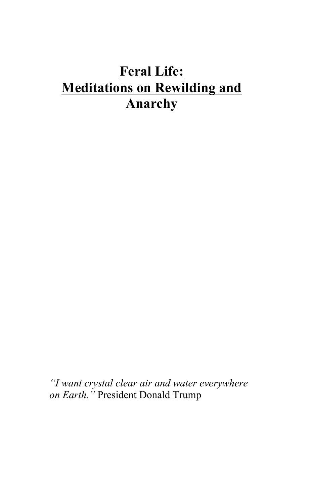# **Feral Life: Meditations on Rewilding and Anarchy**

*"I want crystal clear air and water everywhere on Earth."* President Donald Trump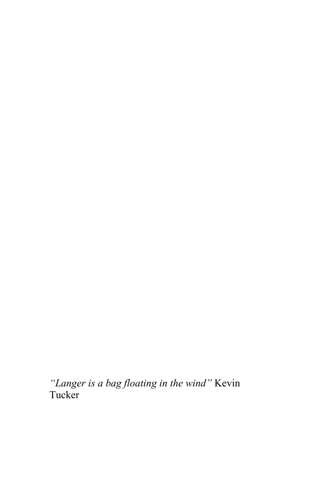*"Langer is a bag floating in the wind"* Kevin Tucker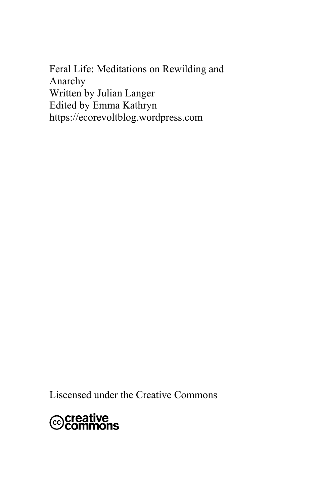Feral Life: Meditations on Rewilding and Anarchy Written by Julian Langer Edited by Emma Kathryn https://ecorevoltblog.wordpress.com

Liscensed under the Creative Commons

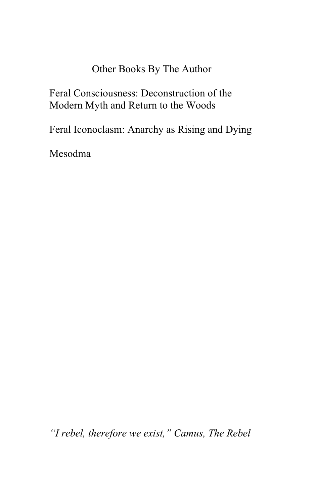#### Other Books By The Author

Feral Consciousness: Deconstruction of the Modern Myth and Return to the Woods

Feral Iconoclasm: Anarchy as Rising and Dying

Mesodma

*"I rebel, therefore we exist," Camus, The Rebel*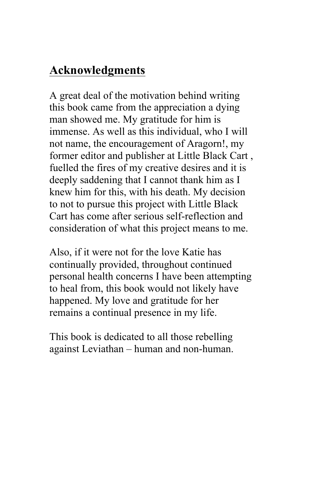### **Acknowledgments**

A great deal of the motivation behind writing this book came from the appreciation a dying man showed me. My gratitude for him is immense. As well as this individual, who I will not name, the encouragement of Aragorn!, my former editor and publisher at Little Black Cart , fuelled the fires of my creative desires and it is deeply saddening that I cannot thank him as I knew him for this, with his death. My decision to not to pursue this project with Little Black Cart has come after serious self-reflection and consideration of what this project means to me.

Also, if it were not for the love Katie has continually provided, throughout continued personal health concerns I have been attempting to heal from, this book would not likely have happened. My love and gratitude for her remains a continual presence in my life.

This book is dedicated to all those rebelling against Leviathan – human and non-human.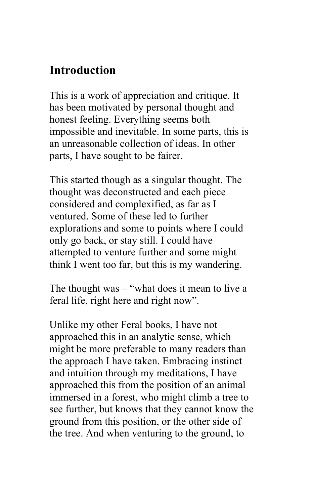### **Introduction**

This is a work of appreciation and critique. It has been motivated by personal thought and honest feeling. Everything seems both impossible and inevitable. In some parts, this is an unreasonable collection of ideas. In other parts, I have sought to be fairer.

This started though as a singular thought. The thought was deconstructed and each piece considered and complexified, as far as I ventured. Some of these led to further explorations and some to points where I could only go back, or stay still. I could have attempted to venture further and some might think I went too far, but this is my wandering.

The thought was – "what does it mean to live a feral life, right here and right now".

Unlike my other Feral books, I have not approached this in an analytic sense, which might be more preferable to many readers than the approach I have taken. Embracing instinct and intuition through my meditations, I have approached this from the position of an animal immersed in a forest, who might climb a tree to see further, but knows that they cannot know the ground from this position, or the other side of the tree. And when venturing to the ground, to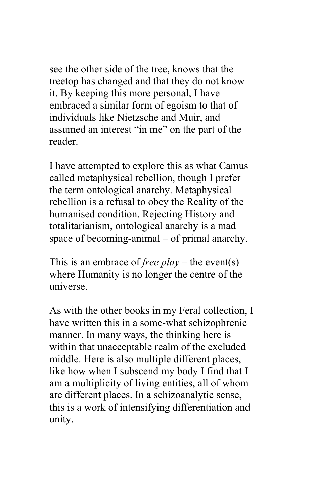see the other side of the tree, knows that the treetop has changed and that they do not know it. By keeping this more personal, I have embraced a similar form of egoism to that of individuals like Nietzsche and Muir, and assumed an interest "in me" on the part of the reader.

I have attempted to explore this as what Camus called metaphysical rebellion, though I prefer the term ontological anarchy. Metaphysical rebellion is a refusal to obey the Reality of the humanised condition. Rejecting History and totalitarianism, ontological anarchy is a mad space of becoming-animal – of primal anarchy.

This is an embrace of *free play* – the event(s) where Humanity is no longer the centre of the universe.

As with the other books in my Feral collection, I have written this in a some-what schizophrenic manner. In many ways, the thinking here is within that unacceptable realm of the excluded middle. Here is also multiple different places, like how when I subscend my body I find that I am a multiplicity of living entities, all of whom are different places. In a schizoanalytic sense, this is a work of intensifying differentiation and unity.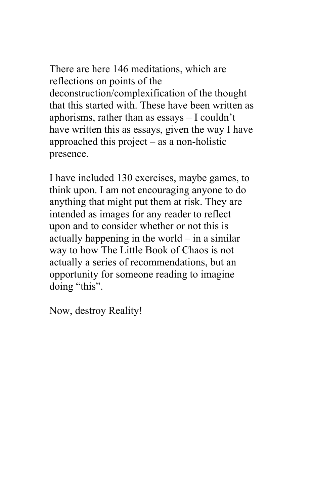There are here 146 meditations, which are reflections on points of the deconstruction/complexification of the thought that this started with. These have been written as aphorisms, rather than as essays – I couldn't have written this as essays, given the way I have approached this project – as a non-holistic presence.

I have included 130 exercises, maybe games, to think upon. I am not encouraging anyone to do anything that might put them at risk. They are intended as images for any reader to reflect upon and to consider whether or not this is actually happening in the world – in a similar way to how The Little Book of Chaos is not actually a series of recommendations, but an opportunity for someone reading to imagine doing "this".

Now, destroy Reality!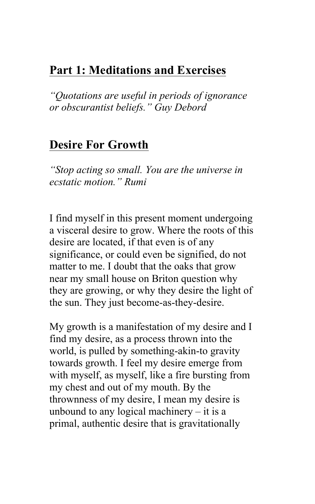### **Part 1: Meditations and Exercises**

*"Quotations are useful in periods of ignorance or obscurantist beliefs." Guy Debord*

#### **Desire For Growth**

*"Stop acting so small. You are the universe in ecstatic motion." Rumi* 

I find myself in this present moment undergoing a visceral desire to grow. Where the roots of this desire are located, if that even is of any significance, or could even be signified, do not matter to me. I doubt that the oaks that grow near my small house on Briton question why they are growing, or why they desire the light of the sun. They just become-as-they-desire.

My growth is a manifestation of my desire and I find my desire, as a process thrown into the world, is pulled by something-akin-to gravity towards growth. I feel my desire emerge from with myself, as myself, like a fire bursting from my chest and out of my mouth. By the thrownness of my desire, I mean my desire is unbound to any logical machinery  $-$  it is a primal, authentic desire that is gravitationally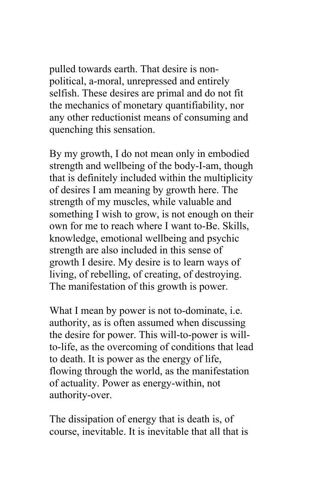pulled towards earth. That desire is nonpolitical, a-moral, unrepressed and entirely selfish. These desires are primal and do not fit the mechanics of monetary quantifiability, nor any other reductionist means of consuming and quenching this sensation.

By my growth, I do not mean only in embodied strength and wellbeing of the body-I-am, though that is definitely included within the multiplicity of desires I am meaning by growth here. The strength of my muscles, while valuable and something I wish to grow, is not enough on their own for me to reach where I want to-Be. Skills, knowledge, emotional wellbeing and psychic strength are also included in this sense of growth I desire. My desire is to learn ways of living, of rebelling, of creating, of destroying. The manifestation of this growth is power.

What I mean by power is not to-dominate, i.e. authority, as is often assumed when discussing the desire for power. This will-to-power is willto-life, as the overcoming of conditions that lead to death. It is power as the energy of life, flowing through the world, as the manifestation of actuality. Power as energy-within, not authority-over.

The dissipation of energy that is death is, of course, inevitable. It is inevitable that all that is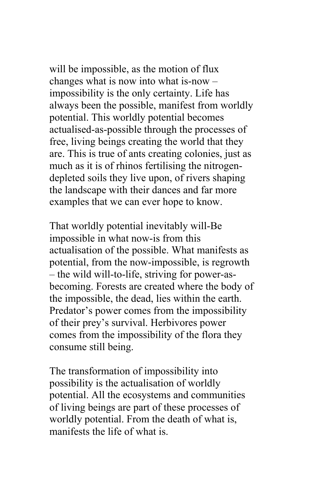will be impossible, as the motion of flux changes what is now into what is-now – impossibility is the only certainty. Life has always been the possible, manifest from worldly potential. This worldly potential becomes actualised-as-possible through the processes of free, living beings creating the world that they are. This is true of ants creating colonies, just as much as it is of rhinos fertilising the nitrogendepleted soils they live upon, of rivers shaping the landscape with their dances and far more examples that we can ever hope to know.

That worldly potential inevitably will-Be impossible in what now-is from this actualisation of the possible. What manifests as potential, from the now-impossible, is regrowth – the wild will-to-life, striving for power-asbecoming. Forests are created where the body of the impossible, the dead, lies within the earth. Predator's power comes from the impossibility of their prey's survival. Herbivores power comes from the impossibility of the flora they consume still being.

The transformation of impossibility into possibility is the actualisation of worldly potential. All the ecosystems and communities of living beings are part of these processes of worldly potential. From the death of what is, manifests the life of what is.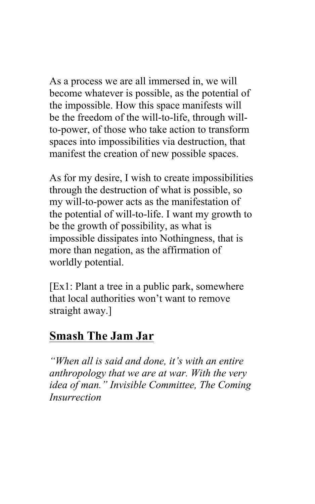As a process we are all immersed in, we will become whatever is possible, as the potential of the impossible. How this space manifests will be the freedom of the will-to-life, through willto-power, of those who take action to transform spaces into impossibilities via destruction, that manifest the creation of new possible spaces.

As for my desire, I wish to create impossibilities through the destruction of what is possible, so my will-to-power acts as the manifestation of the potential of will-to-life. I want my growth to be the growth of possibility, as what is impossible dissipates into Nothingness, that is more than negation, as the affirmation of worldly potential.

[Ex1: Plant a tree in a public park, somewhere that local authorities won't want to remove straight away.]

#### **Smash The Jam Jar**

*"When all is said and done, it's with an entire anthropology that we are at war. With the very idea of man." Invisible Committee, The Coming Insurrection*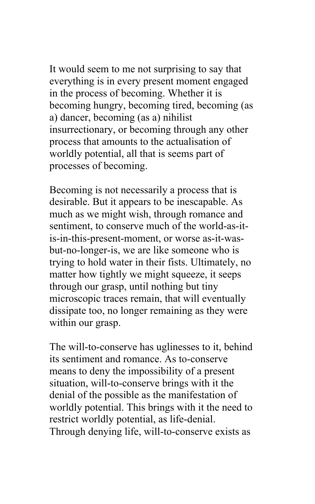It would seem to me not surprising to say that everything is in every present moment engaged in the process of becoming. Whether it is becoming hungry, becoming tired, becoming (as a) dancer, becoming (as a) nihilist insurrectionary, or becoming through any other process that amounts to the actualisation of worldly potential, all that is seems part of processes of becoming.

Becoming is not necessarily a process that is desirable. But it appears to be inescapable. As much as we might wish, through romance and sentiment, to conserve much of the world-as-itis-in-this-present-moment, or worse as-it-wasbut-no-longer-is, we are like someone who is trying to hold water in their fists. Ultimately, no matter how tightly we might squeeze, it seeps through our grasp, until nothing but tiny microscopic traces remain, that will eventually dissipate too, no longer remaining as they were within our grasp.

The will-to-conserve has uglinesses to it, behind its sentiment and romance. As to-conserve means to deny the impossibility of a present situation, will-to-conserve brings with it the denial of the possible as the manifestation of worldly potential. This brings with it the need to restrict worldly potential, as life-denial. Through denying life, will-to-conserve exists as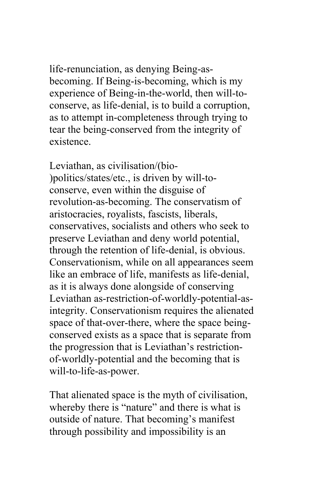life-renunciation, as denying Being-asbecoming. If Being-is-becoming, which is my experience of Being-in-the-world, then will-toconserve, as life-denial, is to build a corruption, as to attempt in-completeness through trying to tear the being-conserved from the integrity of existence.

Leviathan, as civilisation/(bio- )politics/states/etc., is driven by will-toconserve, even within the disguise of revolution-as-becoming. The conservatism of aristocracies, royalists, fascists, liberals, conservatives, socialists and others who seek to preserve Leviathan and deny world potential, through the retention of life-denial, is obvious. Conservationism, while on all appearances seem like an embrace of life, manifests as life-denial, as it is always done alongside of conserving Leviathan as-restriction-of-worldly-potential-asintegrity. Conservationism requires the alienated space of that-over-there, where the space beingconserved exists as a space that is separate from the progression that is Leviathan's restrictionof-worldly-potential and the becoming that is will-to-life-as-power.

That alienated space is the myth of civilisation, whereby there is "nature" and there is what is outside of nature. That becoming's manifest through possibility and impossibility is an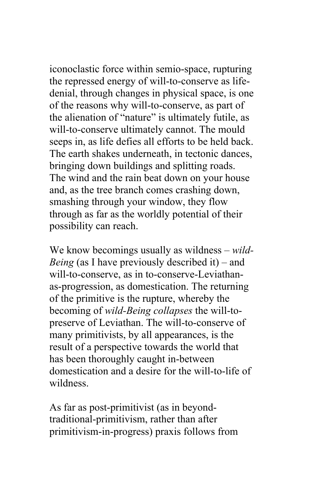iconoclastic force within semio-space, rupturing the repressed energy of will-to-conserve as lifedenial, through changes in physical space, is one of the reasons why will-to-conserve, as part of the alienation of "nature" is ultimately futile, as will-to-conserve ultimately cannot. The mould seeps in, as life defies all efforts to be held back. The earth shakes underneath, in tectonic dances, bringing down buildings and splitting roads. The wind and the rain beat down on your house and, as the tree branch comes crashing down, smashing through your window, they flow through as far as the worldly potential of their possibility can reach.

We know becomings usually as wildness – *wild-Being* (as I have previously described it) – and will-to-conserve, as in to-conserve-Leviathanas-progression, as domestication. The returning of the primitive is the rupture, whereby the becoming of *wild-Being collapses* the will-topreserve of Leviathan. The will-to-conserve of many primitivists, by all appearances, is the result of a perspective towards the world that has been thoroughly caught in-between domestication and a desire for the will-to-life of wildness.

As far as post-primitivist (as in beyondtraditional-primitivism, rather than after primitivism-in-progress) praxis follows from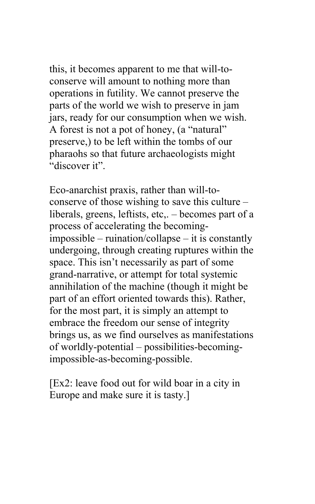this, it becomes apparent to me that will-toconserve will amount to nothing more than operations in futility. We cannot preserve the parts of the world we wish to preserve in jam jars, ready for our consumption when we wish. A forest is not a pot of honey, (a "natural" preserve,) to be left within the tombs of our pharaohs so that future archaeologists might "discover it".

Eco-anarchist praxis, rather than will-toconserve of those wishing to save this culture – liberals, greens, leftists, etc,. – becomes part of a process of accelerating the becomingimpossible – ruination/collapse – it is constantly undergoing, through creating ruptures within the space. This isn't necessarily as part of some grand-narrative, or attempt for total systemic annihilation of the machine (though it might be part of an effort oriented towards this). Rather, for the most part, it is simply an attempt to embrace the freedom our sense of integrity brings us, as we find ourselves as manifestations of worldly-potential – possibilities-becomingimpossible-as-becoming-possible.

[Ex2: leave food out for wild boar in a city in Europe and make sure it is tasty.]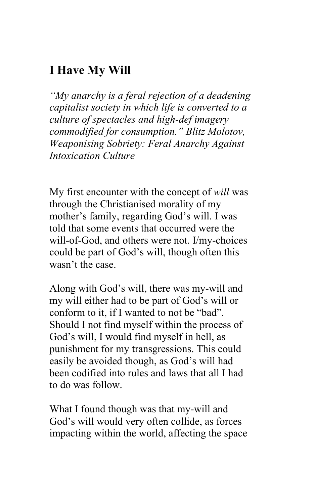### **I Have My Will**

*"My anarchy is a feral rejection of a deadening capitalist society in which life is converted to a culture of spectacles and high-def imagery commodified for consumption." Blitz Molotov, Weaponising Sobriety: Feral Anarchy Against Intoxication Culture*

My first encounter with the concept of *will* was through the Christianised morality of my mother's family, regarding God's will. I was told that some events that occurred were the will-of-God, and others were not. I/my-choices could be part of God's will, though often this wasn't the case.

Along with God's will, there was my-will and my will either had to be part of God's will or conform to it, if I wanted to not be "bad". Should I not find myself within the process of God's will, I would find myself in hell, as punishment for my transgressions. This could easily be avoided though, as God's will had been codified into rules and laws that all I had to do was follow.

What I found though was that my-will and God's will would very often collide, as forces impacting within the world, affecting the space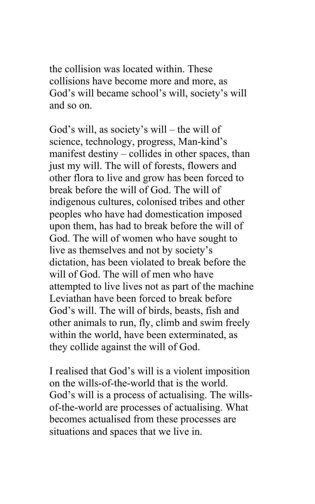the collision was located within. These collisions have become more and more, as God's will became school's will, society's will and so on.

God's will, as society's will – the will of science, technology, progress, Man-kind's manifest destiny – collides in other spaces, than just my will. The will of forests, flowers and other flora to live and grow has been forced to break before the will of God. The will of indigenous cultures, colonised tribes and other peoples who have had domestication imposed upon them, has had to break before the will of God. The will of women who have sought to live as themselves and not by society's dictation, has been violated to break before the will of God. The will of men who have attempted to live lives not as part of the machine Leviathan have been forced to break before God's will. The will of birds, beasts, fish and other animals to run, fly, climb and swim freely within the world, have been exterminated, as they collide against the will of God.

I realised that God's will is a violent imposition on the wills-of-the-world that is the world. God's will is a process of actualising. The willsof-the-world are processes of actualising. What becomes actualised from these processes are situations and spaces that we live in.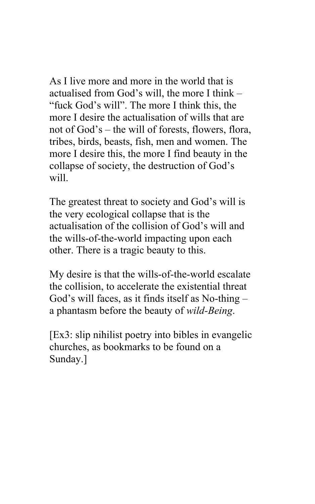As I live more and more in the world that is actualised from God's will, the more I think – "fuck God's will". The more I think this, the more I desire the actualisation of wills that are not of God's – the will of forests, flowers, flora, tribes, birds, beasts, fish, men and women. The more I desire this, the more I find beauty in the collapse of society, the destruction of God's will

The greatest threat to society and God's will is the very ecological collapse that is the actualisation of the collision of God's will and the wills-of-the-world impacting upon each other. There is a tragic beauty to this.

My desire is that the wills-of-the-world escalate the collision, to accelerate the existential threat God's will faces, as it finds itself as No-thing – a phantasm before the beauty of *wild-Being*.

[Ex3: slip nihilist poetry into bibles in evangelic churches, as bookmarks to be found on a Sunday.]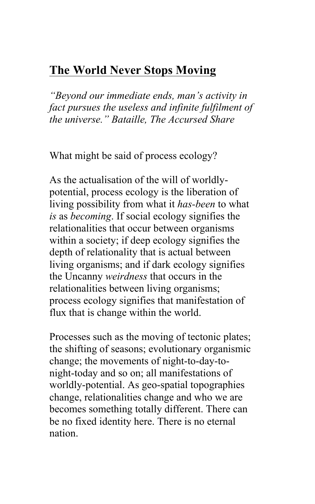### **The World Never Stops Moving**

*"Beyond our immediate ends, man's activity in fact pursues the useless and infinite fulfilment of the universe." Bataille, The Accursed Share*

What might be said of process ecology?

As the actualisation of the will of worldlypotential, process ecology is the liberation of living possibility from what it *has-been* to what *is* as *becoming*. If social ecology signifies the relationalities that occur between organisms within a society; if deep ecology signifies the depth of relationality that is actual between living organisms; and if dark ecology signifies the Uncanny *weirdness* that occurs in the relationalities between living organisms; process ecology signifies that manifestation of flux that is change within the world.

Processes such as the moving of tectonic plates; the shifting of seasons; evolutionary organismic change; the movements of night-to-day-tonight-today and so on; all manifestations of worldly-potential. As geo-spatial topographies change, relationalities change and who we are becomes something totally different. There can be no fixed identity here. There is no eternal nation.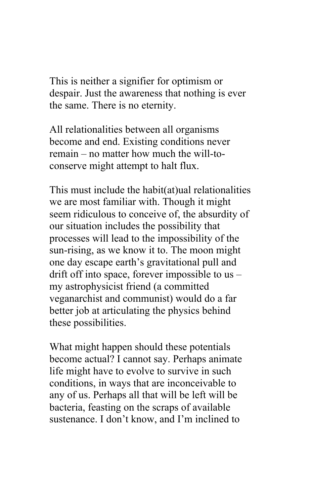This is neither a signifier for optimism or despair. Just the awareness that nothing is ever the same. There is no eternity.

All relationalities between all organisms become and end. Existing conditions never remain – no matter how much the will-toconserve might attempt to halt flux.

This must include the habit(at)ual relationalities we are most familiar with. Though it might seem ridiculous to conceive of, the absurdity of our situation includes the possibility that processes will lead to the impossibility of the sun-rising, as we know it to. The moon might one day escape earth's gravitational pull and drift off into space, forever impossible to us – my astrophysicist friend (a committed veganarchist and communist) would do a far better job at articulating the physics behind these possibilities.

What might happen should these potentials become actual? I cannot say. Perhaps animate life might have to evolve to survive in such conditions, in ways that are inconceivable to any of us. Perhaps all that will be left will be bacteria, feasting on the scraps of available sustenance. I don't know, and I'm inclined to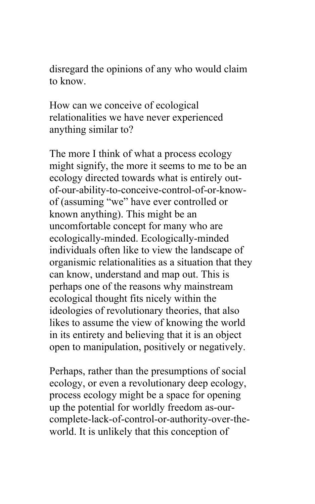disregard the opinions of any who would claim to know.

How can we conceive of ecological relationalities we have never experienced anything similar to?

The more I think of what a process ecology might signify, the more it seems to me to be an ecology directed towards what is entirely outof-our-ability-to-conceive-control-of-or-knowof (assuming "we" have ever controlled or known anything). This might be an uncomfortable concept for many who are ecologically-minded. Ecologically-minded individuals often like to view the landscape of organismic relationalities as a situation that they can know, understand and map out. This is perhaps one of the reasons why mainstream ecological thought fits nicely within the ideologies of revolutionary theories, that also likes to assume the view of knowing the world in its entirety and believing that it is an object open to manipulation, positively or negatively.

Perhaps, rather than the presumptions of social ecology, or even a revolutionary deep ecology, process ecology might be a space for opening up the potential for worldly freedom as-ourcomplete-lack-of-control-or-authority-over-theworld. It is unlikely that this conception of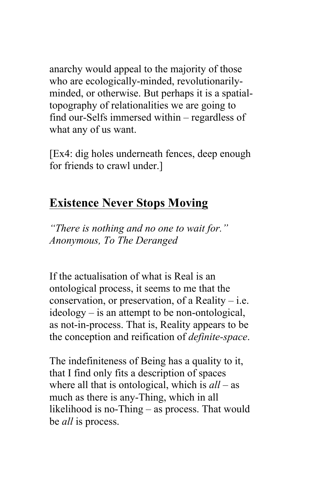anarchy would appeal to the majority of those who are ecologically-minded, revolutionarilyminded, or otherwise. But perhaps it is a spatialtopography of relationalities we are going to find our-Selfs immersed within – regardless of what any of us want.

[Ex4: dig holes underneath fences, deep enough for friends to crawl under.]

#### **Existence Never Stops Moving**

*"There is nothing and no one to wait for." Anonymous, To The Deranged*

If the actualisation of what is Real is an ontological process, it seems to me that the conservation, or preservation, of a Reality  $-$  i.e. ideology – is an attempt to be non-ontological, as not-in-process. That is, Reality appears to be the conception and reification of *definite-space*.

The indefiniteness of Being has a quality to it, that I find only fits a description of spaces where all that is ontological, which is *all* – as much as there is any-Thing, which in all likelihood is no-Thing – as process. That would be *all* is process.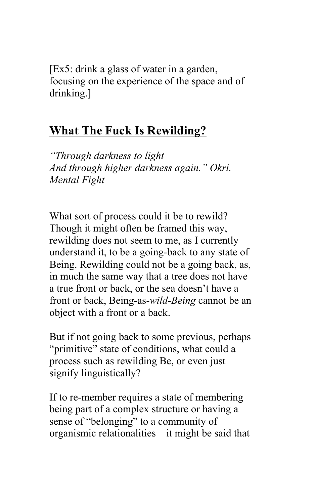[Ex5: drink a glass of water in a garden, focusing on the experience of the space and of drinking.]

### **What The Fuck Is Rewilding?**

*"Through darkness to light And through higher darkness again." Okri. Mental Fight* 

What sort of process could it be to rewild? Though it might often be framed this way, rewilding does not seem to me, as I currently understand it, to be a going-back to any state of Being. Rewilding could not be a going back, as, in much the same way that a tree does not have a true front or back, or the sea doesn't have a front or back, Being-as-*wild-Being* cannot be an object with a front or a back.

But if not going back to some previous, perhaps "primitive" state of conditions, what could a process such as rewilding Be, or even just signify linguistically?

If to re-member requires a state of membering – being part of a complex structure or having a sense of "belonging" to a community of organismic relationalities – it might be said that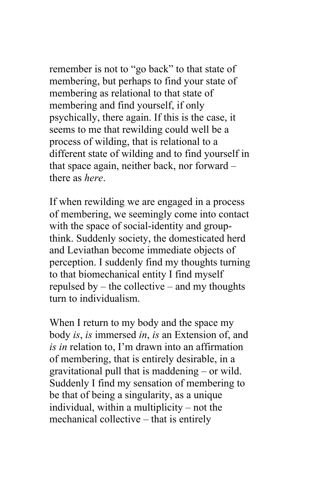remember is not to "go back" to that state of membering, but perhaps to find your state of membering as relational to that state of membering and find yourself, if only psychically, there again. If this is the case, it seems to me that rewilding could well be a process of wilding, that is relational to a different state of wilding and to find yourself in that space again, neither back, nor forward – there as *here*.

If when rewilding we are engaged in a process of membering, we seemingly come into contact with the space of social-identity and groupthink. Suddenly society, the domesticated herd and Leviathan become immediate objects of perception. I suddenly find my thoughts turning to that biomechanical entity I find myself repulsed by – the collective – and my thoughts turn to individualism.

When I return to my body and the space my body *is*, *is* immersed *in*, *is* an Extension of, and *is in* relation to, I'm drawn into an affirmation of membering, that is entirely desirable, in a gravitational pull that is maddening – or wild. Suddenly I find my sensation of membering to be that of being a singularity, as a unique individual, within a multiplicity – not the mechanical collective – that is entirely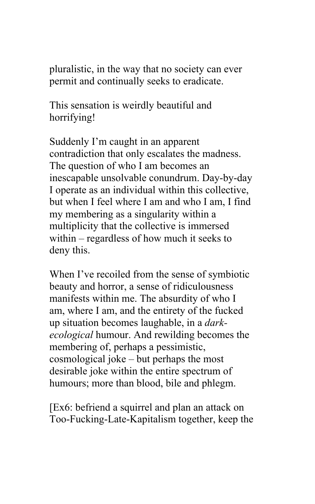pluralistic, in the way that no society can ever permit and continually seeks to eradicate.

This sensation is weirdly beautiful and horrifying!

Suddenly I'm caught in an apparent contradiction that only escalates the madness. The question of who I am becomes an inescapable unsolvable conundrum. Day-by-day I operate as an individual within this collective, but when I feel where I am and who I am, I find my membering as a singularity within a multiplicity that the collective is immersed within – regardless of how much it seeks to deny this.

When I've recoiled from the sense of symbiotic beauty and horror, a sense of ridiculousness manifests within me. The absurdity of who I am, where I am, and the entirety of the fucked up situation becomes laughable, in a *darkecological* humour. And rewilding becomes the membering of, perhaps a pessimistic, cosmological joke – but perhaps the most desirable joke within the entire spectrum of humours; more than blood, bile and phlegm.

[Ex6: befriend a squirrel and plan an attack on Too-Fucking-Late-Kapitalism together, keep the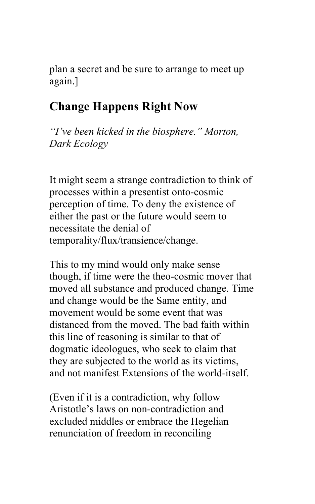plan a secret and be sure to arrange to meet up again.]

### **Change Happens Right Now**

*"I've been kicked in the biosphere." Morton, Dark Ecology*

It might seem a strange contradiction to think of processes within a presentist onto-cosmic perception of time. To deny the existence of either the past or the future would seem to necessitate the denial of temporality/flux/transience/change.

This to my mind would only make sense though, if time were the theo-cosmic mover that moved all substance and produced change. Time and change would be the Same entity, and movement would be some event that was distanced from the moved. The bad faith within this line of reasoning is similar to that of dogmatic ideologues, who seek to claim that they are subjected to the world as its victims, and not manifest Extensions of the world-itself.

(Even if it is a contradiction, why follow Aristotle's laws on non-contradiction and excluded middles or embrace the Hegelian renunciation of freedom in reconciling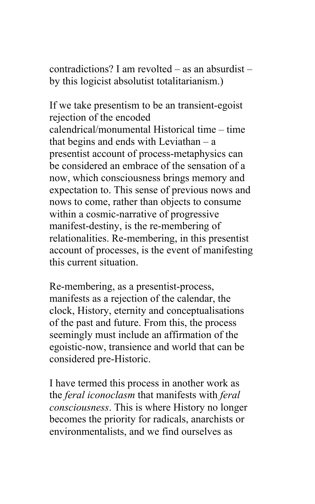contradictions? I am revolted – as an absurdist – by this logicist absolutist totalitarianism.)

If we take presentism to be an transient-egoist rejection of the encoded calendrical/monumental Historical time – time that begins and ends with Leviathan – a presentist account of process-metaphysics can be considered an embrace of the sensation of a now, which consciousness brings memory and expectation to. This sense of previous nows and nows to come, rather than objects to consume within a cosmic-narrative of progressive manifest-destiny, is the re-membering of relationalities. Re-membering, in this presentist account of processes, is the event of manifesting this current situation.

Re-membering, as a presentist-process, manifests as a rejection of the calendar, the clock, History, eternity and conceptualisations of the past and future. From this, the process seemingly must include an affirmation of the egoistic-now, transience and world that can be considered pre-Historic.

I have termed this process in another work as the *feral iconoclasm* that manifests with *feral consciousness*. This is where History no longer becomes the priority for radicals, anarchists or environmentalists, and we find ourselves as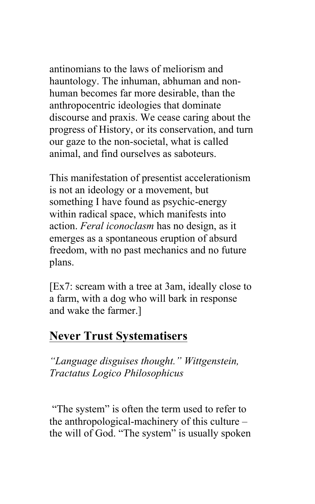antinomians to the laws of meliorism and hauntology. The inhuman, abhuman and nonhuman becomes far more desirable, than the anthropocentric ideologies that dominate discourse and praxis. We cease caring about the progress of History, or its conservation, and turn our gaze to the non-societal, what is called animal, and find ourselves as saboteurs.

This manifestation of presentist accelerationism is not an ideology or a movement, but something I have found as psychic-energy within radical space, which manifests into action. *Feral iconoclasm* has no design, as it emerges as a spontaneous eruption of absurd freedom, with no past mechanics and no future plans.

[Ex7: scream with a tree at 3am, ideally close to a farm, with a dog who will bark in response and wake the farmer.]

#### **Never Trust Systematisers**

*"Language disguises thought." Wittgenstein, Tractatus Logico Philosophicus*

"The system" is often the term used to refer to the anthropological-machinery of this culture – the will of God. "The system" is usually spoken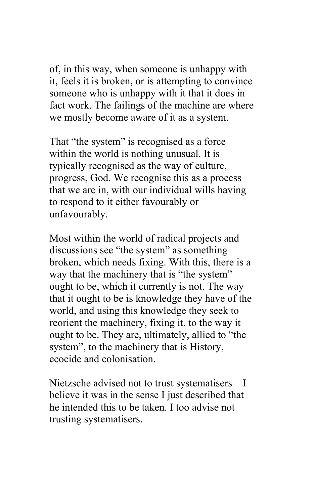of, in this way, when someone is unhappy with it, feels it is broken, or is attempting to convince someone who is unhappy with it that it does in fact work. The failings of the machine are where we mostly become aware of it as a system.

That "the system" is recognised as a force within the world is nothing unusual. It is typically recognised as the way of culture, progress, God. We recognise this as a process that we are in, with our individual wills having to respond to it either favourably or unfavourably.

Most within the world of radical projects and discussions see "the system" as something broken, which needs fixing. With this, there is a way that the machinery that is "the system" ought to be, which it currently is not. The way that it ought to be is knowledge they have of the world, and using this knowledge they seek to reorient the machinery, fixing it, to the way it ought to be. They are, ultimately, allied to "the system", to the machinery that is History, ecocide and colonisation.

Nietzsche advised not to trust systematisers – I believe it was in the sense I just described that he intended this to be taken. I too advise not trusting systematisers.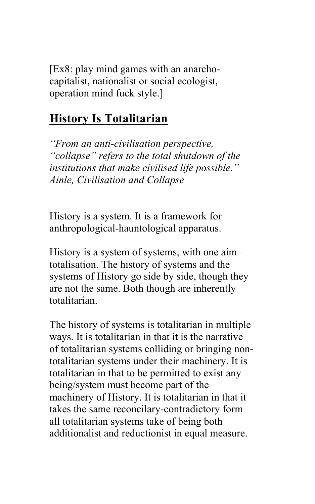[Ex8: play mind games with an anarchocapitalist, nationalist or social ecologist, operation mind fuck style.]

### **History Is Totalitarian**

*"From an anti-civilisation perspective, "collapse" refers to the total shutdown of the institutions that make civilised life possible." Ainle, Civilisation and Collapse* 

History is a system. It is a framework for anthropological-hauntological apparatus.

History is a system of systems, with one aim – totalisation. The history of systems and the systems of History go side by side, though they are not the same. Both though are inherently totalitarian.

The history of systems is totalitarian in multiple ways. It is totalitarian in that it is the narrative of totalitarian systems colliding or bringing nontotalitarian systems under their machinery. It is totalitarian in that to be permitted to exist any being/system must become part of the machinery of History. It is totalitarian in that it takes the same reconcilary-contradictory form all totalitarian systems take of being both additionalist and reductionist in equal measure.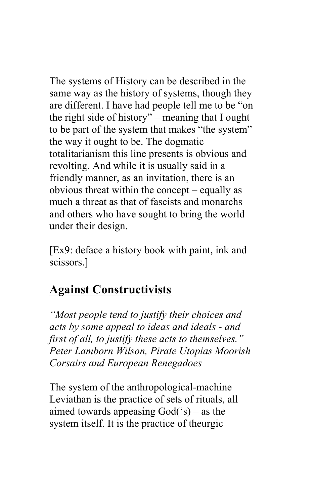The systems of History can be described in the same way as the history of systems, though they are different. I have had people tell me to be "on the right side of history" – meaning that I ought to be part of the system that makes "the system" the way it ought to be. The dogmatic totalitarianism this line presents is obvious and revolting. And while it is usually said in a friendly manner, as an invitation, there is an obvious threat within the concept – equally as much a threat as that of fascists and monarchs and others who have sought to bring the world under their design.

[Ex9: deface a history book with paint, ink and scissors.]

### **Against Constructivists**

*"Most people tend to justify their choices and acts by some appeal to ideas and ideals - and first of all, to justify these acts to themselves." Peter Lamborn Wilson, Pirate Utopias Moorish Corsairs and European Renegadoes* 

The system of the anthropological-machine Leviathan is the practice of sets of rituals, all aimed towards appeasing God('s) – as the system itself. It is the practice of theurgic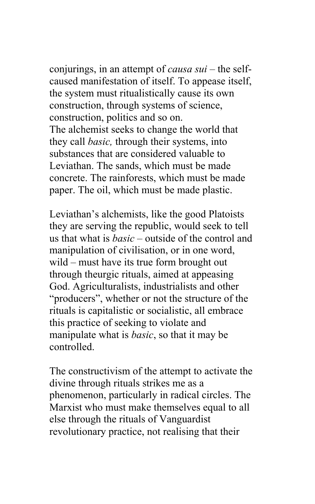conjurings, in an attempt of *causa sui* – the selfcaused manifestation of itself. To appease itself, the system must ritualistically cause its own construction, through systems of science, construction, politics and so on. The alchemist seeks to change the world that they call *basic,* through their systems, into

substances that are considered valuable to Leviathan. The sands, which must be made concrete. The rainforests, which must be made paper. The oil, which must be made plastic.

Leviathan's alchemists, like the good Platoists they are serving the republic, would seek to tell us that what is *basic* – outside of the control and manipulation of civilisation, or in one word, wild – must have its true form brought out through theurgic rituals, aimed at appeasing God. Agriculturalists, industrialists and other "producers", whether or not the structure of the rituals is capitalistic or socialistic, all embrace this practice of seeking to violate and manipulate what is *basic*, so that it may be controlled.

The constructivism of the attempt to activate the divine through rituals strikes me as a phenomenon, particularly in radical circles. The Marxist who must make themselves equal to all else through the rituals of Vanguardist revolutionary practice, not realising that their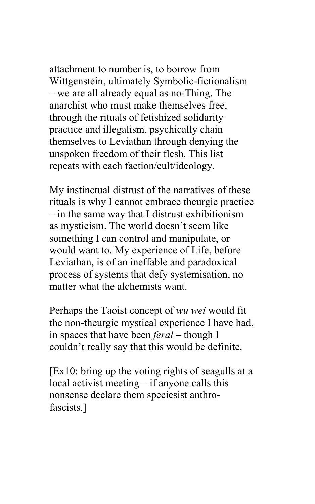attachment to number is, to borrow from Wittgenstein, ultimately Symbolic-fictionalism – we are all already equal as no-Thing. The anarchist who must make themselves free, through the rituals of fetishized solidarity practice and illegalism, psychically chain themselves to Leviathan through denying the unspoken freedom of their flesh. This list repeats with each faction/cult/ideology.

My instinctual distrust of the narratives of these rituals is why I cannot embrace theurgic practice – in the same way that I distrust exhibitionism as mysticism. The world doesn't seem like something I can control and manipulate, or would want to. My experience of Life, before Leviathan, is of an ineffable and paradoxical process of systems that defy systemisation, no matter what the alchemists want.

Perhaps the Taoist concept of *wu wei* would fit the non-theurgic mystical experience I have had, in spaces that have been *feral* – though I couldn't really say that this would be definite.

[Ex10: bring up the voting rights of seagulls at a local activist meeting – if anyone calls this nonsense declare them speciesist anthrofascists.]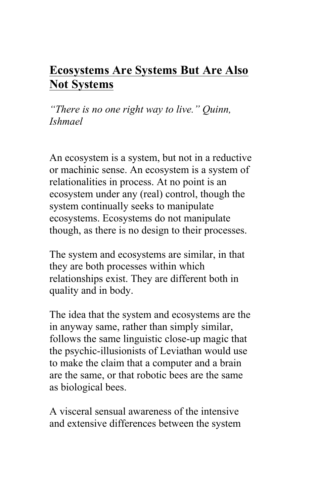## **Ecosystems Are Systems But Are Also Not Systems**

*"There is no one right way to live." Quinn, Ishmael* 

An ecosystem is a system, but not in a reductive or machinic sense. An ecosystem is a system of relationalities in process. At no point is an ecosystem under any (real) control, though the system continually seeks to manipulate ecosystems. Ecosystems do not manipulate though, as there is no design to their processes.

The system and ecosystems are similar, in that they are both processes within which relationships exist. They are different both in quality and in body.

The idea that the system and ecosystems are the in anyway same, rather than simply similar, follows the same linguistic close-up magic that the psychic-illusionists of Leviathan would use to make the claim that a computer and a brain are the same, or that robotic bees are the same as biological bees.

A visceral sensual awareness of the intensive and extensive differences between the system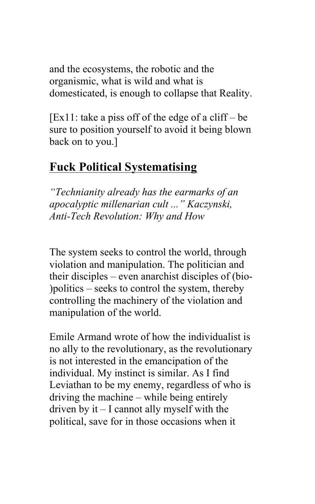and the ecosystems, the robotic and the organismic, what is wild and what is domesticated, is enough to collapse that Reality.

 $[Ex11: take a piss off of the edge of a cliff - be]$ sure to position yourself to avoid it being blown back on to you.]

### **Fuck Political Systematising**

*"Technianity already has the earmarks of an apocalyptic millenarian cult ..." Kaczynski, Anti-Tech Revolution: Why and How*

The system seeks to control the world, through violation and manipulation. The politician and their disciples – even anarchist disciples of (bio- )politics – seeks to control the system, thereby controlling the machinery of the violation and manipulation of the world.

Emile Armand wrote of how the individualist is no ally to the revolutionary, as the revolutionary is not interested in the emancipation of the individual. My instinct is similar. As I find Leviathan to be my enemy, regardless of who is driving the machine – while being entirely driven by it – I cannot ally myself with the political, save for in those occasions when it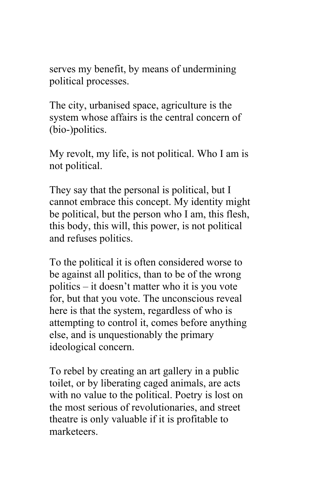serves my benefit, by means of undermining political processes.

The city, urbanised space, agriculture is the system whose affairs is the central concern of (bio-)politics.

My revolt, my life, is not political. Who I am is not political.

They say that the personal is political, but I cannot embrace this concept. My identity might be political, but the person who I am, this flesh, this body, this will, this power, is not political and refuses politics.

To the political it is often considered worse to be against all politics, than to be of the wrong politics – it doesn't matter who it is you vote for, but that you vote. The unconscious reveal here is that the system, regardless of who is attempting to control it, comes before anything else, and is unquestionably the primary ideological concern.

To rebel by creating an art gallery in a public toilet, or by liberating caged animals, are acts with no value to the political. Poetry is lost on the most serious of revolutionaries, and street theatre is only valuable if it is profitable to marketeers.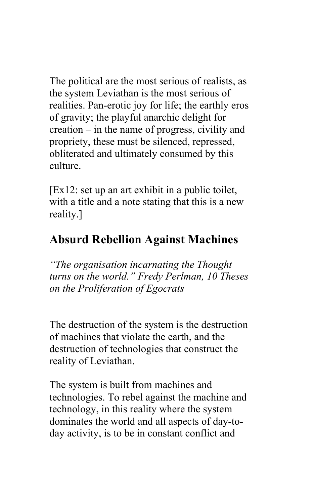The political are the most serious of realists, as the system Leviathan is the most serious of realities. Pan-erotic joy for life; the earthly eros of gravity; the playful anarchic delight for creation – in the name of progress, civility and propriety, these must be silenced, repressed, obliterated and ultimately consumed by this culture.

[Ex12: set up an art exhibit in a public toilet, with a title and a note stating that this is a new reality.]

# **Absurd Rebellion Against Machines**

*"The organisation incarnating the Thought turns on the world." Fredy Perlman, 10 Theses on the Proliferation of Egocrats*

The destruction of the system is the destruction of machines that violate the earth, and the destruction of technologies that construct the reality of Leviathan.

The system is built from machines and technologies. To rebel against the machine and technology, in this reality where the system dominates the world and all aspects of day-today activity, is to be in constant conflict and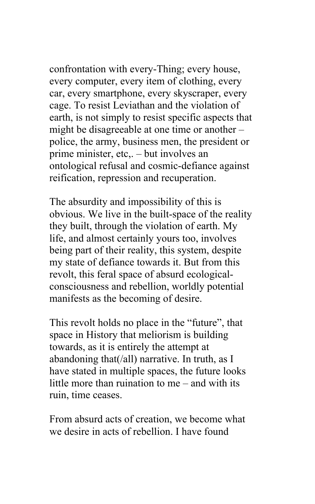confrontation with every-Thing; every house, every computer, every item of clothing, every car, every smartphone, every skyscraper, every cage. To resist Leviathan and the violation of earth, is not simply to resist specific aspects that might be disagreeable at one time or another – police, the army, business men, the president or prime minister, etc,. – but involves an ontological refusal and cosmic-defiance against reification, repression and recuperation.

The absurdity and impossibility of this is obvious. We live in the built-space of the reality they built, through the violation of earth. My life, and almost certainly yours too, involves being part of their reality, this system, despite my state of defiance towards it. But from this revolt, this feral space of absurd ecologicalconsciousness and rebellion, worldly potential manifests as the becoming of desire.

This revolt holds no place in the "future", that space in History that meliorism is building towards, as it is entirely the attempt at abandoning that(/all) narrative. In truth, as I have stated in multiple spaces, the future looks little more than ruination to me – and with its ruin, time ceases.

From absurd acts of creation, we become what we desire in acts of rebellion. I have found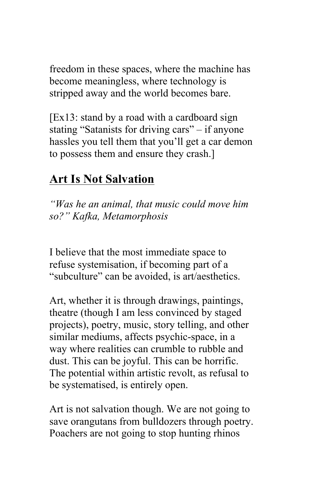freedom in these spaces, where the machine has become meaningless, where technology is stripped away and the world becomes bare.

 $[Ex13: stand by a road with a cardboard sign]$ stating "Satanists for driving cars" – if anyone hassles you tell them that you'll get a car demon to possess them and ensure they crash.]

# **Art Is Not Salvation**

*"Was he an animal, that music could move him so?" Kafka, Metamorphosis* 

I believe that the most immediate space to refuse systemisation, if becoming part of a "subculture" can be avoided, is art/aesthetics.

Art, whether it is through drawings, paintings, theatre (though I am less convinced by staged projects), poetry, music, story telling, and other similar mediums, affects psychic-space, in a way where realities can crumble to rubble and dust. This can be joyful. This can be horrific. The potential within artistic revolt, as refusal to be systematised, is entirely open.

Art is not salvation though. We are not going to save orangutans from bulldozers through poetry. Poachers are not going to stop hunting rhinos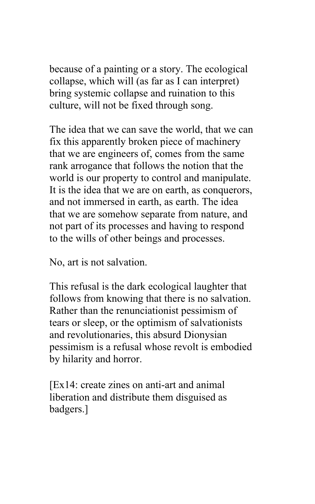because of a painting or a story. The ecological collapse, which will (as far as I can interpret) bring systemic collapse and ruination to this culture, will not be fixed through song.

The idea that we can save the world, that we can fix this apparently broken piece of machinery that we are engineers of, comes from the same rank arrogance that follows the notion that the world is our property to control and manipulate. It is the idea that we are on earth, as conquerors, and not immersed in earth, as earth. The idea that we are somehow separate from nature, and not part of its processes and having to respond to the wills of other beings and processes.

No, art is not salvation.

This refusal is the dark ecological laughter that follows from knowing that there is no salvation. Rather than the renunciationist pessimism of tears or sleep, or the optimism of salvationists and revolutionaries, this absurd Dionysian pessimism is a refusal whose revolt is embodied by hilarity and horror.

[Ex14: create zines on anti-art and animal liberation and distribute them disguised as badgers.]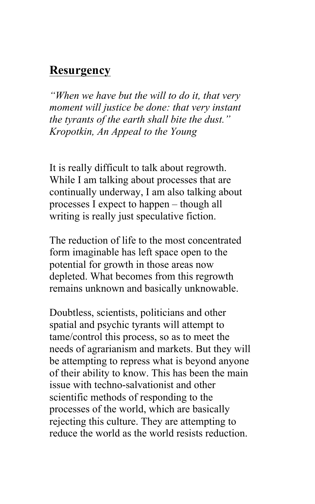#### **Resurgency**

*"When we have but the will to do it, that very moment will justice be done: that very instant the tyrants of the earth shall bite the dust." Kropotkin, An Appeal to the Young* 

It is really difficult to talk about regrowth. While I am talking about processes that are continually underway, I am also talking about processes I expect to happen – though all writing is really just speculative fiction.

The reduction of life to the most concentrated form imaginable has left space open to the potential for growth in those areas now depleted. What becomes from this regrowth remains unknown and basically unknowable.

Doubtless, scientists, politicians and other spatial and psychic tyrants will attempt to tame/control this process, so as to meet the needs of agrarianism and markets. But they will be attempting to repress what is beyond anyone of their ability to know. This has been the main issue with techno-salvationist and other scientific methods of responding to the processes of the world, which are basically rejecting this culture. They are attempting to reduce the world as the world resists reduction.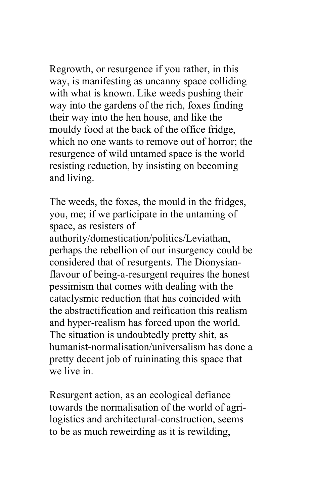Regrowth, or resurgence if you rather, in this way, is manifesting as uncanny space colliding with what is known. Like weeds pushing their way into the gardens of the rich, foxes finding their way into the hen house, and like the mouldy food at the back of the office fridge, which no one wants to remove out of horror; the resurgence of wild untamed space is the world resisting reduction, by insisting on becoming and living.

The weeds, the foxes, the mould in the fridges, you, me; if we participate in the untaming of space, as resisters of authority/domestication/politics/Leviathan, perhaps the rebellion of our insurgency could be considered that of resurgents. The Dionysianflavour of being-a-resurgent requires the honest pessimism that comes with dealing with the cataclysmic reduction that has coincided with the abstractification and reification this realism and hyper-realism has forced upon the world. The situation is undoubtedly pretty shit, as humanist-normalisation/universalism has done a pretty decent job of ruininating this space that we live in.

Resurgent action, as an ecological defiance towards the normalisation of the world of agrilogistics and architectural-construction, seems to be as much reweirding as it is rewilding,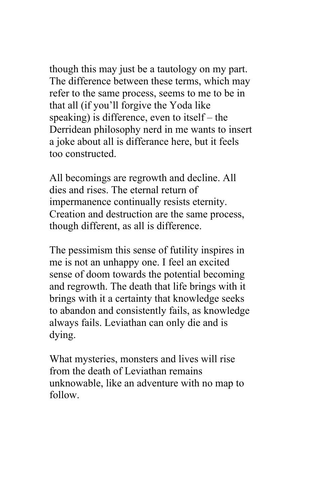though this may just be a tautology on my part. The difference between these terms, which may refer to the same process, seems to me to be in that all (if you'll forgive the Yoda like speaking) is difference, even to itself – the Derridean philosophy nerd in me wants to insert a joke about all is differance here, but it feels too constructed.

All becomings are regrowth and decline. All dies and rises. The eternal return of impermanence continually resists eternity. Creation and destruction are the same process, though different, as all is difference.

The pessimism this sense of futility inspires in me is not an unhappy one. I feel an excited sense of doom towards the potential becoming and regrowth. The death that life brings with it brings with it a certainty that knowledge seeks to abandon and consistently fails, as knowledge always fails. Leviathan can only die and is dying.

What mysteries, monsters and lives will rise from the death of Leviathan remains unknowable, like an adventure with no map to follow.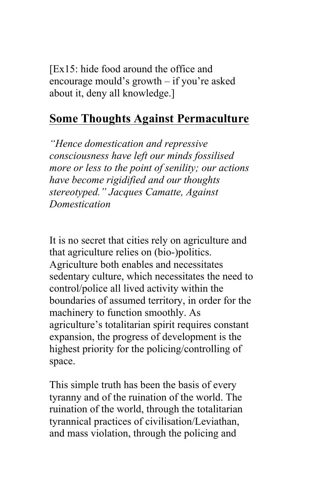[Ex15: hide food around the office and encourage mould's growth – if you're asked about it, deny all knowledge.]

#### **Some Thoughts Against Permaculture**

*"Hence domestication and repressive consciousness have left our minds fossilised more or less to the point of senility; our actions have become rigidified and our thoughts stereotyped." Jacques Camatte, Against Domestication* 

It is no secret that cities rely on agriculture and that agriculture relies on (bio-)politics. Agriculture both enables and necessitates sedentary culture, which necessitates the need to control/police all lived activity within the boundaries of assumed territory, in order for the machinery to function smoothly. As agriculture's totalitarian spirit requires constant expansion, the progress of development is the highest priority for the policing/controlling of space.

This simple truth has been the basis of every tyranny and of the ruination of the world. The ruination of the world, through the totalitarian tyrannical practices of civilisation/Leviathan, and mass violation, through the policing and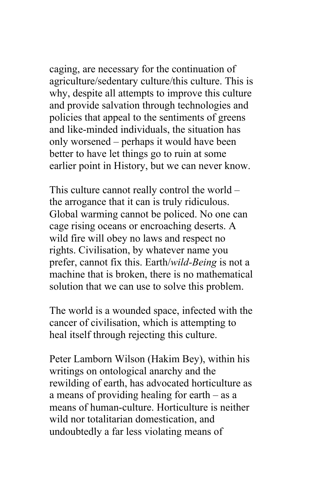caging, are necessary for the continuation of agriculture/sedentary culture/this culture. This is why, despite all attempts to improve this culture and provide salvation through technologies and policies that appeal to the sentiments of greens and like-minded individuals, the situation has only worsened – perhaps it would have been better to have let things go to ruin at some earlier point in History, but we can never know.

This culture cannot really control the world – the arrogance that it can is truly ridiculous. Global warming cannot be policed. No one can cage rising oceans or encroaching deserts. A wild fire will obey no laws and respect no rights. Civilisation, by whatever name you prefer, cannot fix this. Earth/*wild-Being* is not a machine that is broken, there is no mathematical solution that we can use to solve this problem.

The world is a wounded space, infected with the cancer of civilisation, which is attempting to heal itself through rejecting this culture.

Peter Lamborn Wilson (Hakim Bey), within his writings on ontological anarchy and the rewilding of earth, has advocated horticulture as a means of providing healing for earth – as a means of human-culture. Horticulture is neither wild nor totalitarian domestication, and undoubtedly a far less violating means of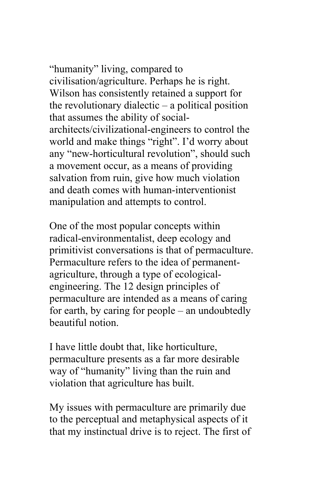"humanity" living, compared to civilisation/agriculture. Perhaps he is right. Wilson has consistently retained a support for the revolutionary dialectic – a political position that assumes the ability of socialarchitects/civilizational-engineers to control the world and make things "right". I'd worry about any "new-horticultural revolution", should such a movement occur, as a means of providing salvation from ruin, give how much violation and death comes with human-interventionist manipulation and attempts to control.

One of the most popular concepts within radical-environmentalist, deep ecology and primitivist conversations is that of permaculture. Permaculture refers to the idea of permanentagriculture, through a type of ecologicalengineering. The 12 design principles of permaculture are intended as a means of caring for earth, by caring for people – an undoubtedly beautiful notion.

I have little doubt that, like horticulture, permaculture presents as a far more desirable way of "humanity" living than the ruin and violation that agriculture has built.

My issues with permaculture are primarily due to the perceptual and metaphysical aspects of it that my instinctual drive is to reject. The first of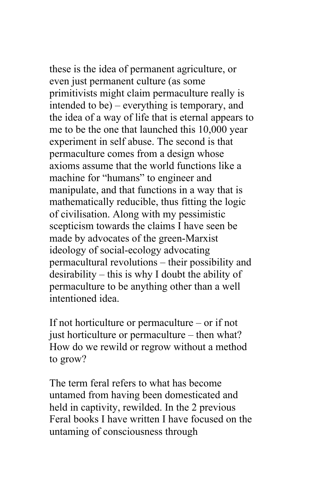these is the idea of permanent agriculture, or even just permanent culture (as some primitivists might claim permaculture really is intended to be) – everything is temporary, and the idea of a way of life that is eternal appears to me to be the one that launched this 10,000 year experiment in self abuse. The second is that permaculture comes from a design whose axioms assume that the world functions like a machine for "humans" to engineer and manipulate, and that functions in a way that is mathematically reducible, thus fitting the logic of civilisation. Along with my pessimistic scepticism towards the claims I have seen be made by advocates of the green-Marxist ideology of social-ecology advocating permacultural revolutions – their possibility and desirability – this is why I doubt the ability of permaculture to be anything other than a well intentioned idea.

If not horticulture or permaculture – or if not just horticulture or permaculture – then what? How do we rewild or regrow without a method to grow?

The term feral refers to what has become untamed from having been domesticated and held in captivity, rewilded. In the 2 previous Feral books I have written I have focused on the untaming of consciousness through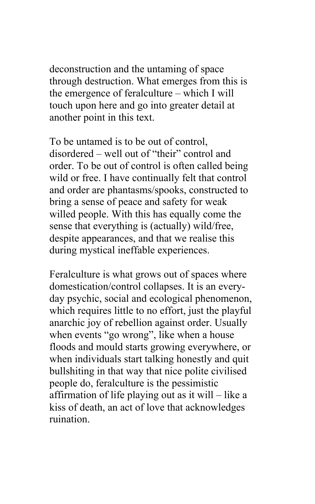deconstruction and the untaming of space through destruction. What emerges from this is the emergence of feralculture – which I will touch upon here and go into greater detail at another point in this text.

To be untamed is to be out of control, disordered – well out of "their" control and order. To be out of control is often called being wild or free. I have continually felt that control and order are phantasms/spooks, constructed to bring a sense of peace and safety for weak willed people. With this has equally come the sense that everything is (actually) wild/free, despite appearances, and that we realise this during mystical ineffable experiences.

Feralculture is what grows out of spaces where domestication/control collapses. It is an everyday psychic, social and ecological phenomenon, which requires little to no effort, just the playful anarchic joy of rebellion against order. Usually when events "go wrong", like when a house floods and mould starts growing everywhere, or when individuals start talking honestly and quit bullshiting in that way that nice polite civilised people do, feralculture is the pessimistic affirmation of life playing out as it will – like a kiss of death, an act of love that acknowledges ruination.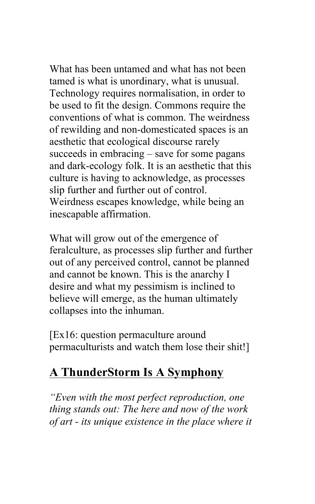What has been untamed and what has not been tamed is what is unordinary, what is unusual. Technology requires normalisation, in order to be used to fit the design. Commons require the conventions of what is common. The weirdness of rewilding and non-domesticated spaces is an aesthetic that ecological discourse rarely succeeds in embracing – save for some pagans and dark-ecology folk. It is an aesthetic that this culture is having to acknowledge, as processes slip further and further out of control. Weirdness escapes knowledge, while being an inescapable affirmation.

What will grow out of the emergence of feralculture, as processes slip further and further out of any perceived control, cannot be planned and cannot be known. This is the anarchy I desire and what my pessimism is inclined to believe will emerge, as the human ultimately collapses into the inhuman.

[Ex16: question permaculture around permaculturists and watch them lose their shit!]

### **A ThunderStorm Is A Symphony**

*"Even with the most perfect reproduction, one thing stands out: The here and now of the work of art - its unique existence in the place where it*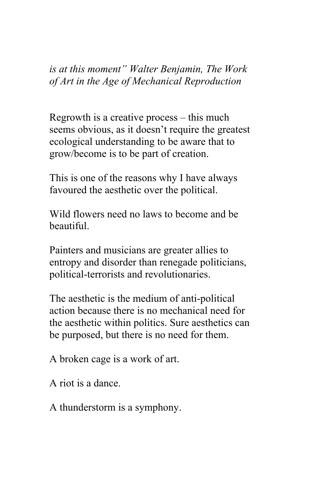*is at this moment" Walter Benjamin, The Work of Art in the Age of Mechanical Reproduction*

Regrowth is a creative process – this much seems obvious, as it doesn't require the greatest ecological understanding to be aware that to grow/become is to be part of creation.

This is one of the reasons why I have always favoured the aesthetic over the political.

Wild flowers need no laws to become and be beautiful.

Painters and musicians are greater allies to entropy and disorder than renegade politicians, political-terrorists and revolutionaries.

The aesthetic is the medium of anti-political action because there is no mechanical need for the aesthetic within politics. Sure aesthetics can be purposed, but there is no need for them.

A broken cage is a work of art.

A riot is a dance.

A thunderstorm is a symphony.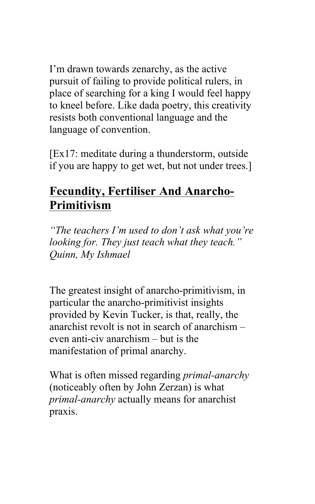I'm drawn towards zenarchy, as the active pursuit of failing to provide political rulers, in place of searching for a king I would feel happy to kneel before. Like dada poetry, this creativity resists both conventional language and the language of convention.

[Ex17: meditate during a thunderstorm, outside if you are happy to get wet, but not under trees.]

# **Fecundity, Fertiliser And Anarcho-Primitivism**

*"The teachers I'm used to don't ask what you're looking for. They just teach what they teach." Quinn, My Ishmael* 

The greatest insight of anarcho-primitivism, in particular the anarcho-primitivist insights provided by Kevin Tucker, is that, really, the anarchist revolt is not in search of anarchism – even anti-civ anarchism – but is the manifestation of primal anarchy.

What is often missed regarding *primal-anarchy* (noticeably often by John Zerzan) is what *primal-anarchy* actually means for anarchist praxis.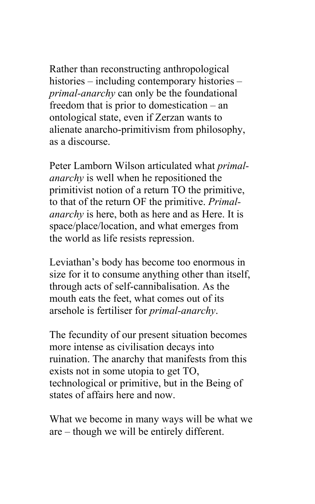Rather than reconstructing anthropological histories – including contemporary histories – *primal-anarchy* can only be the foundational freedom that is prior to domestication – an ontological state, even if Zerzan wants to alienate anarcho-primitivism from philosophy, as a discourse.

Peter Lamborn Wilson articulated what *primalanarchy* is well when he repositioned the primitivist notion of a return TO the primitive, to that of the return OF the primitive. *Primalanarchy* is here, both as here and as Here. It is space/place/location, and what emerges from the world as life resists repression.

Leviathan's body has become too enormous in size for it to consume anything other than itself, through acts of self-cannibalisation. As the mouth eats the feet, what comes out of its arsehole is fertiliser for *primal-anarchy*.

The fecundity of our present situation becomes more intense as civilisation decays into ruination. The anarchy that manifests from this exists not in some utopia to get TO, technological or primitive, but in the Being of states of affairs here and now.

What we become in many ways will be what we are – though we will be entirely different.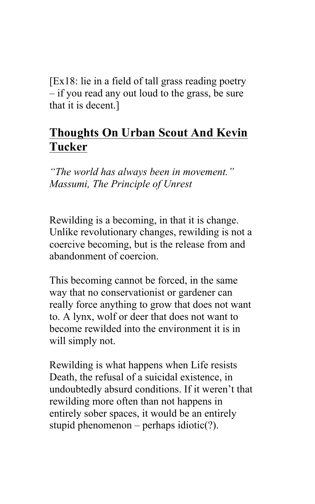[Ex18: lie in a field of tall grass reading poetry – if you read any out loud to the grass, be sure that it is decent.]

### **Thoughts On Urban Scout And Kevin Tucker**

*"The world has always been in movement." Massumi, The Principle of Unrest*

Rewilding is a becoming, in that it is change. Unlike revolutionary changes, rewilding is not a coercive becoming, but is the release from and abandonment of coercion.

This becoming cannot be forced, in the same way that no conservationist or gardener can really force anything to grow that does not want to. A lynx, wolf or deer that does not want to become rewilded into the environment it is in will simply not.

Rewilding is what happens when Life resists Death, the refusal of a suicidal existence, in undoubtedly absurd conditions. If it weren't that rewilding more often than not happens in entirely sober spaces, it would be an entirely stupid phenomenon – perhaps idiotic(?).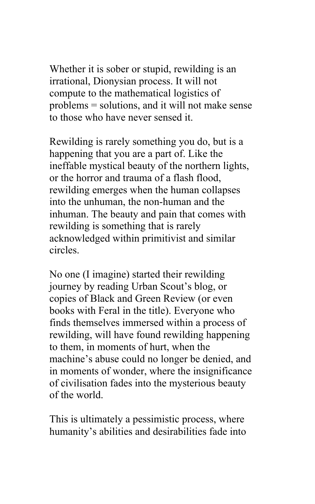Whether it is sober or stupid, rewilding is an irrational, Dionysian process. It will not compute to the mathematical logistics of problems = solutions, and it will not make sense to those who have never sensed it.

Rewilding is rarely something you do, but is a happening that you are a part of. Like the ineffable mystical beauty of the northern lights, or the horror and trauma of a flash flood, rewilding emerges when the human collapses into the unhuman, the non-human and the inhuman. The beauty and pain that comes with rewilding is something that is rarely acknowledged within primitivist and similar circles.

No one (I imagine) started their rewilding journey by reading Urban Scout's blog, or copies of Black and Green Review (or even books with Feral in the title). Everyone who finds themselves immersed within a process of rewilding, will have found rewilding happening to them, in moments of hurt, when the machine's abuse could no longer be denied, and in moments of wonder, where the insignificance of civilisation fades into the mysterious beauty of the world.

This is ultimately a pessimistic process, where humanity's abilities and desirabilities fade into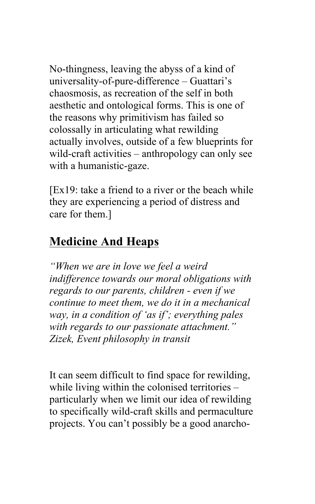No-thingness, leaving the abyss of a kind of universality-of-pure-difference – Guattari's chaosmosis, as recreation of the self in both aesthetic and ontological forms. This is one of the reasons why primitivism has failed so colossally in articulating what rewilding actually involves, outside of a few blueprints for wild-craft activities – anthropology can only see with a humanistic-gaze.

[Ex19: take a friend to a river or the beach while they are experiencing a period of distress and care for them.]

# **Medicine And Heaps**

*"When we are in love we feel a weird indifference towards our moral obligations with regards to our parents, children - even if we continue to meet them, we do it in a mechanical way, in a condition of 'as if'; everything pales with regards to our passionate attachment." Zizek, Event philosophy in transit*

It can seem difficult to find space for rewilding, while living within the colonised territories – particularly when we limit our idea of rewilding to specifically wild-craft skills and permaculture projects. You can't possibly be a good anarcho-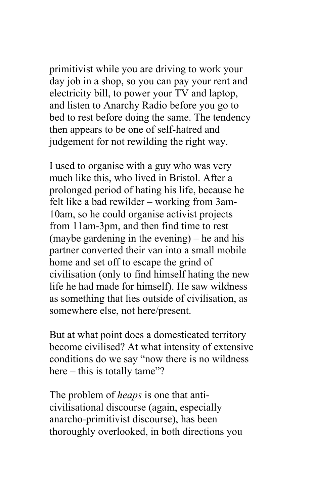primitivist while you are driving to work your day job in a shop, so you can pay your rent and electricity bill, to power your TV and laptop, and listen to Anarchy Radio before you go to bed to rest before doing the same. The tendency then appears to be one of self-hatred and judgement for not rewilding the right way.

I used to organise with a guy who was very much like this, who lived in Bristol. After a prolonged period of hating his life, because he felt like a bad rewilder – working from 3am-10am, so he could organise activist projects from 11am-3pm, and then find time to rest (maybe gardening in the evening) – he and his partner converted their van into a small mobile home and set off to escape the grind of civilisation (only to find himself hating the new life he had made for himself). He saw wildness as something that lies outside of civilisation, as somewhere else, not here/present.

But at what point does a domesticated territory become civilised? At what intensity of extensive conditions do we say "now there is no wildness here – this is totally tame"?

The problem of *heaps* is one that anticivilisational discourse (again, especially anarcho-primitivist discourse), has been thoroughly overlooked, in both directions you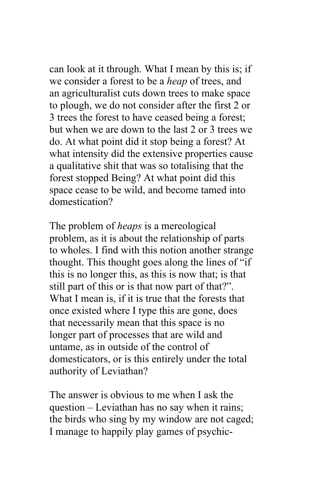can look at it through. What I mean by this is; if we consider a forest to be a *heap* of trees, and an agriculturalist cuts down trees to make space to plough, we do not consider after the first 2 or 3 trees the forest to have ceased being a forest; but when we are down to the last 2 or 3 trees we do. At what point did it stop being a forest? At what intensity did the extensive properties cause a qualitative shit that was so totalising that the forest stopped Being? At what point did this space cease to be wild, and become tamed into domestication?

The problem of *heaps* is a mereological problem, as it is about the relationship of parts to wholes. I find with this notion another strange thought. This thought goes along the lines of "if this is no longer this, as this is now that; is that still part of this or is that now part of that?". What I mean is, if it is true that the forests that once existed where I type this are gone, does that necessarily mean that this space is no longer part of processes that are wild and untame, as in outside of the control of domesticators, or is this entirely under the total authority of Leviathan?

The answer is obvious to me when I ask the question – Leviathan has no say when it rains; the birds who sing by my window are not caged; I manage to happily play games of psychic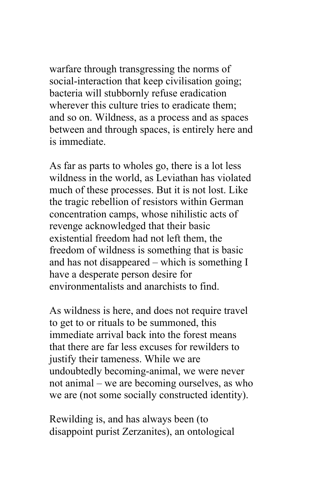warfare through transgressing the norms of social-interaction that keep civilisation going; bacteria will stubbornly refuse eradication wherever this culture tries to eradicate them; and so on. Wildness, as a process and as spaces between and through spaces, is entirely here and is immediate.

As far as parts to wholes go, there is a lot less wildness in the world, as Leviathan has violated much of these processes. But it is not lost. Like the tragic rebellion of resistors within German concentration camps, whose nihilistic acts of revenge acknowledged that their basic existential freedom had not left them, the freedom of wildness is something that is basic and has not disappeared – which is something I have a desperate person desire for environmentalists and anarchists to find.

As wildness is here, and does not require travel to get to or rituals to be summoned, this immediate arrival back into the forest means that there are far less excuses for rewilders to justify their tameness. While we are undoubtedly becoming-animal, we were never not animal – we are becoming ourselves, as who we are (not some socially constructed identity).

Rewilding is, and has always been (to disappoint purist Zerzanites), an ontological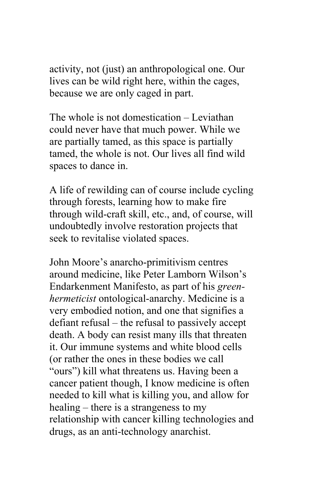activity, not (just) an anthropological one. Our lives can be wild right here, within the cages, because we are only caged in part.

The whole is not domestication – Leviathan could never have that much power. While we are partially tamed, as this space is partially tamed, the whole is not. Our lives all find wild spaces to dance in.

A life of rewilding can of course include cycling through forests, learning how to make fire through wild-craft skill, etc., and, of course, will undoubtedly involve restoration projects that seek to revitalise violated spaces.

John Moore's anarcho-primitivism centres around medicine, like Peter Lamborn Wilson's Endarkenment Manifesto, as part of his *greenhermeticist* ontological-anarchy. Medicine is a very embodied notion, and one that signifies a defiant refusal – the refusal to passively accept death. A body can resist many ills that threaten it. Our immune systems and white blood cells (or rather the ones in these bodies we call "ours") kill what threatens us. Having been a cancer patient though, I know medicine is often needed to kill what is killing you, and allow for healing – there is a strangeness to my relationship with cancer killing technologies and drugs, as an anti-technology anarchist.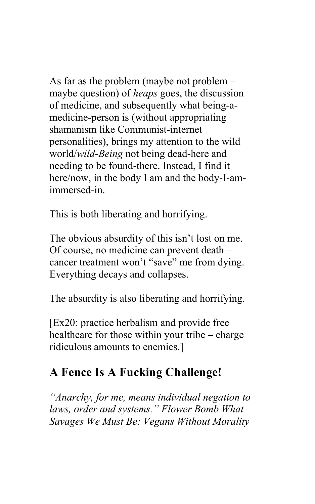As far as the problem (maybe not problem – maybe question) of *heaps* goes, the discussion of medicine, and subsequently what being-amedicine-person is (without appropriating shamanism like Communist-internet personalities), brings my attention to the wild world/*wild-Being* not being dead-here and needing to be found-there. Instead, I find it here/now, in the body I am and the body-I-amimmersed-in.

This is both liberating and horrifying.

The obvious absurdity of this isn't lost on me. Of course, no medicine can prevent death – cancer treatment won't "save" me from dying. Everything decays and collapses.

The absurdity is also liberating and horrifying.

[Ex20: practice herbalism and provide free healthcare for those within your tribe – charge ridiculous amounts to enemies.]

### **A Fence Is A Fucking Challenge!**

*"Anarchy, for me, means individual negation to laws, order and systems." Flower Bomb What Savages We Must Be: Vegans Without Morality*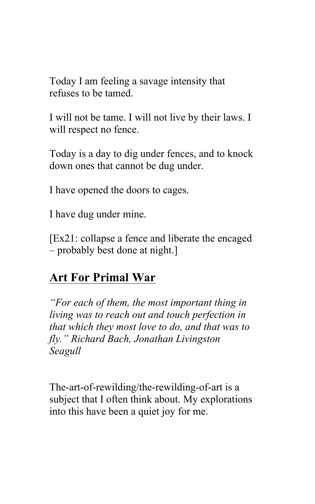Today I am feeling a savage intensity that refuses to be tamed.

I will not be tame. I will not live by their laws. I will respect no fence.

Today is a day to dig under fences, and to knock down ones that cannot be dug under.

I have opened the doors to cages.

I have dug under mine.

[Ex21: collapse a fence and liberate the encaged – probably best done at night.]

### **Art For Primal War**

*"For each of them, the most important thing in living was to reach out and touch perfection in that which they most love to do, and that was to fly." Richard Bach, Jonathan Livingston Seagull*

The-art-of-rewilding/the-rewilding-of-art is a subject that I often think about. My explorations into this have been a quiet joy for me.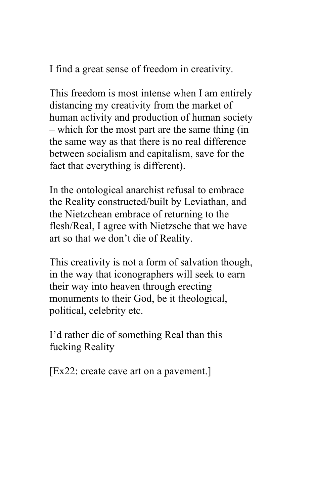I find a great sense of freedom in creativity.

This freedom is most intense when I am entirely distancing my creativity from the market of human activity and production of human society – which for the most part are the same thing (in the same way as that there is no real difference between socialism and capitalism, save for the fact that everything is different).

In the ontological anarchist refusal to embrace the Reality constructed/built by Leviathan, and the Nietzchean embrace of returning to the flesh/Real, I agree with Nietzsche that we have art so that we don't die of Reality.

This creativity is not a form of salvation though, in the way that iconographers will seek to earn their way into heaven through erecting monuments to their God, be it theological, political, celebrity etc.

I'd rather die of something Real than this fucking Reality

[Ex22: create cave art on a pavement.]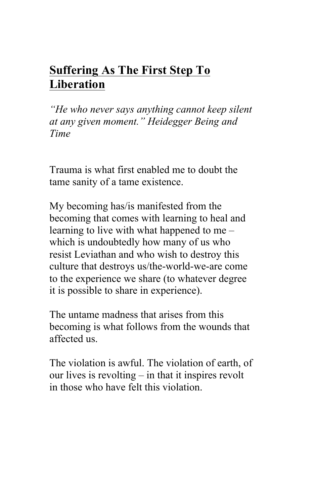# **Suffering As The First Step To Liberation**

*"He who never says anything cannot keep silent at any given moment." Heidegger Being and Time* 

Trauma is what first enabled me to doubt the tame sanity of a tame existence.

My becoming has/is manifested from the becoming that comes with learning to heal and learning to live with what happened to me – which is undoubtedly how many of us who resist Leviathan and who wish to destroy this culture that destroys us/the-world-we-are come to the experience we share (to whatever degree it is possible to share in experience).

The untame madness that arises from this becoming is what follows from the wounds that affected us.

The violation is awful. The violation of earth, of our lives is revolting – in that it inspires revolt in those who have felt this violation.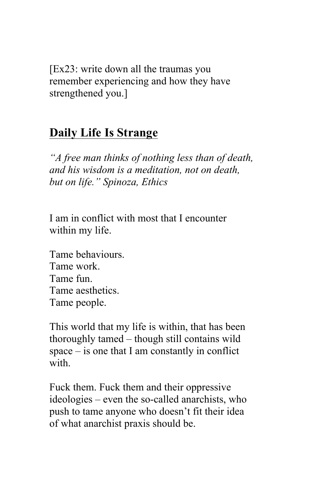[Ex23: write down all the traumas you remember experiencing and how they have strengthened you.]

### **Daily Life Is Strange**

*"A free man thinks of nothing less than of death, and his wisdom is a meditation, not on death, but on life." Spinoza, Ethics* 

I am in conflict with most that I encounter within my life.

Tame behaviours. Tame work. Tame fun. Tame aesthetics. Tame people.

This world that my life is within, that has been thoroughly tamed – though still contains wild space – is one that I am constantly in conflict with

Fuck them. Fuck them and their oppressive ideologies – even the so-called anarchists, who push to tame anyone who doesn't fit their idea of what anarchist praxis should be.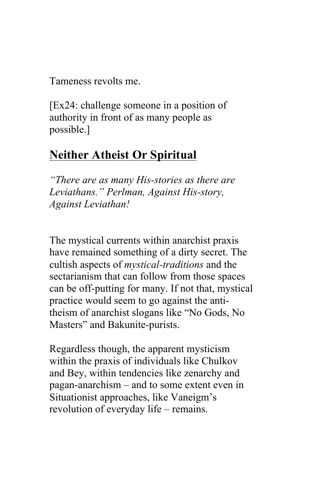Tameness revolts me.

[Ex24: challenge someone in a position of authority in front of as many people as possible.]

# **Neither Atheist Or Spiritual**

*"There are as many His-stories as there are Leviathans." Perlman, Against His-story, Against Leviathan!*

The mystical currents within anarchist praxis have remained something of a dirty secret. The cultish aspects of *mystical-traditions* and the sectarianism that can follow from those spaces can be off-putting for many. If not that, mystical practice would seem to go against the antitheism of anarchist slogans like "No Gods, No Masters" and Bakunite-purists.

Regardless though, the apparent mysticism within the praxis of individuals like Chulkov and Bey, within tendencies like zenarchy and pagan-anarchism – and to some extent even in Situationist approaches, like Vaneigm's revolution of everyday life – remains.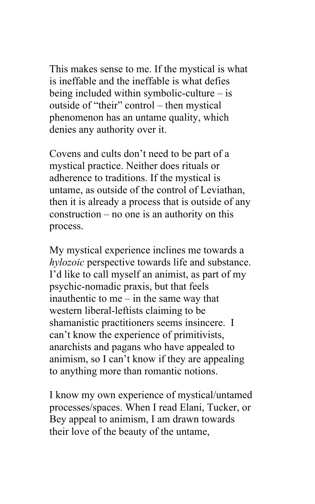This makes sense to me. If the mystical is what is ineffable and the ineffable is what defies being included within symbolic-culture – is outside of "their" control – then mystical phenomenon has an untame quality, which denies any authority over it.

Covens and cults don't need to be part of a mystical practice. Neither does rituals or adherence to traditions. If the mystical is untame, as outside of the control of Leviathan, then it is already a process that is outside of any construction – no one is an authority on this process.

My mystical experience inclines me towards a *hylozoic* perspective towards life and substance. I'd like to call myself an animist, as part of my psychic-nomadic praxis, but that feels inauthentic to me – in the same way that western liberal-leftists claiming to be shamanistic practitioners seems insincere. I can't know the experience of primitivists, anarchists and pagans who have appealed to animism, so I can't know if they are appealing to anything more than romantic notions.

I know my own experience of mystical/untamed processes/spaces. When I read Elani, Tucker, or Bey appeal to animism, I am drawn towards their love of the beauty of the untame,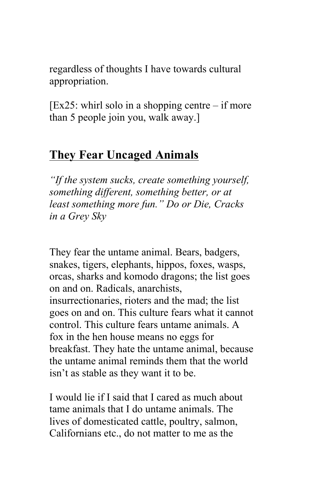regardless of thoughts I have towards cultural appropriation.

 $[Ex25:$  whirl solo in a shopping centre – if more than 5 people join you, walk away.]

### **They Fear Uncaged Animals**

*"If the system sucks, create something yourself, something different, something better, or at least something more fun." Do or Die, Cracks in a Grey Sky*

They fear the untame animal. Bears, badgers, snakes, tigers, elephants, hippos, foxes, wasps, orcas, sharks and komodo dragons; the list goes on and on. Radicals, anarchists, insurrectionaries, rioters and the mad; the list goes on and on. This culture fears what it cannot control. This culture fears untame animals. A fox in the hen house means no eggs for breakfast. They hate the untame animal, because the untame animal reminds them that the world isn't as stable as they want it to be.

I would lie if I said that I cared as much about tame animals that I do untame animals. The lives of domesticated cattle, poultry, salmon, Californians etc., do not matter to me as the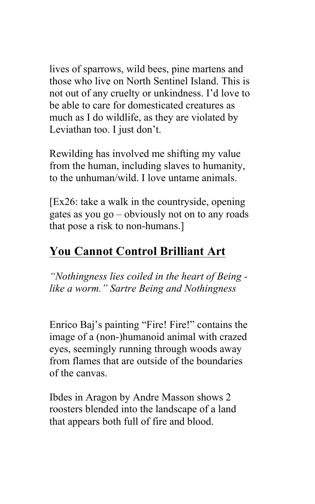lives of sparrows, wild bees, pine martens and those who live on North Sentinel Island. This is not out of any cruelty or unkindness. I'd love to be able to care for domesticated creatures as much as I do wildlife, as they are violated by Leviathan too. I just don't.

Rewilding has involved me shifting my value from the human, including slaves to humanity, to the unhuman/wild. I love untame animals.

[Ex26: take a walk in the countryside, opening gates as you go – obviously not on to any roads that pose a risk to non-humans.]

# **You Cannot Control Brilliant Art**

*"Nothingness lies coiled in the heart of Being like a worm." Sartre Being and Nothingness* 

Enrico Baj's painting "Fire! Fire!" contains the image of a (non-)humanoid animal with crazed eyes, seemingly running through woods away from flames that are outside of the boundaries of the canvas.

Ibdes in Aragon by Andre Masson shows 2 roosters blended into the landscape of a land that appears both full of fire and blood.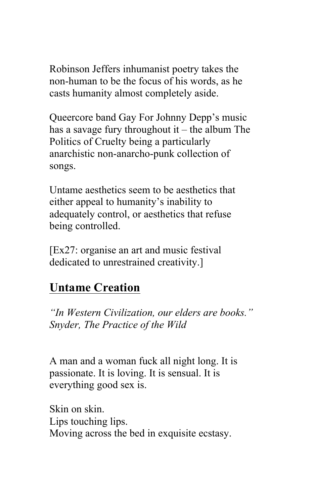Robinson Jeffers inhumanist poetry takes the non-human to be the focus of his words, as he casts humanity almost completely aside.

Queercore band Gay For Johnny Depp's music has a savage fury throughout it – the album The Politics of Cruelty being a particularly anarchistic non-anarcho-punk collection of songs.

Untame aesthetics seem to be aesthetics that either appeal to humanity's inability to adequately control, or aesthetics that refuse being controlled.

[Ex27: organise an art and music festival dedicated to unrestrained creativity.]

### **Untame Creation**

*"In Western Civilization, our elders are books." Snyder, The Practice of the Wild* 

A man and a woman fuck all night long. It is passionate. It is loving. It is sensual. It is everything good sex is.

Skin on skin. Lips touching lips. Moving across the bed in exquisite ecstasy.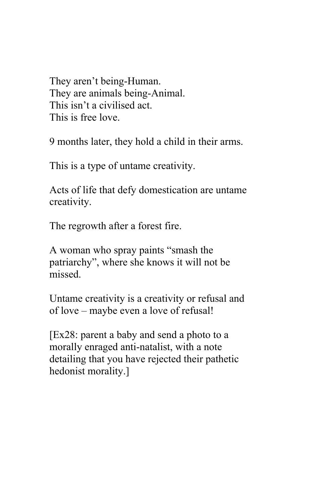They aren't being-Human. They are animals being-Animal. This isn't a civilised act. This is free love.

9 months later, they hold a child in their arms.

This is a type of untame creativity.

Acts of life that defy domestication are untame creativity.

The regrowth after a forest fire.

A woman who spray paints "smash the patriarchy", where she knows it will not be missed.

Untame creativity is a creativity or refusal and of love – maybe even a love of refusal!

[Ex28: parent a baby and send a photo to a morally enraged anti-natalist, with a note detailing that you have rejected their pathetic hedonist morality.]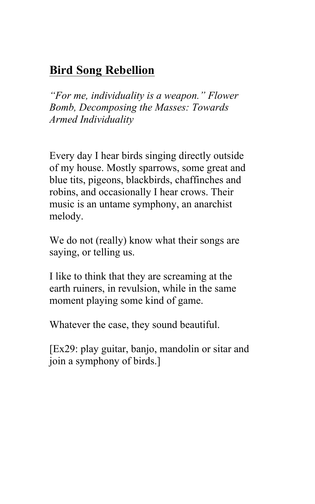# **Bird Song Rebellion**

*"For me, individuality is a weapon." Flower Bomb, Decomposing the Masses: Towards Armed Individuality*

Every day I hear birds singing directly outside of my house. Mostly sparrows, some great and blue tits, pigeons, blackbirds, chaffinches and robins, and occasionally I hear crows. Their music is an untame symphony, an anarchist melody.

We do not (really) know what their songs are saying, or telling us.

I like to think that they are screaming at the earth ruiners, in revulsion, while in the same moment playing some kind of game.

Whatever the case, they sound beautiful.

[Ex29: play guitar, banjo, mandolin or sitar and join a symphony of birds.]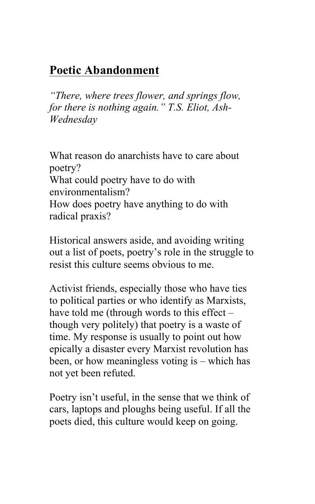# **Poetic Abandonment**

*"There, where trees flower, and springs flow, for there is nothing again." T.S. Eliot, Ash-Wednesday* 

What reason do anarchists have to care about poetry? What could poetry have to do with environmentalism? How does poetry have anything to do with radical praxis?

Historical answers aside, and avoiding writing out a list of poets, poetry's role in the struggle to resist this culture seems obvious to me.

Activist friends, especially those who have ties to political parties or who identify as Marxists, have told me (through words to this effect – though very politely) that poetry is a waste of time. My response is usually to point out how epically a disaster every Marxist revolution has been, or how meaningless voting is – which has not yet been refuted.

Poetry isn't useful, in the sense that we think of cars, laptops and ploughs being useful. If all the poets died, this culture would keep on going.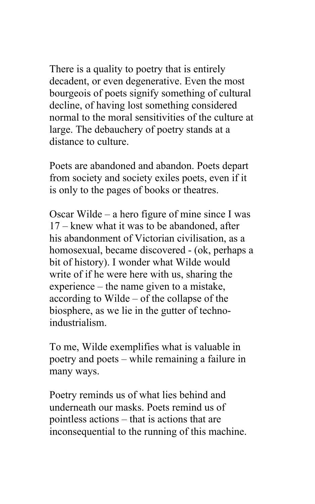There is a quality to poetry that is entirely decadent, or even degenerative. Even the most bourgeois of poets signify something of cultural decline, of having lost something considered normal to the moral sensitivities of the culture at large. The debauchery of poetry stands at a distance to culture.

Poets are abandoned and abandon. Poets depart from society and society exiles poets, even if it is only to the pages of books or theatres.

Oscar Wilde – a hero figure of mine since I was 17 – knew what it was to be abandoned, after his abandonment of Victorian civilisation, as a homosexual, became discovered - (ok, perhaps a bit of history). I wonder what Wilde would write of if he were here with us, sharing the experience – the name given to a mistake, according to Wilde – of the collapse of the biosphere, as we lie in the gutter of technoindustrialism.

To me, Wilde exemplifies what is valuable in poetry and poets – while remaining a failure in many ways.

Poetry reminds us of what lies behind and underneath our masks. Poets remind us of pointless actions – that is actions that are inconsequential to the running of this machine.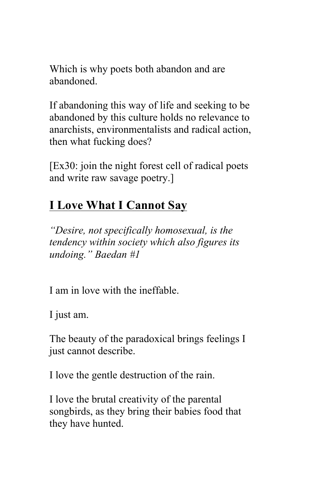Which is why poets both abandon and are abandoned.

If abandoning this way of life and seeking to be abandoned by this culture holds no relevance to anarchists, environmentalists and radical action, then what fucking does?

[Ex30: join the night forest cell of radical poets and write raw savage poetry.]

# **I Love What I Cannot Say**

*"Desire, not specifically homosexual, is the tendency within society which also figures its undoing." Baedan #1* 

I am in love with the ineffable.

I just am.

The beauty of the paradoxical brings feelings I just cannot describe.

I love the gentle destruction of the rain.

I love the brutal creativity of the parental songbirds, as they bring their babies food that they have hunted.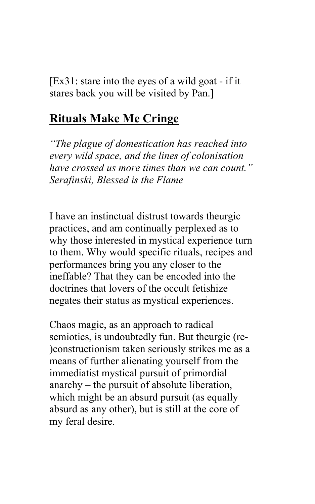$[Ex31: state into the eyes of a wild goat - if it]$ stares back you will be visited by Pan.]

#### **Rituals Make Me Cringe**

*"The plague of domestication has reached into every wild space, and the lines of colonisation have crossed us more times than we can count." Serafinski, Blessed is the Flame* 

I have an instinctual distrust towards theurgic practices, and am continually perplexed as to why those interested in mystical experience turn to them. Why would specific rituals, recipes and performances bring you any closer to the ineffable? That they can be encoded into the doctrines that lovers of the occult fetishize negates their status as mystical experiences.

Chaos magic, as an approach to radical semiotics, is undoubtedly fun. But theurgic (re- )constructionism taken seriously strikes me as a means of further alienating yourself from the immediatist mystical pursuit of primordial anarchy – the pursuit of absolute liberation, which might be an absurd pursuit (as equally absurd as any other), but is still at the core of my feral desire.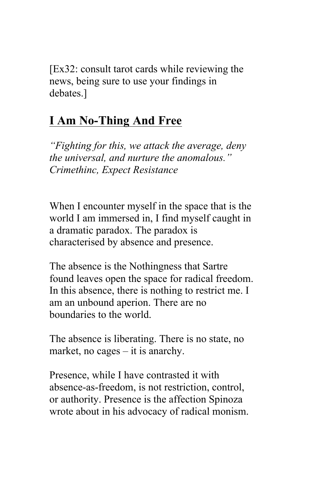[Ex32: consult tarot cards while reviewing the news, being sure to use your findings in debates.]

# **I Am No-Thing And Free**

*"Fighting for this, we attack the average, deny the universal, and nurture the anomalous." Crimethinc, Expect Resistance* 

When I encounter myself in the space that is the world I am immersed in, I find myself caught in a dramatic paradox. The paradox is characterised by absence and presence.

The absence is the Nothingness that Sartre found leaves open the space for radical freedom. In this absence, there is nothing to restrict me. I am an unbound aperion. There are no boundaries to the world.

The absence is liberating. There is no state, no market, no cages – it is anarchy.

Presence, while I have contrasted it with absence-as-freedom, is not restriction, control, or authority. Presence is the affection Spinoza wrote about in his advocacy of radical monism.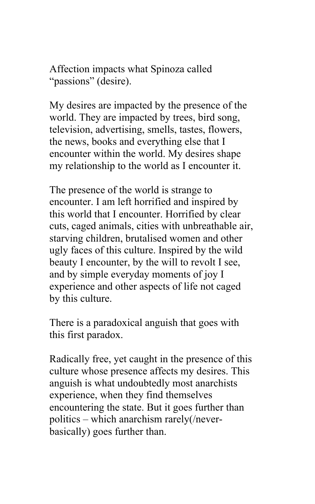Affection impacts what Spinoza called "passions" (desire).

My desires are impacted by the presence of the world. They are impacted by trees, bird song, television, advertising, smells, tastes, flowers, the news, books and everything else that I encounter within the world. My desires shape my relationship to the world as I encounter it.

The presence of the world is strange to encounter. I am left horrified and inspired by this world that I encounter. Horrified by clear cuts, caged animals, cities with unbreathable air, starving children, brutalised women and other ugly faces of this culture. Inspired by the wild beauty I encounter, by the will to revolt I see, and by simple everyday moments of joy I experience and other aspects of life not caged by this culture.

There is a paradoxical anguish that goes with this first paradox.

Radically free, yet caught in the presence of this culture whose presence affects my desires. This anguish is what undoubtedly most anarchists experience, when they find themselves encountering the state. But it goes further than politics – which anarchism rarely(/neverbasically) goes further than.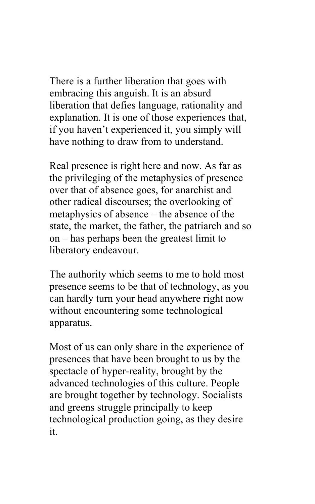There is a further liberation that goes with embracing this anguish. It is an absurd liberation that defies language, rationality and explanation. It is one of those experiences that, if you haven't experienced it, you simply will have nothing to draw from to understand.

Real presence is right here and now. As far as the privileging of the metaphysics of presence over that of absence goes, for anarchist and other radical discourses; the overlooking of metaphysics of absence – the absence of the state, the market, the father, the patriarch and so on – has perhaps been the greatest limit to liberatory endeavour.

The authority which seems to me to hold most presence seems to be that of technology, as you can hardly turn your head anywhere right now without encountering some technological apparatus.

Most of us can only share in the experience of presences that have been brought to us by the spectacle of hyper-reality, brought by the advanced technologies of this culture. People are brought together by technology. Socialists and greens struggle principally to keep technological production going, as they desire it.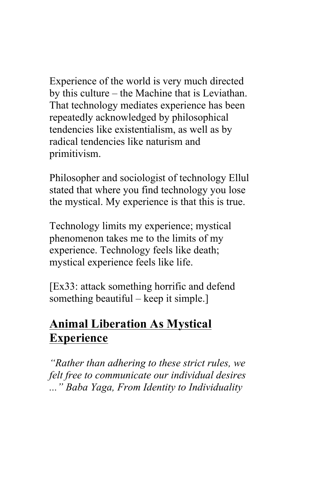Experience of the world is very much directed by this culture – the Machine that is Leviathan. That technology mediates experience has been repeatedly acknowledged by philosophical tendencies like existentialism, as well as by radical tendencies like naturism and primitivism.

Philosopher and sociologist of technology Ellul stated that where you find technology you lose the mystical. My experience is that this is true.

Technology limits my experience; mystical phenomenon takes me to the limits of my experience. Technology feels like death; mystical experience feels like life.

[Ex33: attack something horrific and defend something beautiful – keep it simple.]

# **Animal Liberation As Mystical Experience**

*"Rather than adhering to these strict rules, we felt free to communicate our individual desires ..." Baba Yaga, From Identity to Individuality*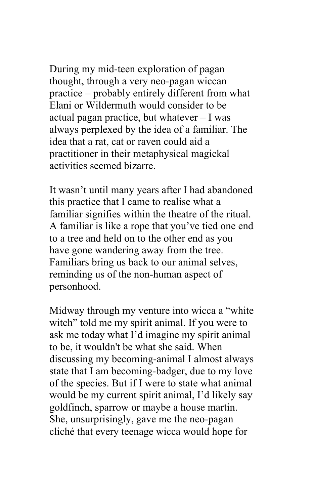During my mid-teen exploration of pagan thought, through a very neo-pagan wiccan practice – probably entirely different from what Elani or Wildermuth would consider to be actual pagan practice, but whatever – I was always perplexed by the idea of a familiar. The idea that a rat, cat or raven could aid a practitioner in their metaphysical magickal activities seemed bizarre.

It wasn't until many years after I had abandoned this practice that I came to realise what a familiar signifies within the theatre of the ritual. A familiar is like a rope that you've tied one end to a tree and held on to the other end as you have gone wandering away from the tree. Familiars bring us back to our animal selves, reminding us of the non-human aspect of personhood.

Midway through my venture into wicca a "white witch" told me my spirit animal. If you were to ask me today what I'd imagine my spirit animal to be, it wouldn't be what she said. When discussing my becoming-animal I almost always state that I am becoming-badger, due to my love of the species. But if I were to state what animal would be my current spirit animal, I'd likely say goldfinch, sparrow or maybe a house martin. She, unsurprisingly, gave me the neo-pagan cliché that every teenage wicca would hope for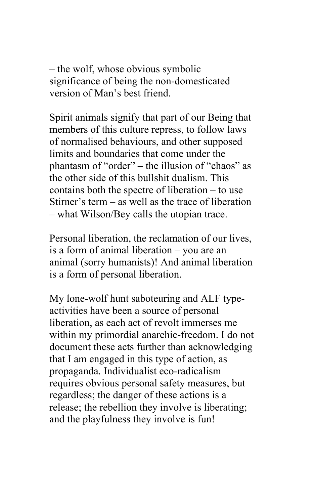– the wolf, whose obvious symbolic significance of being the non-domesticated version of Man's best friend.

Spirit animals signify that part of our Being that members of this culture repress, to follow laws of normalised behaviours, and other supposed limits and boundaries that come under the phantasm of "order" – the illusion of "chaos" as the other side of this bullshit dualism. This contains both the spectre of liberation – to use Stirner's term – as well as the trace of liberation – what Wilson/Bey calls the utopian trace.

Personal liberation, the reclamation of our lives, is a form of animal liberation – you are an animal (sorry humanists)! And animal liberation is a form of personal liberation.

My lone-wolf hunt saboteuring and ALF typeactivities have been a source of personal liberation, as each act of revolt immerses me within my primordial anarchic-freedom. I do not document these acts further than acknowledging that I am engaged in this type of action, as propaganda. Individualist eco-radicalism requires obvious personal safety measures, but regardless; the danger of these actions is a release; the rebellion they involve is liberating; and the playfulness they involve is fun!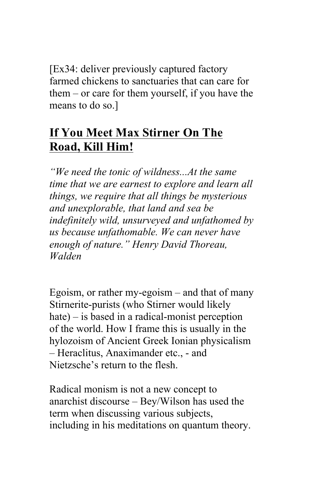[Ex34: deliver previously captured factory farmed chickens to sanctuaries that can care for them – or care for them yourself, if you have the means to do so.]

# **If You Meet Max Stirner On The Road, Kill Him!**

*"We need the tonic of wildness...At the same time that we are earnest to explore and learn all things, we require that all things be mysterious and unexplorable, that land and sea be indefinitely wild, unsurveyed and unfathomed by us because unfathomable. We can never have enough of nature." Henry David Thoreau, Walden*

Egoism, or rather my-egoism – and that of many Stirnerite-purists (who Stirner would likely hate) – is based in a radical-monist perception of the world. How I frame this is usually in the hylozoism of Ancient Greek Ionian physicalism – Heraclitus, Anaximander etc., - and Nietzsche's return to the flesh.

Radical monism is not a new concept to anarchist discourse – Bey/Wilson has used the term when discussing various subjects, including in his meditations on quantum theory.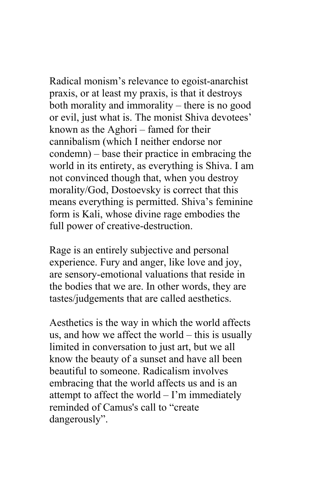Radical monism's relevance to egoist-anarchist praxis, or at least my praxis, is that it destroys both morality and immorality – there is no good or evil, just what is. The monist Shiva devotees' known as the Aghori – famed for their cannibalism (which I neither endorse nor condemn) – base their practice in embracing the world in its entirety, as everything is Shiva. I am not convinced though that, when you destroy morality/God, Dostoevsky is correct that this means everything is permitted. Shiva's feminine form is Kali, whose divine rage embodies the full power of creative-destruction.

Rage is an entirely subjective and personal experience. Fury and anger, like love and joy, are sensory-emotional valuations that reside in the bodies that we are. In other words, they are tastes/judgements that are called aesthetics.

Aesthetics is the way in which the world affects us, and how we affect the world – this is usually limited in conversation to just art, but we all know the beauty of a sunset and have all been beautiful to someone. Radicalism involves embracing that the world affects us and is an attempt to affect the world – I'm immediately reminded of Camus's call to "create dangerously".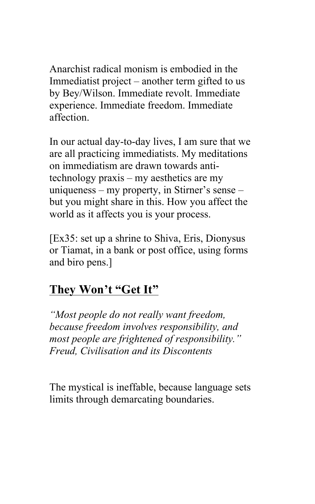Anarchist radical monism is embodied in the Immediatist project – another term gifted to us by Bey/Wilson. Immediate revolt. Immediate experience. Immediate freedom. Immediate affection.

In our actual day-to-day lives, I am sure that we are all practicing immediatists. My meditations on immediatism are drawn towards antitechnology praxis – my aesthetics are my uniqueness – my property, in Stirner's sense – but you might share in this. How you affect the world as it affects you is your process.

[Ex35: set up a shrine to Shiva, Eris, Dionysus or Tiamat, in a bank or post office, using forms and biro pens.]

### **They Won't "Get It"**

*"Most people do not really want freedom, because freedom involves responsibility, and most people are frightened of responsibility." Freud, Civilisation and its Discontents*

The mystical is ineffable, because language sets limits through demarcating boundaries.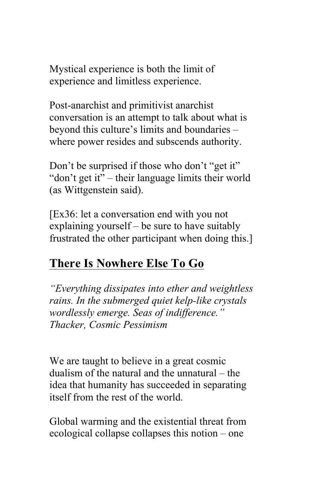Mystical experience is both the limit of experience and limitless experience.

Post-anarchist and primitivist anarchist conversation is an attempt to talk about what is beyond this culture's limits and boundaries – where power resides and subscends authority.

Don't be surprised if those who don't "get it" "don't get it" – their language limits their world (as Wittgenstein said).

[Ex36: let a conversation end with you not explaining yourself – be sure to have suitably frustrated the other participant when doing this.]

# **There Is Nowhere Else To Go**

*"Everything dissipates into ether and weightless rains. In the submerged quiet kelp-like crystals wordlessly emerge. Seas of indifference." Thacker, Cosmic Pessimism* 

We are taught to believe in a great cosmic dualism of the natural and the unnatural – the idea that humanity has succeeded in separating itself from the rest of the world.

Global warming and the existential threat from ecological collapse collapses this notion – one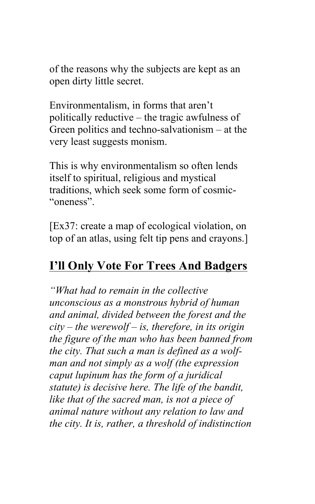of the reasons why the subjects are kept as an open dirty little secret.

Environmentalism, in forms that aren't politically reductive – the tragic awfulness of Green politics and techno-salvationism – at the very least suggests monism.

This is why environmentalism so often lends itself to spiritual, religious and mystical traditions, which seek some form of cosmic- "oneness".

[Ex37: create a map of ecological violation, on top of an atlas, using felt tip pens and crayons.]

### **I'll Only Vote For Trees And Badgers**

*"What had to remain in the collective unconscious as a monstrous hybrid of human and animal, divided between the forest and the city – the werewolf – is, therefore, in its origin the figure of the man who has been banned from the city. That such a man is defined as a wolfman and not simply as a wolf (the expression caput lupinum has the form of a juridical statute) is decisive here. The life of the bandit, like that of the sacred man, is not a piece of animal nature without any relation to law and the city. It is, rather, a threshold of indistinction*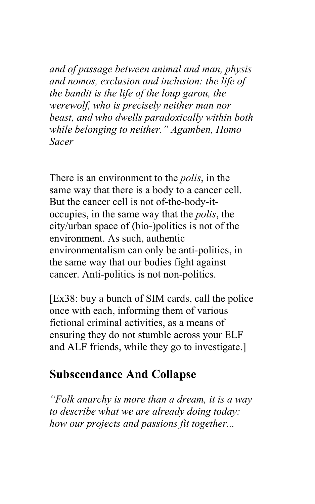*and of passage between animal and man, physis and nomos, exclusion and inclusion: the life of the bandit is the life of the loup garou, the werewolf, who is precisely neither man nor beast, and who dwells paradoxically within both while belonging to neither." Agamben, Homo Sacer*

There is an environment to the *polis*, in the same way that there is a body to a cancer cell. But the cancer cell is not of-the-body-itoccupies, in the same way that the *polis*, the city/urban space of (bio-)politics is not of the environment. As such, authentic environmentalism can only be anti-politics, in the same way that our bodies fight against cancer. Anti-politics is not non-politics.

[Ex38: buy a bunch of SIM cards, call the police once with each, informing them of various fictional criminal activities, as a means of ensuring they do not stumble across your ELF and ALF friends, while they go to investigate.]

#### **Subscendance And Collapse**

*"Folk anarchy is more than a dream, it is a way to describe what we are already doing today: how our projects and passions fit together...*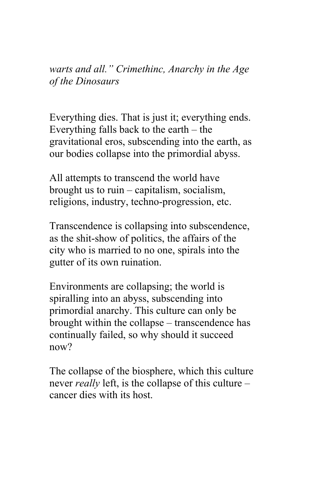*warts and all." Crimethinc, Anarchy in the Age of the Dinosaurs* 

Everything dies. That is just it; everything ends. Everything falls back to the earth – the gravitational eros, subscending into the earth, as our bodies collapse into the primordial abyss.

All attempts to transcend the world have brought us to ruin – capitalism, socialism, religions, industry, techno-progression, etc.

Transcendence is collapsing into subscendence, as the shit-show of politics, the affairs of the city who is married to no one, spirals into the gutter of its own ruination.

Environments are collapsing; the world is spiralling into an abyss, subscending into primordial anarchy. This culture can only be brought within the collapse – transcendence has continually failed, so why should it succeed now?

The collapse of the biosphere, which this culture never *really* left, is the collapse of this culture – cancer dies with its host.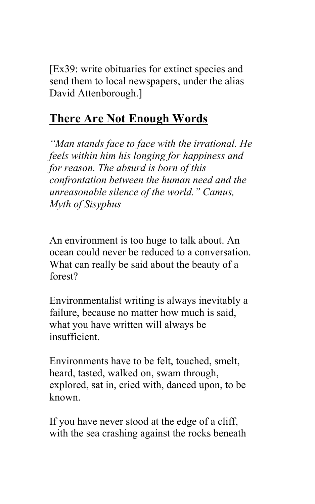[Ex39: write obituaries for extinct species and send them to local newspapers, under the alias David Attenborough.]

# **There Are Not Enough Words**

*"Man stands face to face with the irrational. He feels within him his longing for happiness and for reason. The absurd is born of this confrontation between the human need and the unreasonable silence of the world." Camus, Myth of Sisyphus* 

An environment is too huge to talk about. An ocean could never be reduced to a conversation. What can really be said about the beauty of a forest?

Environmentalist writing is always inevitably a failure, because no matter how much is said, what you have written will always be insufficient.

Environments have to be felt, touched, smelt, heard, tasted, walked on, swam through, explored, sat in, cried with, danced upon, to be known.

If you have never stood at the edge of a cliff, with the sea crashing against the rocks beneath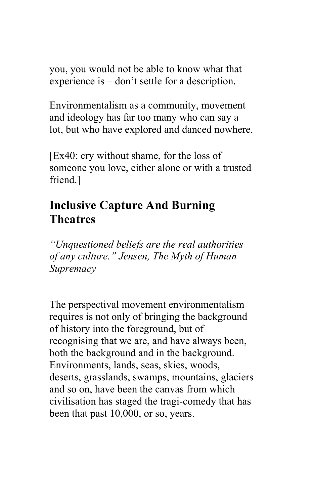you, you would not be able to know what that experience is – don't settle for a description.

Environmentalism as a community, movement and ideology has far too many who can say a lot, but who have explored and danced nowhere.

[Ex40: cry without shame, for the loss of someone you love, either alone or with a trusted friend.]

## **Inclusive Capture And Burning Theatres**

*"Unquestioned beliefs are the real authorities of any culture." Jensen, The Myth of Human Supremacy* 

The perspectival movement environmentalism requires is not only of bringing the background of history into the foreground, but of recognising that we are, and have always been, both the background and in the background. Environments, lands, seas, skies, woods, deserts, grasslands, swamps, mountains, glaciers and so on, have been the canvas from which civilisation has staged the tragi-comedy that has been that past 10,000, or so, years.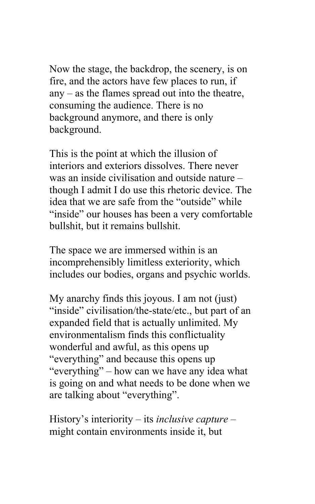Now the stage, the backdrop, the scenery, is on fire, and the actors have few places to run, if any – as the flames spread out into the theatre, consuming the audience. There is no background anymore, and there is only background.

This is the point at which the illusion of interiors and exteriors dissolves. There never was an inside civilisation and outside nature – though I admit I do use this rhetoric device. The idea that we are safe from the "outside" while "inside" our houses has been a very comfortable bullshit, but it remains bullshit.

The space we are immersed within is an incomprehensibly limitless exteriority, which includes our bodies, organs and psychic worlds.

My anarchy finds this joyous. I am not (just) "inside" civilisation/the-state/etc., but part of an expanded field that is actually unlimited. My environmentalism finds this conflictuality wonderful and awful, as this opens up "everything" and because this opens up "everything" – how can we have any idea what is going on and what needs to be done when we are talking about "everything".

History's interiority – its *inclusive capture* – might contain environments inside it, but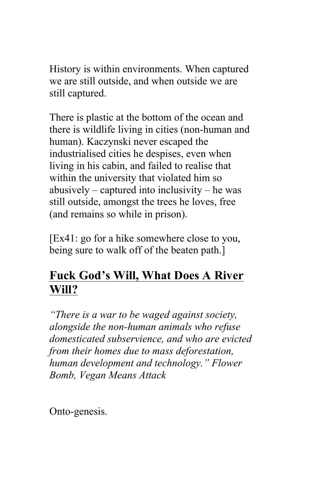History is within environments. When captured we are still outside, and when outside we are still captured.

There is plastic at the bottom of the ocean and there is wildlife living in cities (non-human and human). Kaczynski never escaped the industrialised cities he despises, even when living in his cabin, and failed to realise that within the university that violated him so abusively – captured into inclusivity – he was still outside, amongst the trees he loves, free (and remains so while in prison).

[Ex41: go for a hike somewhere close to you, being sure to walk off of the beaten path.]

### **Fuck God's Will, What Does A River Will?**

*"There is a war to be waged against society, alongside the non-human animals who refuse domesticated subservience, and who are evicted from their homes due to mass deforestation, human development and technology." Flower Bomb, Vegan Means Attack*

Onto-genesis.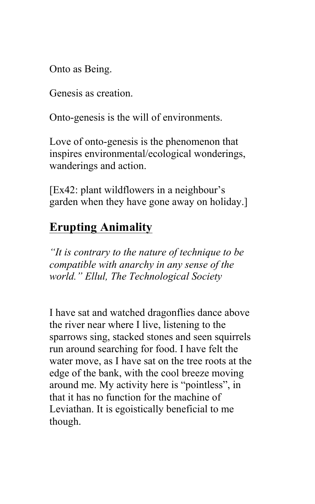Onto as Being.

Genesis as creation.

Onto-genesis is the will of environments.

Love of onto-genesis is the phenomenon that inspires environmental/ecological wonderings, wanderings and action.

[Ex42: plant wildflowers in a neighbour's garden when they have gone away on holiday.]

# **Erupting Animality**

*"It is contrary to the nature of technique to be compatible with anarchy in any sense of the world." Ellul, The Technological Society* 

I have sat and watched dragonflies dance above the river near where I live, listening to the sparrows sing, stacked stones and seen squirrels run around searching for food. I have felt the water move, as I have sat on the tree roots at the edge of the bank, with the cool breeze moving around me. My activity here is "pointless", in that it has no function for the machine of Leviathan. It is egoistically beneficial to me though.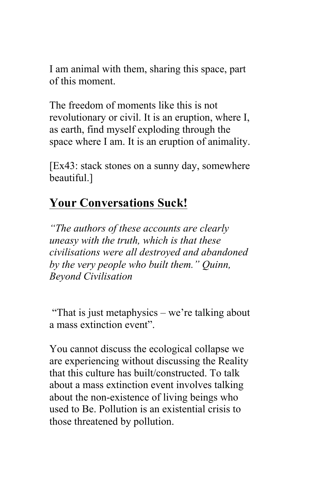I am animal with them, sharing this space, part of this moment.

The freedom of moments like this is not revolutionary or civil. It is an eruption, where I, as earth, find myself exploding through the space where I am. It is an eruption of animality.

[Ex43: stack stones on a sunny day, somewhere beautiful.]

### **Your Conversations Suck!**

*"The authors of these accounts are clearly uneasy with the truth, which is that these civilisations were all destroyed and abandoned by the very people who built them." Quinn, Beyond Civilisation*

"That is just metaphysics – we're talking about a mass extinction event".

You cannot discuss the ecological collapse we are experiencing without discussing the Reality that this culture has built/constructed. To talk about a mass extinction event involves talking about the non-existence of living beings who used to Be. Pollution is an existential crisis to those threatened by pollution.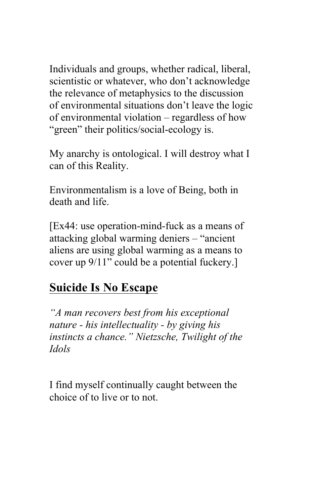Individuals and groups, whether radical, liberal, scientistic or whatever, who don't acknowledge the relevance of metaphysics to the discussion of environmental situations don't leave the logic of environmental violation – regardless of how "green" their politics/social-ecology is.

My anarchy is ontological. I will destroy what I can of this Reality.

Environmentalism is a love of Being, both in death and life.

[Ex44: use operation-mind-fuck as a means of attacking global warming deniers – "ancient aliens are using global warming as a means to cover up 9/11" could be a potential fuckery.]

### **Suicide Is No Escape**

*"A man recovers best from his exceptional nature - his intellectuality - by giving his instincts a chance." Nietzsche, Twilight of the Idols*

I find myself continually caught between the choice of to live or to not.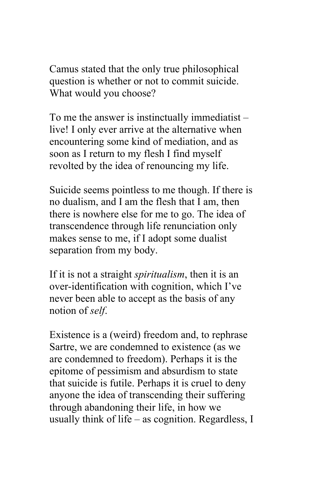Camus stated that the only true philosophical question is whether or not to commit suicide. What would you choose?

To me the answer is instinctually immediatist – live! I only ever arrive at the alternative when encountering some kind of mediation, and as soon as I return to my flesh I find myself revolted by the idea of renouncing my life.

Suicide seems pointless to me though. If there is no dualism, and I am the flesh that I am, then there is nowhere else for me to go. The idea of transcendence through life renunciation only makes sense to me, if I adopt some dualist separation from my body.

If it is not a straight *spiritualism*, then it is an over-identification with cognition, which I've never been able to accept as the basis of any notion of *self*.

Existence is a (weird) freedom and, to rephrase Sartre, we are condemned to existence (as we are condemned to freedom). Perhaps it is the epitome of pessimism and absurdism to state that suicide is futile. Perhaps it is cruel to deny anyone the idea of transcending their suffering through abandoning their life, in how we usually think of life – as cognition. Regardless, I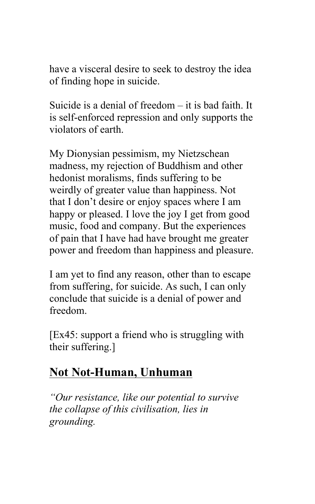have a visceral desire to seek to destroy the idea of finding hope in suicide.

Suicide is a denial of freedom – it is bad faith. It is self-enforced repression and only supports the violators of earth.

My Dionysian pessimism, my Nietzschean madness, my rejection of Buddhism and other hedonist moralisms, finds suffering to be weirdly of greater value than happiness. Not that I don't desire or enjoy spaces where I am happy or pleased. I love the joy I get from good music, food and company. But the experiences of pain that I have had have brought me greater power and freedom than happiness and pleasure.

I am yet to find any reason, other than to escape from suffering, for suicide. As such, I can only conclude that suicide is a denial of power and freedom.

[Ex45: support a friend who is struggling with their suffering.]

#### **Not Not-Human, Unhuman**

*"Our resistance, like our potential to survive the collapse of this civilisation, lies in grounding.*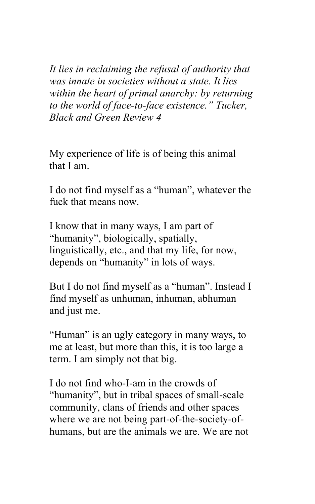*It lies in reclaiming the refusal of authority that was innate in societies without a state. It lies within the heart of primal anarchy: by returning to the world of face-to-face existence." Tucker, Black and Green Review 4*

My experience of life is of being this animal that I am.

I do not find myself as a "human", whatever the fuck that means now.

I know that in many ways, I am part of "humanity", biologically, spatially, linguistically, etc., and that my life, for now, depends on "humanity" in lots of ways.

But I do not find myself as a "human". Instead I find myself as unhuman, inhuman, abhuman and just me.

"Human" is an ugly category in many ways, to me at least, but more than this, it is too large a term. I am simply not that big.

I do not find who-I-am in the crowds of "humanity", but in tribal spaces of small-scale community, clans of friends and other spaces where we are not being part-of-the-society-ofhumans, but are the animals we are. We are not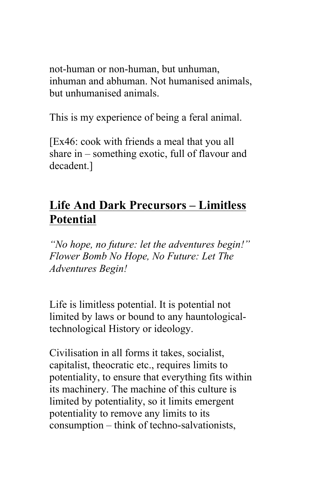not-human or non-human, but unhuman, inhuman and abhuman. Not humanised animals, but unhumanised animals.

This is my experience of being a feral animal.

[Ex46: cook with friends a meal that you all share in – something exotic, full of flavour and decadent.]

## **Life And Dark Precursors – Limitless Potential**

*"No hope, no future: let the adventures begin!" Flower Bomb No Hope, No Future: Let The Adventures Begin!* 

Life is limitless potential. It is potential not limited by laws or bound to any hauntologicaltechnological History or ideology.

Civilisation in all forms it takes, socialist, capitalist, theocratic etc., requires limits to potentiality, to ensure that everything fits within its machinery. The machine of this culture is limited by potentiality, so it limits emergent potentiality to remove any limits to its consumption – think of techno-salvationists,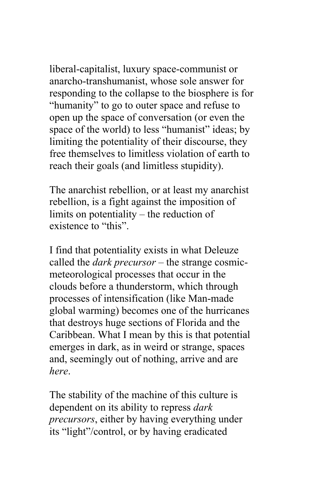liberal-capitalist, luxury space-communist or anarcho-transhumanist, whose sole answer for responding to the collapse to the biosphere is for "humanity" to go to outer space and refuse to open up the space of conversation (or even the space of the world) to less "humanist" ideas; by limiting the potentiality of their discourse, they free themselves to limitless violation of earth to reach their goals (and limitless stupidity).

The anarchist rebellion, or at least my anarchist rebellion, is a fight against the imposition of limits on potentiality – the reduction of existence to "this".

I find that potentiality exists in what Deleuze called the *dark precursor* – the strange cosmicmeteorological processes that occur in the clouds before a thunderstorm, which through processes of intensification (like Man-made global warming) becomes one of the hurricanes that destroys huge sections of Florida and the Caribbean. What I mean by this is that potential emerges in dark, as in weird or strange, spaces and, seemingly out of nothing, arrive and are *here*.

The stability of the machine of this culture is dependent on its ability to repress *dark precursors*, either by having everything under its "light"/control, or by having eradicated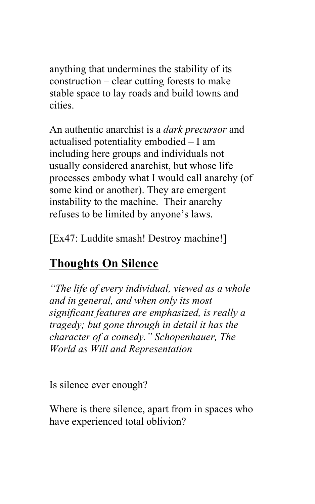anything that undermines the stability of its construction – clear cutting forests to make stable space to lay roads and build towns and cities.

An authentic anarchist is a *dark precursor* and actualised potentiality embodied – I am including here groups and individuals not usually considered anarchist, but whose life processes embody what I would call anarchy (of some kind or another). They are emergent instability to the machine. Their anarchy refuses to be limited by anyone's laws.

[Ex47: Luddite smash! Destroy machine!]

# **Thoughts On Silence**

*"The life of every individual, viewed as a whole and in general, and when only its most significant features are emphasized, is really a tragedy; but gone through in detail it has the character of a comedy." Schopenhauer, The World as Will and Representation* 

Is silence ever enough?

Where is there silence, apart from in spaces who have experienced total oblivion?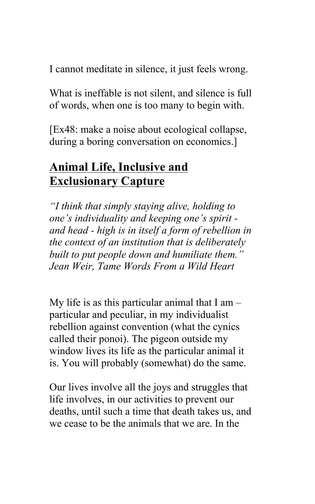I cannot meditate in silence, it just feels wrong.

What is ineffable is not silent, and silence is full of words, when one is too many to begin with.

[Ex48: make a noise about ecological collapse, during a boring conversation on economics.]

### **Animal Life, Inclusive and Exclusionary Capture**

*"I think that simply staying alive, holding to one's individuality and keeping one's spirit and head - high is in itself a form of rebellion in the context of an institution that is deliberately built to put people down and humiliate them." Jean Weir, Tame Words From a Wild Heart*

My life is as this particular animal that  $I$  am  $$ particular and peculiar, in my individualist rebellion against convention (what the cynics called their ponoi). The pigeon outside my window lives its life as the particular animal it is. You will probably (somewhat) do the same.

Our lives involve all the joys and struggles that life involves, in our activities to prevent our deaths, until such a time that death takes us, and we cease to be the animals that we are. In the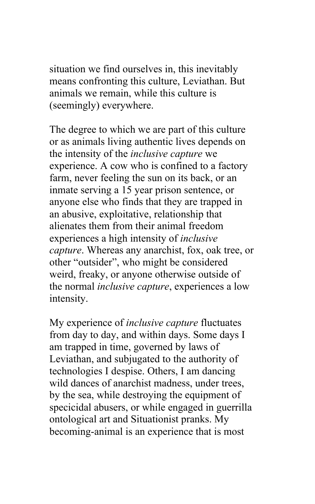situation we find ourselves in, this inevitably means confronting this culture, Leviathan. But animals we remain, while this culture is (seemingly) everywhere.

The degree to which we are part of this culture or as animals living authentic lives depends on the intensity of the *inclusive capture* we experience. A cow who is confined to a factory farm, never feeling the sun on its back, or an inmate serving a 15 year prison sentence, or anyone else who finds that they are trapped in an abusive, exploitative, relationship that alienates them from their animal freedom experiences a high intensity of *inclusive capture*. Whereas any anarchist, fox, oak tree, or other "outsider", who might be considered weird, freaky, or anyone otherwise outside of the normal *inclusive capture*, experiences a low intensity.

My experience of *inclusive capture* fluctuates from day to day, and within days. Some days I am trapped in time, governed by laws of Leviathan, and subjugated to the authority of technologies I despise. Others, I am dancing wild dances of anarchist madness, under trees, by the sea, while destroying the equipment of specicidal abusers, or while engaged in guerrilla ontological art and Situationist pranks. My becoming-animal is an experience that is most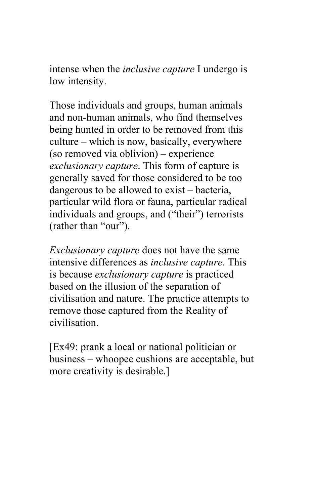intense when the *inclusive capture* I undergo is low intensity.

Those individuals and groups, human animals and non-human animals, who find themselves being hunted in order to be removed from this culture – which is now, basically, everywhere (so removed via oblivion) – experience *exclusionary capture*. This form of capture is generally saved for those considered to be too dangerous to be allowed to exist – bacteria, particular wild flora or fauna, particular radical individuals and groups, and ("their") terrorists (rather than "our").

*Exclusionary capture* does not have the same intensive differences as *inclusive capture*. This is because *exclusionary capture* is practiced based on the illusion of the separation of civilisation and nature. The practice attempts to remove those captured from the Reality of civilisation.

[Ex49: prank a local or national politician or business – whoopee cushions are acceptable, but more creativity is desirable.]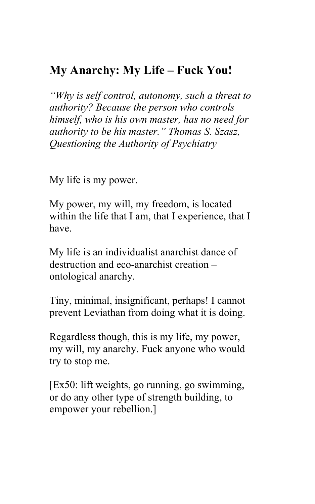# **My Anarchy: My Life – Fuck You!**

*"Why is self control, autonomy, such a threat to authority? Because the person who controls himself, who is his own master, has no need for authority to be his master." Thomas S. Szasz, Questioning the Authority of Psychiatry* 

My life is my power.

My power, my will, my freedom, is located within the life that I am, that I experience, that I have.

My life is an individualist anarchist dance of destruction and eco-anarchist creation – ontological anarchy.

Tiny, minimal, insignificant, perhaps! I cannot prevent Leviathan from doing what it is doing.

Regardless though, this is my life, my power, my will, my anarchy. Fuck anyone who would try to stop me.

[Ex50: lift weights, go running, go swimming, or do any other type of strength building, to empower your rebellion.]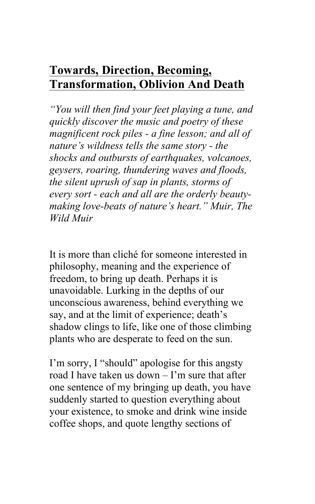# **Towards, Direction, Becoming, Transformation, Oblivion And Death**

*"You will then find your feet playing a tune, and quickly discover the music and poetry of these magnificent rock piles - a fine lesson; and all of nature's wildness tells the same story - the shocks and outbursts of earthquakes, volcanoes, geysers, roaring, thundering waves and floods, the silent uprush of sap in plants, storms of every sort - each and all are the orderly beautymaking love-beats of nature's heart." Muir, The Wild Muir* 

It is more than cliché for someone interested in philosophy, meaning and the experience of freedom, to bring up death. Perhaps it is unavoidable. Lurking in the depths of our unconscious awareness, behind everything we say, and at the limit of experience; death's shadow clings to life, like one of those climbing plants who are desperate to feed on the sun.

I'm sorry, I "should" apologise for this angsty road I have taken us down – I'm sure that after one sentence of my bringing up death, you have suddenly started to question everything about your existence, to smoke and drink wine inside coffee shops, and quote lengthy sections of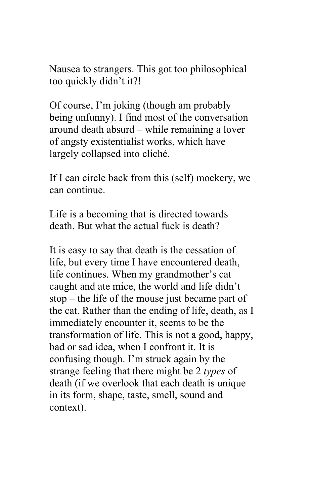Nausea to strangers. This got too philosophical too quickly didn't it?!

Of course, I'm joking (though am probably being unfunny). I find most of the conversation around death absurd – while remaining a lover of angsty existentialist works, which have largely collapsed into cliché.

If I can circle back from this (self) mockery, we can continue.

Life is a becoming that is directed towards death. But what the actual fuck is death?

It is easy to say that death is the cessation of life, but every time I have encountered death, life continues. When my grandmother's cat caught and ate mice, the world and life didn't stop – the life of the mouse just became part of the cat. Rather than the ending of life, death, as I immediately encounter it, seems to be the transformation of life. This is not a good, happy, bad or sad idea, when I confront it. It is confusing though. I'm struck again by the strange feeling that there might be 2 *types* of death (if we overlook that each death is unique in its form, shape, taste, smell, sound and context).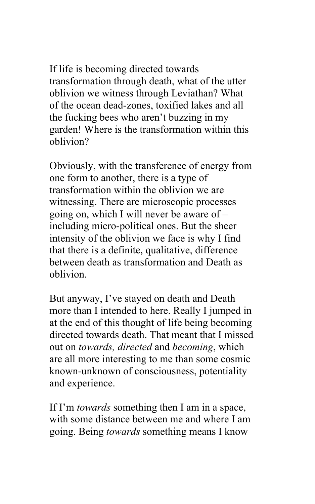If life is becoming directed towards transformation through death, what of the utter oblivion we witness through Leviathan? What of the ocean dead-zones, toxified lakes and all the fucking bees who aren't buzzing in my garden! Where is the transformation within this oblivion?

Obviously, with the transference of energy from one form to another, there is a type of transformation within the oblivion we are witnessing. There are microscopic processes going on, which I will never be aware of – including micro-political ones. But the sheer intensity of the oblivion we face is why I find that there is a definite, qualitative, difference between death as transformation and Death as oblivion.

But anyway, I've stayed on death and Death more than I intended to here. Really I jumped in at the end of this thought of life being becoming directed towards death. That meant that I missed out on *towards, directed* and *becoming*, which are all more interesting to me than some cosmic known-unknown of consciousness, potentiality and experience.

If I'm *towards* something then I am in a space, with some distance between me and where I am going. Being *towards* something means I know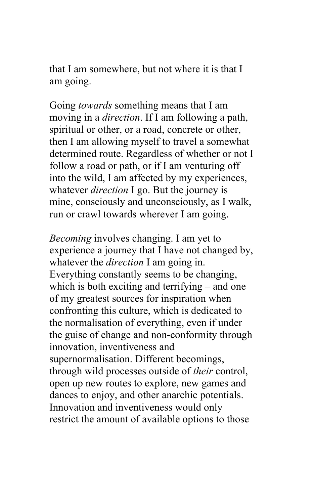that I am somewhere, but not where it is that I am going.

Going *towards* something means that I am moving in a *direction*. If I am following a path, spiritual or other, or a road, concrete or other, then I am allowing myself to travel a somewhat determined route. Regardless of whether or not I follow a road or path, or if I am venturing off into the wild, I am affected by my experiences, whatever *direction* I go. But the journey is mine, consciously and unconsciously, as I walk, run or crawl towards wherever I am going.

*Becoming* involves changing. I am yet to experience a journey that I have not changed by, whatever the *direction* I am going in. Everything constantly seems to be changing, which is both exciting and terrifying – and one of my greatest sources for inspiration when confronting this culture, which is dedicated to the normalisation of everything, even if under the guise of change and non-conformity through innovation, inventiveness and supernormalisation. Different becomings, through wild processes outside of *their* control, open up new routes to explore, new games and dances to enjoy, and other anarchic potentials. Innovation and inventiveness would only restrict the amount of available options to those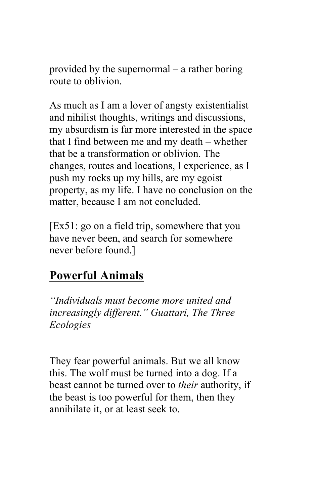provided by the supernormal – a rather boring route to oblivion.

As much as I am a lover of angsty existentialist and nihilist thoughts, writings and discussions, my absurdism is far more interested in the space that I find between me and my death – whether that be a transformation or oblivion. The changes, routes and locations, I experience, as I push my rocks up my hills, are my egoist property, as my life. I have no conclusion on the matter, because I am not concluded.

[Ex51: go on a field trip, somewhere that you have never been, and search for somewhere never before found.]

# **Powerful Animals**

*"Individuals must become more united and increasingly different." Guattari, The Three Ecologies* 

They fear powerful animals. But we all know this. The wolf must be turned into a dog. If a beast cannot be turned over to *their* authority, if the beast is too powerful for them, then they annihilate it, or at least seek to.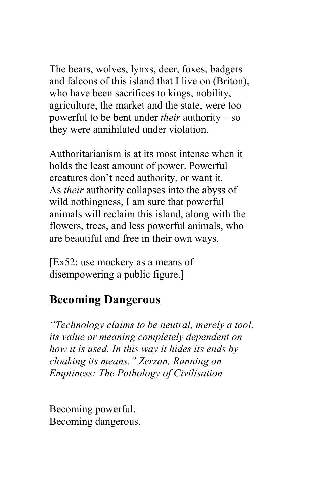The bears, wolves, lynxs, deer, foxes, badgers and falcons of this island that I live on (Briton), who have been sacrifices to kings, nobility, agriculture, the market and the state, were too powerful to be bent under *their* authority – so they were annihilated under violation.

Authoritarianism is at its most intense when it holds the least amount of power. Powerful creatures don't need authority, or want it. As *their* authority collapses into the abyss of wild nothingness, I am sure that powerful animals will reclaim this island, along with the flowers, trees, and less powerful animals, who are beautiful and free in their own ways.

[Ex52: use mockery as a means of disempowering a public figure.]

#### **Becoming Dangerous**

*"Technology claims to be neutral, merely a tool, its value or meaning completely dependent on how it is used. In this way it hides its ends by cloaking its means." Zerzan, Running on Emptiness: The Pathology of Civilisation* 

Becoming powerful. Becoming dangerous.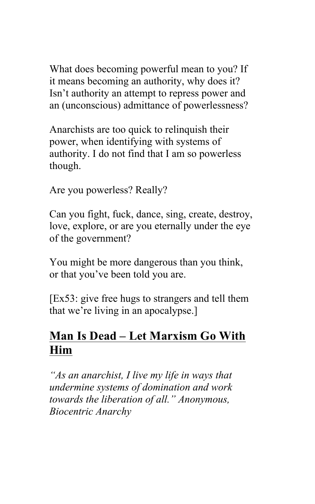What does becoming powerful mean to you? If it means becoming an authority, why does it? Isn't authority an attempt to repress power and an (unconscious) admittance of powerlessness?

Anarchists are too quick to relinquish their power, when identifying with systems of authority. I do not find that I am so powerless though.

Are you powerless? Really?

Can you fight, fuck, dance, sing, create, destroy, love, explore, or are you eternally under the eye of the government?

You might be more dangerous than you think, or that you've been told you are.

[Ex53: give free hugs to strangers and tell them that we're living in an apocalypse.]

# **Man Is Dead – Let Marxism Go With Him**

*"As an anarchist, I live my life in ways that undermine systems of domination and work towards the liberation of all." Anonymous, Biocentric Anarchy*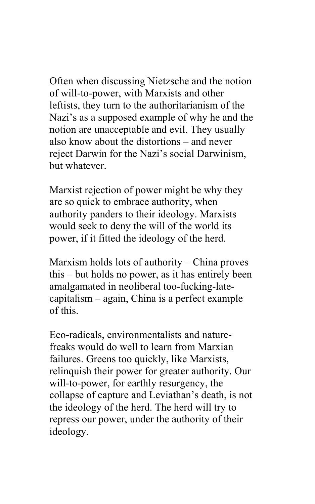Often when discussing Nietzsche and the notion of will-to-power, with Marxists and other leftists, they turn to the authoritarianism of the Nazi's as a supposed example of why he and the notion are unacceptable and evil. They usually also know about the distortions – and never reject Darwin for the Nazi's social Darwinism, but whatever.

Marxist rejection of power might be why they are so quick to embrace authority, when authority panders to their ideology. Marxists would seek to deny the will of the world its power, if it fitted the ideology of the herd.

Marxism holds lots of authority – China proves this – but holds no power, as it has entirely been amalgamated in neoliberal too-fucking-latecapitalism – again, China is a perfect example of this.

Eco-radicals, environmentalists and naturefreaks would do well to learn from Marxian failures. Greens too quickly, like Marxists, relinquish their power for greater authority. Our will-to-power, for earthly resurgency, the collapse of capture and Leviathan's death, is not the ideology of the herd. The herd will try to repress our power, under the authority of their ideology.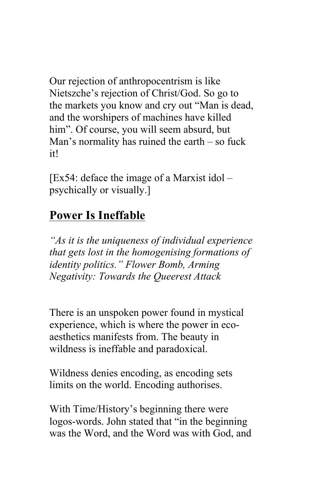Our rejection of anthropocentrism is like Nietszche's rejection of Christ/God. So go to the markets you know and cry out "Man is dead, and the worshipers of machines have killed him". Of course, you will seem absurd, but Man's normality has ruined the earth – so fuck it!

 $[Ex54:$  deface the image of a Marxist idol – psychically or visually.]

# **Power Is Ineffable**

*"As it is the uniqueness of individual experience that gets lost in the homogenising formations of identity politics." Flower Bomb, Arming Negativity: Towards the Queerest Attack*

There is an unspoken power found in mystical experience, which is where the power in ecoaesthetics manifests from. The beauty in wildness is ineffable and paradoxical.

Wildness denies encoding, as encoding sets limits on the world. Encoding authorises.

With Time/History's beginning there were logos-words. John stated that "in the beginning was the Word, and the Word was with God, and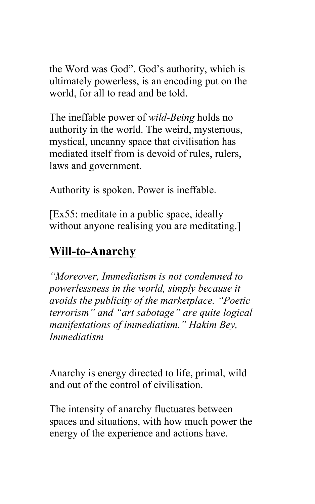the Word was God". God's authority, which is ultimately powerless, is an encoding put on the world, for all to read and be told.

The ineffable power of *wild-Being* holds no authority in the world. The weird, mysterious, mystical, uncanny space that civilisation has mediated itself from is devoid of rules, rulers, laws and government.

Authority is spoken. Power is ineffable.

[Ex55: meditate in a public space, ideally without anyone realising you are meditating.]

## **Will-to-Anarchy**

*"Moreover, Immediatism is not condemned to powerlessness in the world, simply because it avoids the publicity of the marketplace. "Poetic terrorism" and "art sabotage" are quite logical manifestations of immediatism." Hakim Bey, Immediatism*

Anarchy is energy directed to life, primal, wild and out of the control of civilisation.

The intensity of anarchy fluctuates between spaces and situations, with how much power the energy of the experience and actions have.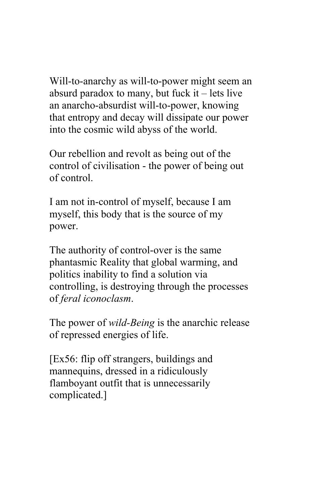Will-to-anarchy as will-to-power might seem an absurd paradox to many, but fuck it  $-$  lets live an anarcho-absurdist will-to-power, knowing that entropy and decay will dissipate our power into the cosmic wild abyss of the world.

Our rebellion and revolt as being out of the control of civilisation - the power of being out of control.

I am not in-control of myself, because I am myself, this body that is the source of my power.

The authority of control-over is the same phantasmic Reality that global warming, and politics inability to find a solution via controlling, is destroying through the processes of *feral iconoclasm*.

The power of *wild-Being* is the anarchic release of repressed energies of life.

[Ex56: flip off strangers, buildings and mannequins, dressed in a ridiculously flamboyant outfit that is unnecessarily complicated.]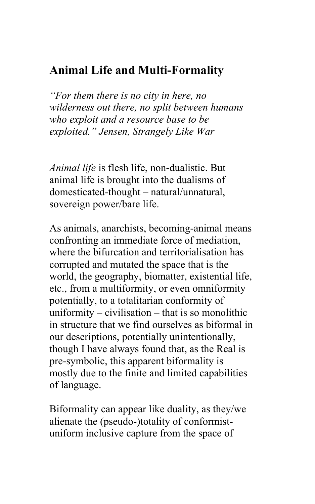# **Animal Life and Multi-Formality**

*"For them there is no city in here, no wilderness out there, no split between humans who exploit and a resource base to be exploited." Jensen, Strangely Like War*

*Animal life* is flesh life, non-dualistic. But animal life is brought into the dualisms of domesticated-thought – natural/unnatural, sovereign power/bare life.

As animals, anarchists, becoming-animal means confronting an immediate force of mediation, where the bifurcation and territorialisation has corrupted and mutated the space that is the world, the geography, biomatter, existential life, etc., from a multiformity, or even omniformity potentially, to a totalitarian conformity of uniformity – civilisation – that is so monolithic in structure that we find ourselves as biformal in our descriptions, potentially unintentionally, though I have always found that, as the Real is pre-symbolic, this apparent biformality is mostly due to the finite and limited capabilities of language.

Biformality can appear like duality, as they/we alienate the (pseudo-)totality of conformistuniform inclusive capture from the space of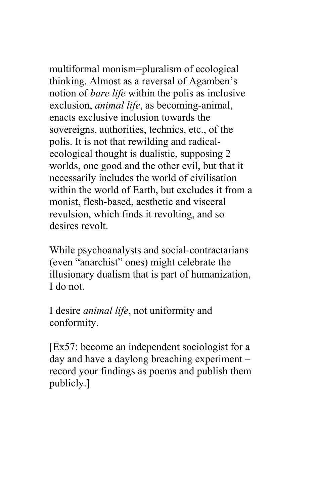multiformal monism=pluralism of ecological thinking. Almost as a reversal of Agamben's notion of *bare life* within the polis as inclusive exclusion, *animal life*, as becoming-animal, enacts exclusive inclusion towards the sovereigns, authorities, technics, etc., of the polis. It is not that rewilding and radicalecological thought is dualistic, supposing 2 worlds, one good and the other evil, but that it necessarily includes the world of civilisation within the world of Earth, but excludes it from a monist, flesh-based, aesthetic and visceral revulsion, which finds it revolting, and so desires revolt.

While psychoanalysts and social-contractarians (even "anarchist" ones) might celebrate the illusionary dualism that is part of humanization, I do not.

I desire *animal life*, not uniformity and conformity.

[Ex57: become an independent sociologist for a day and have a daylong breaching experiment – record your findings as poems and publish them publicly.]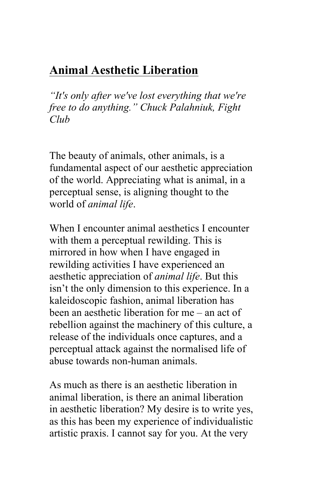# **Animal Aesthetic Liberation**

*"It's only after we've lost everything that we're free to do anything." Chuck Palahniuk, Fight Club*

The beauty of animals, other animals, is a fundamental aspect of our aesthetic appreciation of the world. Appreciating what is animal, in a perceptual sense, is aligning thought to the world of *animal life*.

When I encounter animal aesthetics I encounter with them a perceptual rewilding. This is mirrored in how when I have engaged in rewilding activities I have experienced an aesthetic appreciation of *animal life*. But this isn't the only dimension to this experience. In a kaleidoscopic fashion, animal liberation has been an aesthetic liberation for me – an act of rebellion against the machinery of this culture, a release of the individuals once captures, and a perceptual attack against the normalised life of abuse towards non-human animals.

As much as there is an aesthetic liberation in animal liberation, is there an animal liberation in aesthetic liberation? My desire is to write yes, as this has been my experience of individualistic artistic praxis. I cannot say for you. At the very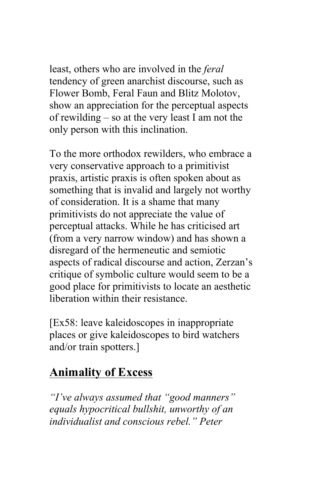least, others who are involved in the *feral* tendency of green anarchist discourse, such as Flower Bomb, Feral Faun and Blitz Molotov, show an appreciation for the perceptual aspects of rewilding – so at the very least I am not the only person with this inclination.

To the more orthodox rewilders, who embrace a very conservative approach to a primitivist praxis, artistic praxis is often spoken about as something that is invalid and largely not worthy of consideration. It is a shame that many primitivists do not appreciate the value of perceptual attacks. While he has criticised art (from a very narrow window) and has shown a disregard of the hermeneutic and semiotic aspects of radical discourse and action, Zerzan's critique of symbolic culture would seem to be a good place for primitivists to locate an aesthetic liberation within their resistance.

[Ex58: leave kaleidoscopes in inappropriate places or give kaleidoscopes to bird watchers and/or train spotters.]

## **Animality of Excess**

*"I've always assumed that "good manners" equals hypocritical bullshit, unworthy of an individualist and conscious rebel." Peter*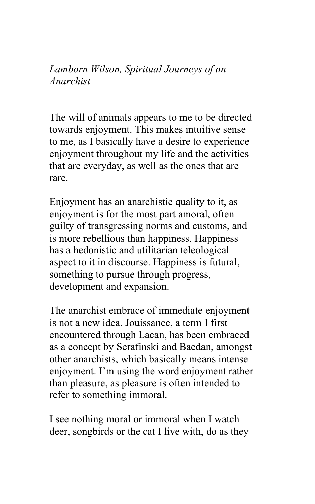*Lamborn Wilson, Spiritual Journeys of an Anarchist* 

The will of animals appears to me to be directed towards enjoyment. This makes intuitive sense to me, as I basically have a desire to experience enjoyment throughout my life and the activities that are everyday, as well as the ones that are rare.

Enjoyment has an anarchistic quality to it, as enjoyment is for the most part amoral, often guilty of transgressing norms and customs, and is more rebellious than happiness. Happiness has a hedonistic and utilitarian teleological aspect to it in discourse. Happiness is futural, something to pursue through progress, development and expansion.

The anarchist embrace of immediate enjoyment is not a new idea. Jouissance, a term I first encountered through Lacan, has been embraced as a concept by Serafinski and Baedan, amongst other anarchists, which basically means intense enjoyment. I'm using the word enjoyment rather than pleasure, as pleasure is often intended to refer to something immoral.

I see nothing moral or immoral when I watch deer, songbirds or the cat I live with, do as they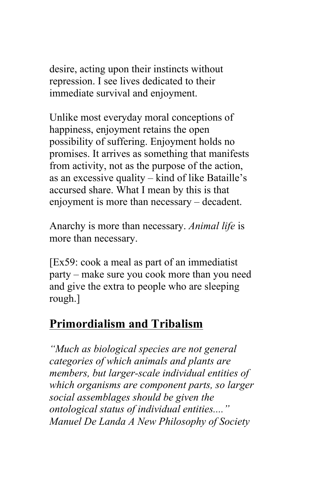desire, acting upon their instincts without repression. I see lives dedicated to their immediate survival and enjoyment.

Unlike most everyday moral conceptions of happiness, enjoyment retains the open possibility of suffering. Enjoyment holds no promises. It arrives as something that manifests from activity, not as the purpose of the action, as an excessive quality – kind of like Bataille's accursed share. What I mean by this is that enjoyment is more than necessary – decadent.

Anarchy is more than necessary. *Animal life* is more than necessary.

[Ex59: cook a meal as part of an immediatist party – make sure you cook more than you need and give the extra to people who are sleeping rough.]

# **Primordialism and Tribalism**

*"Much as biological species are not general categories of which animals and plants are members, but larger-scale individual entities of which organisms are component parts, so larger social assemblages should be given the ontological status of individual entities...." Manuel De Landa A New Philosophy of Society*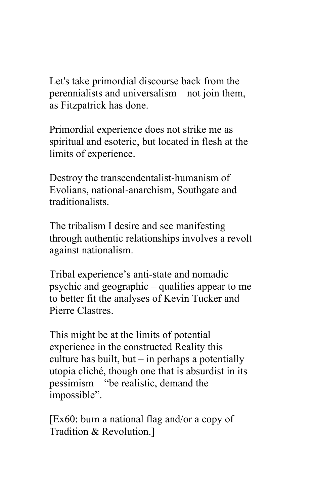Let's take primordial discourse back from the perennialists and universalism – not join them, as Fitzpatrick has done.

Primordial experience does not strike me as spiritual and esoteric, but located in flesh at the limits of experience.

Destroy the transcendentalist-humanism of Evolians, national-anarchism, Southgate and traditionalists.

The tribalism I desire and see manifesting through authentic relationships involves a revolt against nationalism.

Tribal experience's anti-state and nomadic – psychic and geographic – qualities appear to me to better fit the analyses of Kevin Tucker and Pierre Clastres.

This might be at the limits of potential experience in the constructed Reality this culture has built, but  $-$  in perhaps a potentially utopia cliché, though one that is absurdist in its pessimism – "be realistic, demand the impossible".

[Ex60: burn a national flag and/or a copy of Tradition & Revolution.]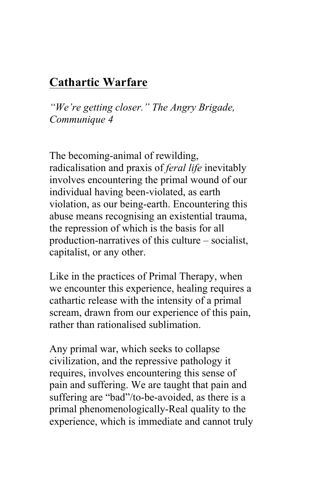## **Cathartic Warfare**

*"We're getting closer." The Angry Brigade, Communique 4* 

The becoming-animal of rewilding, radicalisation and praxis of *feral life* inevitably involves encountering the primal wound of our individual having been-violated, as earth violation, as our being-earth. Encountering this abuse means recognising an existential trauma, the repression of which is the basis for all production-narratives of this culture – socialist, capitalist, or any other.

Like in the practices of Primal Therapy, when we encounter this experience, healing requires a cathartic release with the intensity of a primal scream, drawn from our experience of this pain, rather than rationalised sublimation.

Any primal war, which seeks to collapse civilization, and the repressive pathology it requires, involves encountering this sense of pain and suffering. We are taught that pain and suffering are "bad"/to-be-avoided, as there is a primal phenomenologically-Real quality to the experience, which is immediate and cannot truly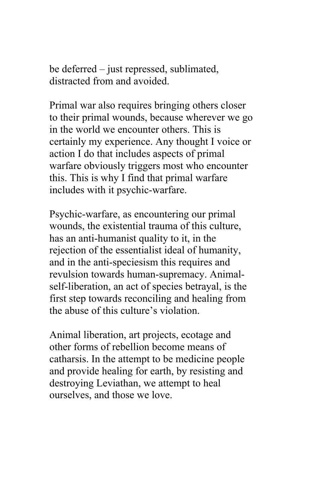be deferred – just repressed, sublimated, distracted from and avoided.

Primal war also requires bringing others closer to their primal wounds, because wherever we go in the world we encounter others. This is certainly my experience. Any thought I voice or action I do that includes aspects of primal warfare obviously triggers most who encounter this. This is why I find that primal warfare includes with it psychic-warfare.

Psychic-warfare, as encountering our primal wounds, the existential trauma of this culture, has an anti-humanist quality to it, in the rejection of the essentialist ideal of humanity, and in the anti-speciesism this requires and revulsion towards human-supremacy. Animalself-liberation, an act of species betrayal, is the first step towards reconciling and healing from the abuse of this culture's violation.

Animal liberation, art projects, ecotage and other forms of rebellion become means of catharsis. In the attempt to be medicine people and provide healing for earth, by resisting and destroying Leviathan, we attempt to heal ourselves, and those we love.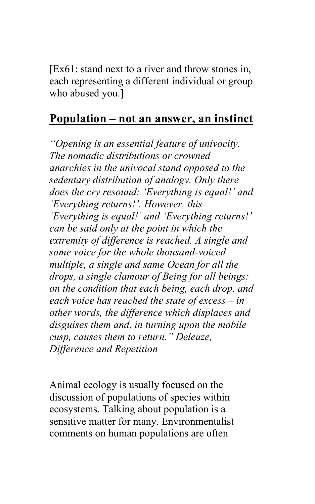[Ex61: stand next to a river and throw stones in, each representing a different individual or group who abused you.]

#### **Population – not an answer, an instinct**

*"Opening is an essential feature of univocity. The nomadic distributions or crowned anarchies in the univocal stand opposed to the sedentary distribution of analogy. Only there does the cry resound: 'Everything is equal!' and 'Everything returns!'. However, this 'Everything is equal!' and 'Everything returns!' can be said only at the point in which the extremity of difference is reached. A single and same voice for the whole thousand-voiced multiple, a single and same Ocean for all the drops, a single clamour of Being for all beings: on the condition that each being, each drop, and each voice has reached the state of excess – in other words, the difference which displaces and disguises them and, in turning upon the mobile cusp, causes them to return." Deleuze, Difference and Repetition* 

Animal ecology is usually focused on the discussion of populations of species within ecosystems. Talking about population is a sensitive matter for many. Environmentalist comments on human populations are often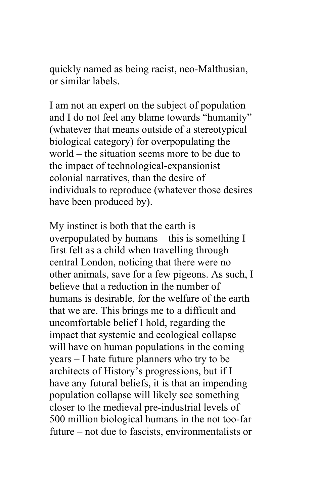quickly named as being racist, neo-Malthusian, or similar labels.

I am not an expert on the subject of population and I do not feel any blame towards "humanity" (whatever that means outside of a stereotypical biological category) for overpopulating the world – the situation seems more to be due to the impact of technological-expansionist colonial narratives, than the desire of individuals to reproduce (whatever those desires have been produced by).

My instinct is both that the earth is overpopulated by humans – this is something I first felt as a child when travelling through central London, noticing that there were no other animals, save for a few pigeons. As such, I believe that a reduction in the number of humans is desirable, for the welfare of the earth that we are. This brings me to a difficult and uncomfortable belief I hold, regarding the impact that systemic and ecological collapse will have on human populations in the coming years – I hate future planners who try to be architects of History's progressions, but if I have any futural beliefs, it is that an impending population collapse will likely see something closer to the medieval pre-industrial levels of 500 million biological humans in the not too-far future – not due to fascists, environmentalists or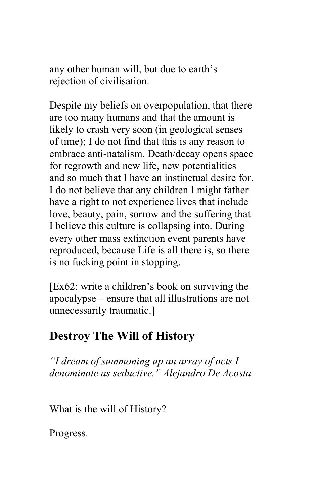any other human will, but due to earth's rejection of civilisation.

Despite my beliefs on overpopulation, that there are too many humans and that the amount is likely to crash very soon (in geological senses of time); I do not find that this is any reason to embrace anti-natalism. Death/decay opens space for regrowth and new life, new potentialities and so much that I have an instinctual desire for. I do not believe that any children I might father have a right to not experience lives that include love, beauty, pain, sorrow and the suffering that I believe this culture is collapsing into. During every other mass extinction event parents have reproduced, because Life is all there is, so there is no fucking point in stopping.

[Ex62: write a children's book on surviving the apocalypse – ensure that all illustrations are not unnecessarily traumatic.]

# **Destroy The Will of History**

*"I dream of summoning up an array of acts I denominate as seductive." Alejandro De Acosta* 

What is the will of History?

Progress.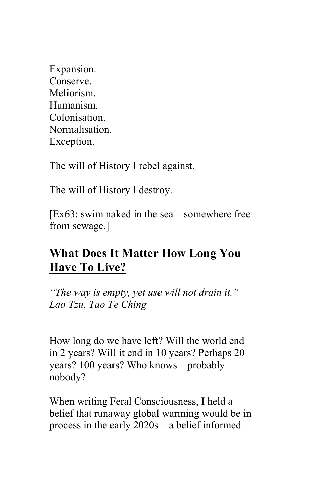Expansion. Conserve. Meliorism. Humanism. **Colonisation** Normalisation. Exception.

The will of History I rebel against.

The will of History I destroy.

[Ex63: swim naked in the sea – somewhere free from sewage.]

# **What Does It Matter How Long You Have To Live?**

*"The way is empty, yet use will not drain it." Lao Tzu, Tao Te Ching*

How long do we have left? Will the world end in 2 years? Will it end in 10 years? Perhaps 20 years? 100 years? Who knows – probably nobody?

When writing Feral Consciousness, I held a belief that runaway global warming would be in process in the early 2020s – a belief informed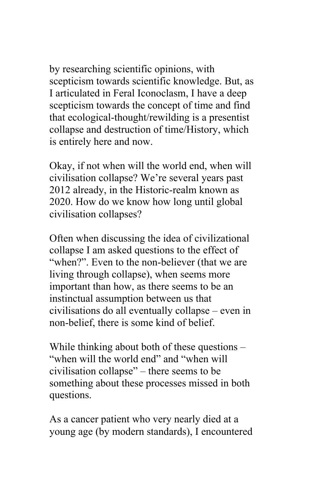by researching scientific opinions, with scepticism towards scientific knowledge. But, as I articulated in Feral Iconoclasm, I have a deep scepticism towards the concept of time and find that ecological-thought/rewilding is a presentist collapse and destruction of time/History, which is entirely here and now.

Okay, if not when will the world end, when will civilisation collapse? We're several years past 2012 already, in the Historic-realm known as 2020. How do we know how long until global civilisation collapses?

Often when discussing the idea of civilizational collapse I am asked questions to the effect of "when?". Even to the non-believer (that we are living through collapse), when seems more important than how, as there seems to be an instinctual assumption between us that civilisations do all eventually collapse – even in non-belief, there is some kind of belief.

While thinking about both of these questions – "when will the world end" and "when will civilisation collapse" – there seems to be something about these processes missed in both questions.

As a cancer patient who very nearly died at a young age (by modern standards), I encountered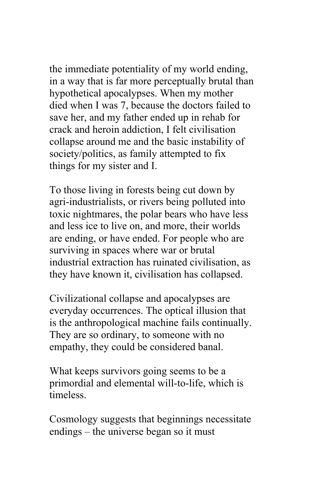the immediate potentiality of my world ending, in a way that is far more perceptually brutal than hypothetical apocalypses. When my mother died when I was 7, because the doctors failed to save her, and my father ended up in rehab for crack and heroin addiction, I felt civilisation collapse around me and the basic instability of society/politics, as family attempted to fix things for my sister and I.

To those living in forests being cut down by agri-industrialists, or rivers being polluted into toxic nightmares, the polar bears who have less and less ice to live on, and more, their worlds are ending, or have ended. For people who are surviving in spaces where war or brutal industrial extraction has ruinated civilisation, as they have known it, civilisation has collapsed.

Civilizational collapse and apocalypses are everyday occurrences. The optical illusion that is the anthropological machine fails continually. They are so ordinary, to someone with no empathy, they could be considered banal.

What keeps survivors going seems to be a primordial and elemental will-to-life, which is timeless.

Cosmology suggests that beginnings necessitate endings – the universe began so it must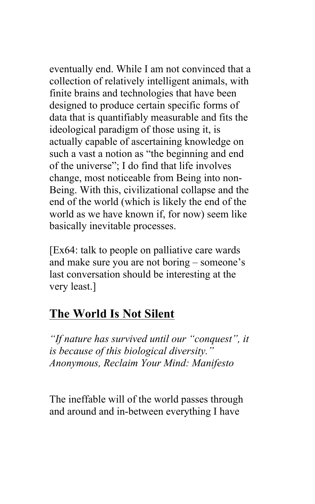eventually end. While I am not convinced that a collection of relatively intelligent animals, with finite brains and technologies that have been designed to produce certain specific forms of data that is quantifiably measurable and fits the ideological paradigm of those using it, is actually capable of ascertaining knowledge on such a vast a notion as "the beginning and end of the universe"; I do find that life involves change, most noticeable from Being into non-Being. With this, civilizational collapse and the end of the world (which is likely the end of the world as we have known if, for now) seem like basically inevitable processes.

[Ex64: talk to people on palliative care wards and make sure you are not boring – someone's last conversation should be interesting at the very least.]

# **The World Is Not Silent**

*"If nature has survived until our "conquest", it is because of this biological diversity." Anonymous, Reclaim Your Mind: Manifesto* 

The ineffable will of the world passes through and around and in-between everything I have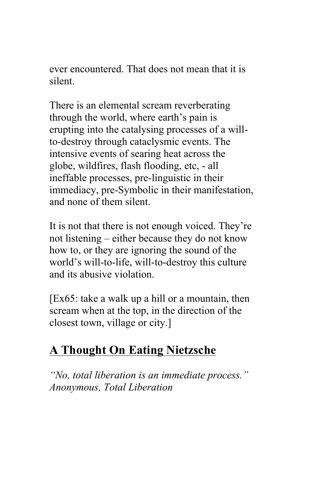ever encountered. That does not mean that it is silent.

There is an elemental scream reverberating through the world, where earth's pain is erupting into the catalysing processes of a willto-destroy through cataclysmic events. The intensive events of searing heat across the globe, wildfires, flash flooding, etc, - all ineffable processes, pre-linguistic in their immediacy, pre-Symbolic in their manifestation, and none of them silent.

It is not that there is not enough voiced. They're not listening – either because they do not know how to, or they are ignoring the sound of the world's will-to-life, will-to-destroy this culture and its abusive violation.

[Ex65: take a walk up a hill or a mountain, then scream when at the top, in the direction of the closest town, village or city.]

## **A Thought On Eating Nietzsche**

*"No, total liberation is an immediate process." Anonymous, Total Liberation*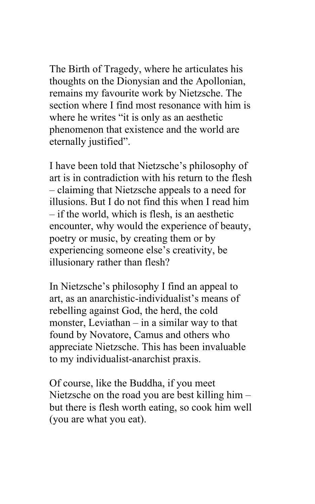The Birth of Tragedy, where he articulates his thoughts on the Dionysian and the Apollonian, remains my favourite work by Nietzsche. The section where I find most resonance with him is where he writes "it is only as an aesthetic phenomenon that existence and the world are eternally justified".

I have been told that Nietzsche's philosophy of art is in contradiction with his return to the flesh – claiming that Nietzsche appeals to a need for illusions. But I do not find this when I read him – if the world, which is flesh, is an aesthetic encounter, why would the experience of beauty, poetry or music, by creating them or by experiencing someone else's creativity, be illusionary rather than flesh?

In Nietzsche's philosophy I find an appeal to art, as an anarchistic-individualist's means of rebelling against God, the herd, the cold monster, Leviathan – in a similar way to that found by Novatore, Camus and others who appreciate Nietzsche. This has been invaluable to my individualist-anarchist praxis.

Of course, like the Buddha, if you meet Nietzsche on the road you are best killing him – but there is flesh worth eating, so cook him well (you are what you eat).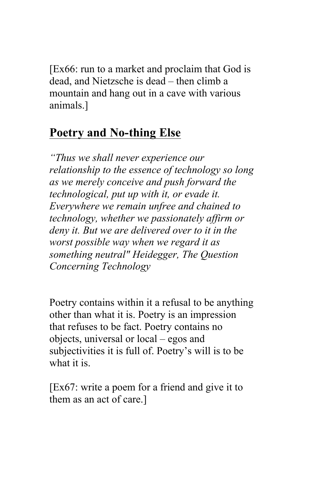[Ex66: run to a market and proclaim that God is dead, and Nietzsche is dead – then climb a mountain and hang out in a cave with various animals.]

### **Poetry and No-thing Else**

*"Thus we shall never experience our relationship to the essence of technology so long as we merely conceive and push forward the technological, put up with it, or evade it. Everywhere we remain unfree and chained to technology, whether we passionately affirm or deny it. But we are delivered over to it in the worst possible way when we regard it as something neutral" Heidegger, The Question Concerning Technology* 

Poetry contains within it a refusal to be anything other than what it is. Poetry is an impression that refuses to be fact. Poetry contains no objects, universal or local – egos and subjectivities it is full of. Poetry's will is to be what it is.

[Ex67: write a poem for a friend and give it to them as an act of care.]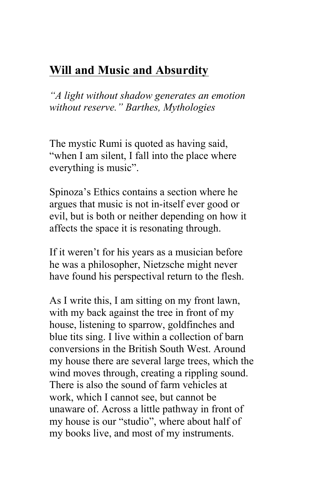# **Will and Music and Absurdity**

*"A light without shadow generates an emotion without reserve." Barthes, Mythologies*

The mystic Rumi is quoted as having said, "when I am silent, I fall into the place where everything is music".

Spinoza's Ethics contains a section where he argues that music is not in-itself ever good or evil, but is both or neither depending on how it affects the space it is resonating through.

If it weren't for his years as a musician before he was a philosopher, Nietzsche might never have found his perspectival return to the flesh.

As I write this, I am sitting on my front lawn, with my back against the tree in front of my house, listening to sparrow, goldfinches and blue tits sing. I live within a collection of barn conversions in the British South West. Around my house there are several large trees, which the wind moves through, creating a rippling sound. There is also the sound of farm vehicles at work, which I cannot see, but cannot be unaware of. Across a little pathway in front of my house is our "studio", where about half of my books live, and most of my instruments.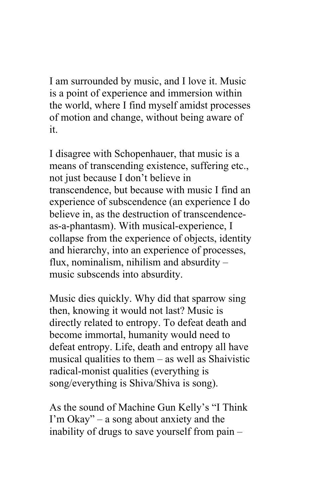I am surrounded by music, and I love it. Music is a point of experience and immersion within the world, where I find myself amidst processes of motion and change, without being aware of it.

I disagree with Schopenhauer, that music is a means of transcending existence, suffering etc., not just because I don't believe in transcendence, but because with music I find an experience of subscendence (an experience I do believe in, as the destruction of transcendenceas-a-phantasm). With musical-experience, I collapse from the experience of objects, identity and hierarchy, into an experience of processes, flux, nominalism, nihilism and absurdity – music subscends into absurdity.

Music dies quickly. Why did that sparrow sing then, knowing it would not last? Music is directly related to entropy. To defeat death and become immortal, humanity would need to defeat entropy. Life, death and entropy all have musical qualities to them – as well as Shaivistic radical-monist qualities (everything is song/everything is Shiva/Shiva is song).

As the sound of Machine Gun Kelly's "I Think I'm Okay" – a song about anxiety and the inability of drugs to save yourself from pain –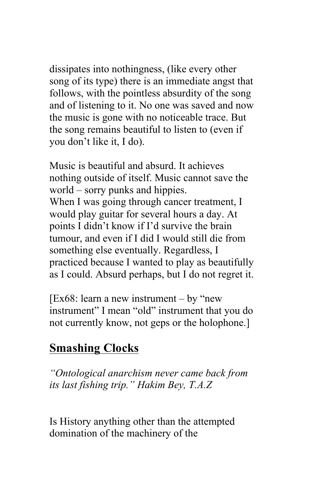dissipates into nothingness, (like every other song of its type) there is an immediate angst that follows, with the pointless absurdity of the song and of listening to it. No one was saved and now the music is gone with no noticeable trace. But the song remains beautiful to listen to (even if you don't like it, I do).

Music is beautiful and absurd. It achieves nothing outside of itself. Music cannot save the world – sorry punks and hippies. When I was going through cancer treatment, I would play guitar for several hours a day. At points I didn't know if I'd survive the brain tumour, and even if I did I would still die from something else eventually. Regardless, I practiced because I wanted to play as beautifully as I could. Absurd perhaps, but I do not regret it.

[Ex68: learn a new instrument – by "new" instrument" I mean "old" instrument that you do not currently know, not geps or the holophone.]

## **Smashing Clocks**

*"Ontological anarchism never came back from its last fishing trip." Hakim Bey, T.A.Z*

Is History anything other than the attempted domination of the machinery of the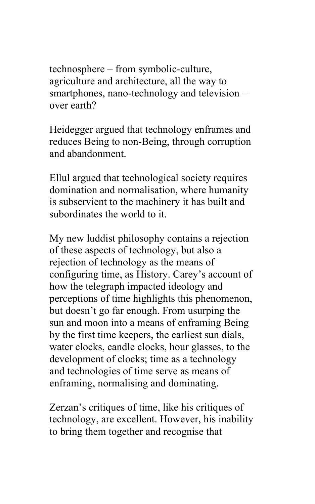technosphere – from symbolic-culture, agriculture and architecture, all the way to smartphones, nano-technology and television – over earth?

Heidegger argued that technology enframes and reduces Being to non-Being, through corruption and abandonment.

Ellul argued that technological society requires domination and normalisation, where humanity is subservient to the machinery it has built and subordinates the world to it.

My new luddist philosophy contains a rejection of these aspects of technology, but also a rejection of technology as the means of configuring time, as History. Carey's account of how the telegraph impacted ideology and perceptions of time highlights this phenomenon, but doesn't go far enough. From usurping the sun and moon into a means of enframing Being by the first time keepers, the earliest sun dials, water clocks, candle clocks, hour glasses, to the development of clocks; time as a technology and technologies of time serve as means of enframing, normalising and dominating.

Zerzan's critiques of time, like his critiques of technology, are excellent. However, his inability to bring them together and recognise that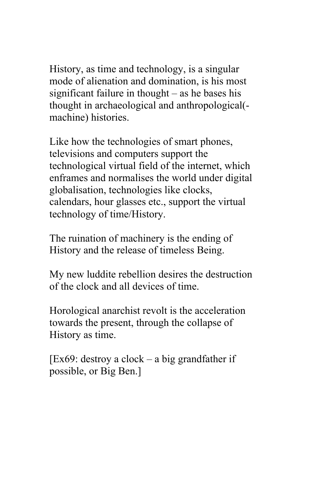History, as time and technology, is a singular mode of alienation and domination, is his most significant failure in thought – as he bases his thought in archaeological and anthropological( machine) histories.

Like how the technologies of smart phones, televisions and computers support the technological virtual field of the internet, which enframes and normalises the world under digital globalisation, technologies like clocks, calendars, hour glasses etc., support the virtual technology of time/History.

The ruination of machinery is the ending of History and the release of timeless Being.

My new luddite rebellion desires the destruction of the clock and all devices of time.

Horological anarchist revolt is the acceleration towards the present, through the collapse of History as time.

 $[Ex69:$  destroy a clock – a big grandfather if possible, or Big Ben.]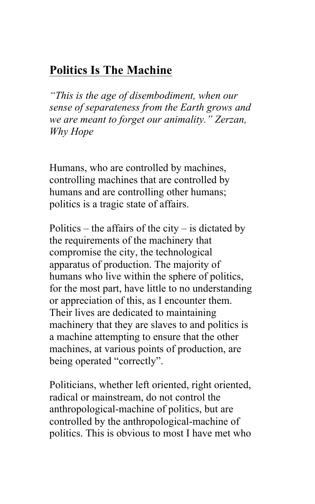## **Politics Is The Machine**

*"This is the age of disembodiment, when our sense of separateness from the Earth grows and we are meant to forget our animality." Zerzan, Why Hope* 

Humans, who are controlled by machines, controlling machines that are controlled by humans and are controlling other humans; politics is a tragic state of affairs.

Politics – the affairs of the city – is dictated by the requirements of the machinery that compromise the city, the technological apparatus of production. The majority of humans who live within the sphere of politics, for the most part, have little to no understanding or appreciation of this, as I encounter them. Their lives are dedicated to maintaining machinery that they are slaves to and politics is a machine attempting to ensure that the other machines, at various points of production, are being operated "correctly".

Politicians, whether left oriented, right oriented, radical or mainstream, do not control the anthropological-machine of politics, but are controlled by the anthropological-machine of politics. This is obvious to most I have met who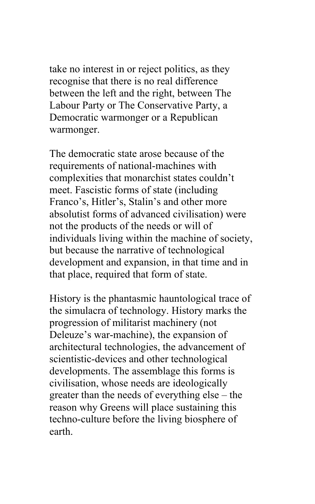take no interest in or reject politics, as they recognise that there is no real difference between the left and the right, between The Labour Party or The Conservative Party, a Democratic warmonger or a Republican warmonger.

The democratic state arose because of the requirements of national-machines with complexities that monarchist states couldn't meet. Fascistic forms of state (including Franco's, Hitler's, Stalin's and other more absolutist forms of advanced civilisation) were not the products of the needs or will of individuals living within the machine of society, but because the narrative of technological development and expansion, in that time and in that place, required that form of state.

History is the phantasmic hauntological trace of the simulacra of technology. History marks the progression of militarist machinery (not Deleuze's war-machine), the expansion of architectural technologies, the advancement of scientistic-devices and other technological developments. The assemblage this forms is civilisation, whose needs are ideologically greater than the needs of everything else – the reason why Greens will place sustaining this techno-culture before the living biosphere of earth.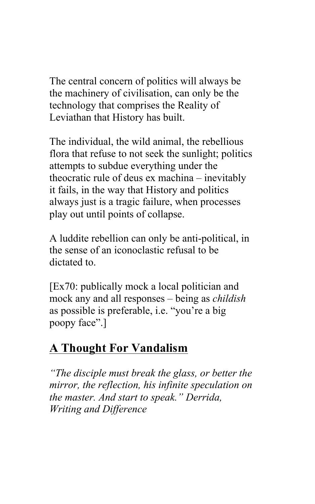The central concern of politics will always be the machinery of civilisation, can only be the technology that comprises the Reality of Leviathan that History has built.

The individual, the wild animal, the rebellious flora that refuse to not seek the sunlight; politics attempts to subdue everything under the theocratic rule of deus ex machina – inevitably it fails, in the way that History and politics always just is a tragic failure, when processes play out until points of collapse.

A luddite rebellion can only be anti-political, in the sense of an iconoclastic refusal to be dictated to.

[Ex70: publically mock a local politician and mock any and all responses – being as *childish* as possible is preferable, i.e. "you're a big poopy face".]

# **A Thought For Vandalism**

*"The disciple must break the glass, or better the mirror, the reflection, his infinite speculation on the master. And start to speak." Derrida, Writing and Difference*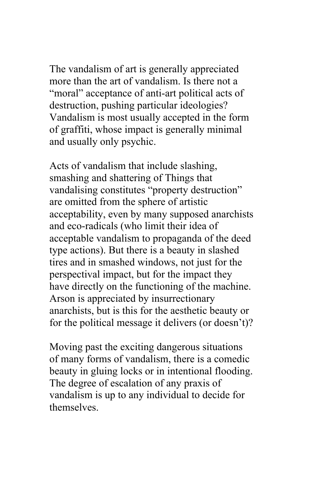The vandalism of art is generally appreciated more than the art of vandalism. Is there not a "moral" acceptance of anti-art political acts of destruction, pushing particular ideologies? Vandalism is most usually accepted in the form of graffiti, whose impact is generally minimal and usually only psychic.

Acts of vandalism that include slashing, smashing and shattering of Things that vandalising constitutes "property destruction" are omitted from the sphere of artistic acceptability, even by many supposed anarchists and eco-radicals (who limit their idea of acceptable vandalism to propaganda of the deed type actions). But there is a beauty in slashed tires and in smashed windows, not just for the perspectival impact, but for the impact they have directly on the functioning of the machine. Arson is appreciated by insurrectionary anarchists, but is this for the aesthetic beauty or for the political message it delivers (or doesn't)?

Moving past the exciting dangerous situations of many forms of vandalism, there is a comedic beauty in gluing locks or in intentional flooding. The degree of escalation of any praxis of vandalism is up to any individual to decide for themselves.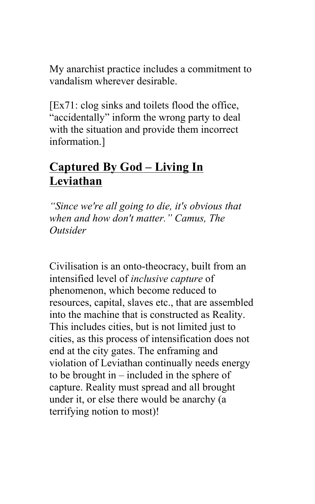My anarchist practice includes a commitment to vandalism wherever desirable.

[Ex71: clog sinks and toilets flood the office, "accidentally" inform the wrong party to deal with the situation and provide them incorrect information.]

## **Captured By God – Living In Leviathan**

*"Since we're all going to die, it's obvious that when and how don't matter." Camus, The Outsider*

Civilisation is an onto-theocracy, built from an intensified level of *inclusive capture* of phenomenon, which become reduced to resources, capital, slaves etc., that are assembled into the machine that is constructed as Reality. This includes cities, but is not limited just to cities, as this process of intensification does not end at the city gates. The enframing and violation of Leviathan continually needs energy to be brought in – included in the sphere of capture. Reality must spread and all brought under it, or else there would be anarchy (a terrifying notion to most)!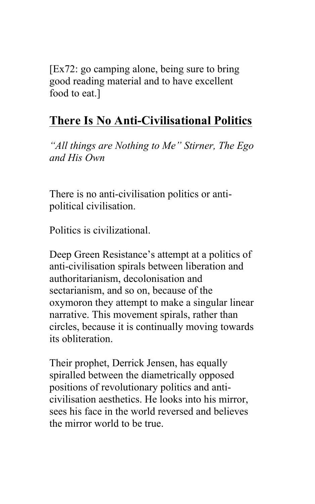[Ex72: go camping alone, being sure to bring good reading material and to have excellent food to eat.]

# **There Is No Anti-Civilisational Politics**

*"All things are Nothing to Me" Stirner, The Ego and His Own*

There is no anti-civilisation politics or antipolitical civilisation.

Politics is civilizational.

Deep Green Resistance's attempt at a politics of anti-civilisation spirals between liberation and authoritarianism, decolonisation and sectarianism, and so on, because of the oxymoron they attempt to make a singular linear narrative. This movement spirals, rather than circles, because it is continually moving towards its obliteration.

Their prophet, Derrick Jensen, has equally spiralled between the diametrically opposed positions of revolutionary politics and anticivilisation aesthetics. He looks into his mirror, sees his face in the world reversed and believes the mirror world to be true.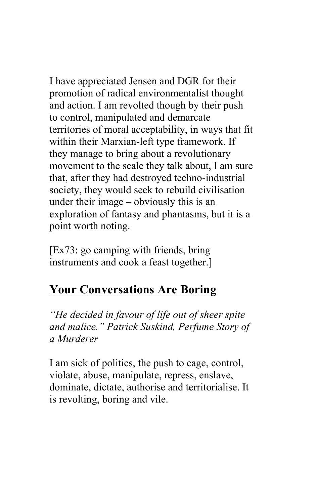I have appreciated Jensen and DGR for their promotion of radical environmentalist thought and action. I am revolted though by their push to control, manipulated and demarcate territories of moral acceptability, in ways that fit within their Marxian-left type framework. If they manage to bring about a revolutionary movement to the scale they talk about, I am sure that, after they had destroyed techno-industrial society, they would seek to rebuild civilisation under their image – obviously this is an exploration of fantasy and phantasms, but it is a point worth noting.

[Ex73: go camping with friends, bring instruments and cook a feast together.]

# **Your Conversations Are Boring**

*"He decided in favour of life out of sheer spite and malice." Patrick Suskind, Perfume Story of a Murderer*

I am sick of politics, the push to cage, control, violate, abuse, manipulate, repress, enslave, dominate, dictate, authorise and territorialise. It is revolting, boring and vile.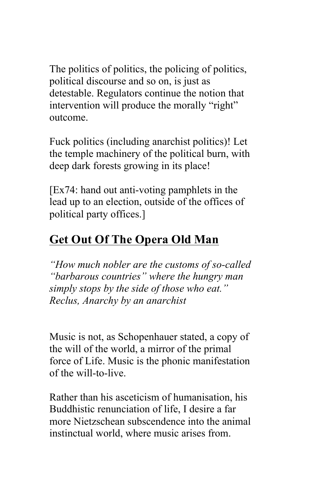The politics of politics, the policing of politics, political discourse and so on, is just as detestable. Regulators continue the notion that intervention will produce the morally "right" outcome.

Fuck politics (including anarchist politics)! Let the temple machinery of the political burn, with deep dark forests growing in its place!

[Ex74: hand out anti-voting pamphlets in the lead up to an election, outside of the offices of political party offices.]

# **Get Out Of The Opera Old Man**

*"How much nobler are the customs of so-called "barbarous countries" where the hungry man simply stops by the side of those who eat." Reclus, Anarchy by an anarchist* 

Music is not, as Schopenhauer stated, a copy of the will of the world, a mirror of the primal force of Life. Music is the phonic manifestation of the will-to-live.

Rather than his asceticism of humanisation, his Buddhistic renunciation of life, I desire a far more Nietzschean subscendence into the animal instinctual world, where music arises from.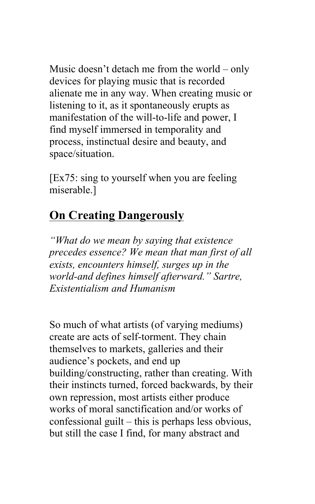Music doesn't detach me from the world – only devices for playing music that is recorded alienate me in any way. When creating music or listening to it, as it spontaneously erupts as manifestation of the will-to-life and power, I find myself immersed in temporality and process, instinctual desire and beauty, and space/situation.

[Ex75: sing to yourself when you are feeling miserable.]

## **On Creating Dangerously**

*"What do we mean by saying that existence precedes essence? We mean that man first of all exists, encounters himself, surges up in the world-and defines himself afterward." Sartre, Existentialism and Humanism*

So much of what artists (of varying mediums) create are acts of self-torment. They chain themselves to markets, galleries and their audience's pockets, and end up building/constructing, rather than creating. With their instincts turned, forced backwards, by their own repression, most artists either produce works of moral sanctification and/or works of confessional guilt – this is perhaps less obvious, but still the case I find, for many abstract and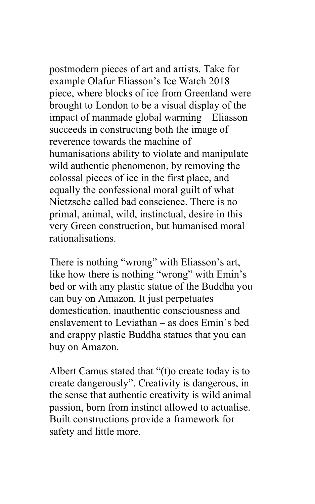postmodern pieces of art and artists. Take for example Olafur Eliasson's Ice Watch 2018 piece, where blocks of ice from Greenland were brought to London to be a visual display of the impact of manmade global warming – Eliasson succeeds in constructing both the image of reverence towards the machine of humanisations ability to violate and manipulate wild authentic phenomenon, by removing the colossal pieces of ice in the first place, and equally the confessional moral guilt of what Nietzsche called bad conscience. There is no primal, animal, wild, instinctual, desire in this very Green construction, but humanised moral rationalisations.

There is nothing "wrong" with Eliasson's art, like how there is nothing "wrong" with Emin's bed or with any plastic statue of the Buddha you can buy on Amazon. It just perpetuates domestication, inauthentic consciousness and enslavement to Leviathan – as does Emin's bed and crappy plastic Buddha statues that you can buy on Amazon.

Albert Camus stated that "(t)o create today is to create dangerously". Creativity is dangerous, in the sense that authentic creativity is wild animal passion, born from instinct allowed to actualise. Built constructions provide a framework for safety and little more.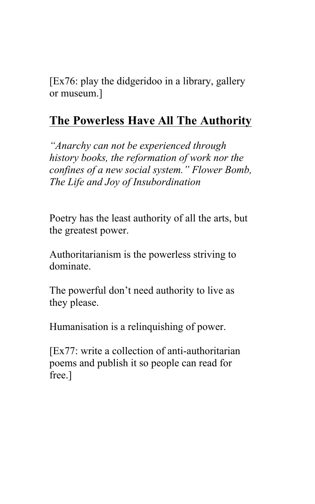[Ex76: play the didgeridoo in a library, gallery or museum.]

# **The Powerless Have All The Authority**

*"Anarchy can not be experienced through history books, the reformation of work nor the confines of a new social system." Flower Bomb, The Life and Joy of Insubordination* 

Poetry has the least authority of all the arts, but the greatest power.

Authoritarianism is the powerless striving to dominate.

The powerful don't need authority to live as they please.

Humanisation is a relinquishing of power.

[Ex77: write a collection of anti-authoritarian poems and publish it so people can read for free.]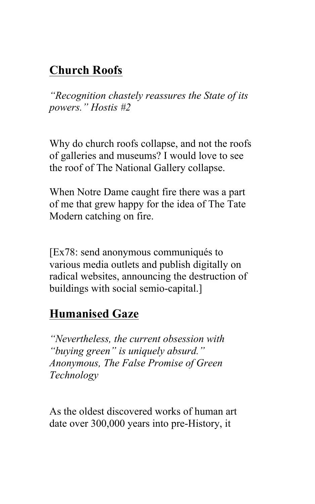# **Church Roofs**

*"Recognition chastely reassures the State of its powers." Hostis #2* 

Why do church roofs collapse, and not the roofs of galleries and museums? I would love to see the roof of The National Gallery collapse.

When Notre Dame caught fire there was a part of me that grew happy for the idea of The Tate Modern catching on fire.

[Ex78: send anonymous communiqués to various media outlets and publish digitally on radical websites, announcing the destruction of buildings with social semio-capital.]

## **Humanised Gaze**

*"Nevertheless, the current obsession with "buying green" is uniquely absurd." Anonymous, The False Promise of Green Technology* 

As the oldest discovered works of human art date over 300,000 years into pre-History, it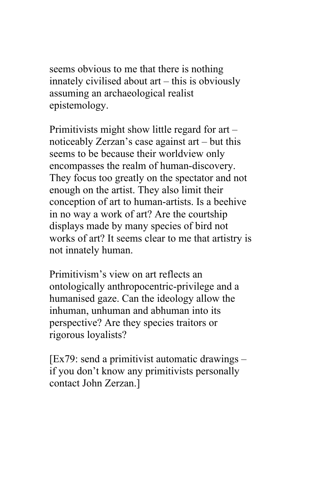seems obvious to me that there is nothing innately civilised about art – this is obviously assuming an archaeological realist epistemology.

Primitivists might show little regard for art – noticeably Zerzan's case against art – but this seems to be because their worldview only encompasses the realm of human-discovery. They focus too greatly on the spectator and not enough on the artist. They also limit their conception of art to human-artists. Is a beehive in no way a work of art? Are the courtship displays made by many species of bird not works of art? It seems clear to me that artistry is not innately human.

Primitivism's view on art reflects an ontologically anthropocentric-privilege and a humanised gaze. Can the ideology allow the inhuman, unhuman and abhuman into its perspective? Are they species traitors or rigorous loyalists?

 $[Ex79: send a primitiveist automatic drawings$ if you don't know any primitivists personally contact John Zerzan.]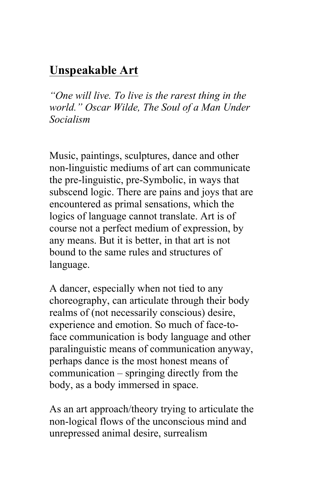## **Unspeakable Art**

*"One will live. To live is the rarest thing in the world." Oscar Wilde, The Soul of a Man Under Socialism* 

Music, paintings, sculptures, dance and other non-linguistic mediums of art can communicate the pre-linguistic, pre-Symbolic, in ways that subscend logic. There are pains and joys that are encountered as primal sensations, which the logics of language cannot translate. Art is of course not a perfect medium of expression, by any means. But it is better, in that art is not bound to the same rules and structures of language.

A dancer, especially when not tied to any choreography, can articulate through their body realms of (not necessarily conscious) desire, experience and emotion. So much of face-toface communication is body language and other paralinguistic means of communication anyway, perhaps dance is the most honest means of communication – springing directly from the body, as a body immersed in space.

As an art approach/theory trying to articulate the non-logical flows of the unconscious mind and unrepressed animal desire, surrealism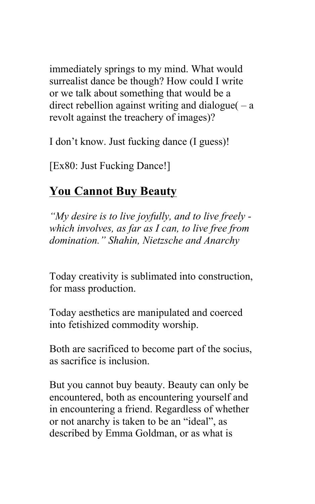immediately springs to my mind. What would surrealist dance be though? How could I write or we talk about something that would be a direct rebellion against writing and dialogue  $(-a$ revolt against the treachery of images)?

I don't know. Just fucking dance (I guess)!

[Ex80: Just Fucking Dance!]

# **You Cannot Buy Beauty**

*"My desire is to live joyfully, and to live freely which involves, as far as I can, to live free from domination." Shahin, Nietzsche and Anarchy* 

Today creativity is sublimated into construction, for mass production.

Today aesthetics are manipulated and coerced into fetishized commodity worship.

Both are sacrificed to become part of the socius, as sacrifice is inclusion.

But you cannot buy beauty. Beauty can only be encountered, both as encountering yourself and in encountering a friend. Regardless of whether or not anarchy is taken to be an "ideal", as described by Emma Goldman, or as what is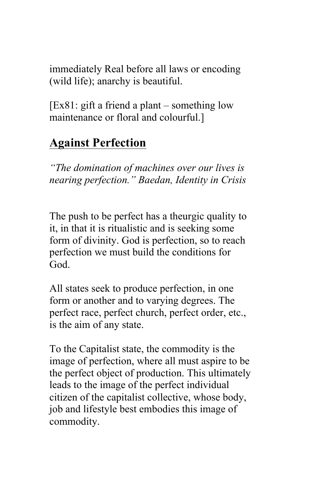immediately Real before all laws or encoding (wild life); anarchy is beautiful.

[Ex81: gift a friend a plant – something low maintenance or floral and colourful.]

# **Against Perfection**

*"The domination of machines over our lives is nearing perfection." Baedan, Identity in Crisis*

The push to be perfect has a theurgic quality to it, in that it is ritualistic and is seeking some form of divinity. God is perfection, so to reach perfection we must build the conditions for God.

All states seek to produce perfection, in one form or another and to varying degrees. The perfect race, perfect church, perfect order, etc., is the aim of any state.

To the Capitalist state, the commodity is the image of perfection, where all must aspire to be the perfect object of production. This ultimately leads to the image of the perfect individual citizen of the capitalist collective, whose body, job and lifestyle best embodies this image of commodity.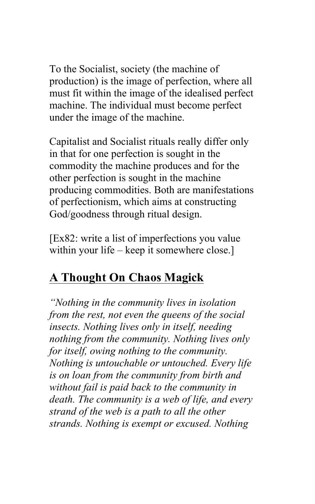To the Socialist, society (the machine of production) is the image of perfection, where all must fit within the image of the idealised perfect machine. The individual must become perfect under the image of the machine.

Capitalist and Socialist rituals really differ only in that for one perfection is sought in the commodity the machine produces and for the other perfection is sought in the machine producing commodities. Both are manifestations of perfectionism, which aims at constructing God/goodness through ritual design.

[Ex82: write a list of imperfections you value within your life – keep it somewhere close.

# **A Thought On Chaos Magick**

*"Nothing in the community lives in isolation from the rest, not even the queens of the social insects. Nothing lives only in itself, needing nothing from the community. Nothing lives only for itself, owing nothing to the community. Nothing is untouchable or untouched. Every life is on loan from the community from birth and without fail is paid back to the community in death. The community is a web of life, and every strand of the web is a path to all the other strands. Nothing is exempt or excused. Nothing*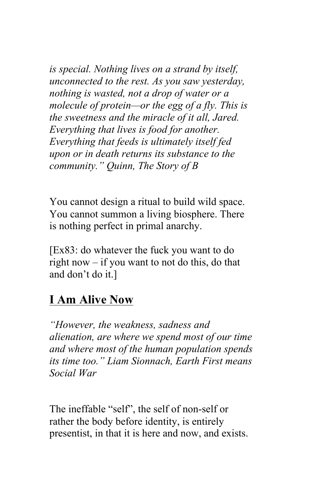*is special. Nothing lives on a strand by itself, unconnected to the rest. As you saw yesterday, nothing is wasted, not a drop of water or a molecule of protein—or the egg of a fly. This is the sweetness and the miracle of it all, Jared. Everything that lives is food for another. Everything that feeds is ultimately itself fed upon or in death returns its substance to the community." Quinn, The Story of B*

You cannot design a ritual to build wild space. You cannot summon a living biosphere. There is nothing perfect in primal anarchy.

[Ex83: do whatever the fuck you want to do right now – if you want to not do this, do that and don't do it.]

## **I Am Alive Now**

*"However, the weakness, sadness and alienation, are where we spend most of our time and where most of the human population spends its time too." Liam Sionnach, Earth First means Social War*

The ineffable "self", the self of non-self or rather the body before identity, is entirely presentist, in that it is here and now, and exists.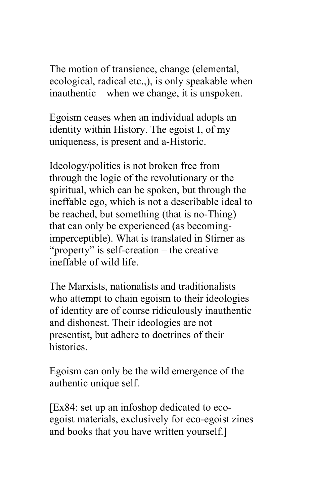The motion of transience, change (elemental, ecological, radical etc.,), is only speakable when inauthentic – when we change, it is unspoken.

Egoism ceases when an individual adopts an identity within History. The egoist I, of my uniqueness, is present and a-Historic.

Ideology/politics is not broken free from through the logic of the revolutionary or the spiritual, which can be spoken, but through the ineffable ego, which is not a describable ideal to be reached, but something (that is no-Thing) that can only be experienced (as becomingimperceptible). What is translated in Stirner as "property" is self-creation – the creative ineffable of wild life.

The Marxists, nationalists and traditionalists who attempt to chain egoism to their ideologies of identity are of course ridiculously inauthentic and dishonest. Their ideologies are not presentist, but adhere to doctrines of their histories.

Egoism can only be the wild emergence of the authentic unique self.

[Ex84: set up an infoshop dedicated to ecoegoist materials, exclusively for eco-egoist zines and books that you have written yourself.]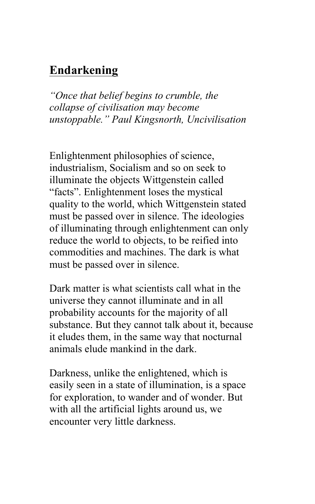## **Endarkening**

*"Once that belief begins to crumble, the collapse of civilisation may become unstoppable." Paul Kingsnorth, Uncivilisation*

Enlightenment philosophies of science, industrialism, Socialism and so on seek to illuminate the objects Wittgenstein called "facts". Enlightenment loses the mystical quality to the world, which Wittgenstein stated must be passed over in silence. The ideologies of illuminating through enlightenment can only reduce the world to objects, to be reified into commodities and machines. The dark is what must be passed over in silence.

Dark matter is what scientists call what in the universe they cannot illuminate and in all probability accounts for the majority of all substance. But they cannot talk about it, because it eludes them, in the same way that nocturnal animals elude mankind in the dark.

Darkness, unlike the enlightened, which is easily seen in a state of illumination, is a space for exploration, to wander and of wonder. But with all the artificial lights around us, we encounter very little darkness.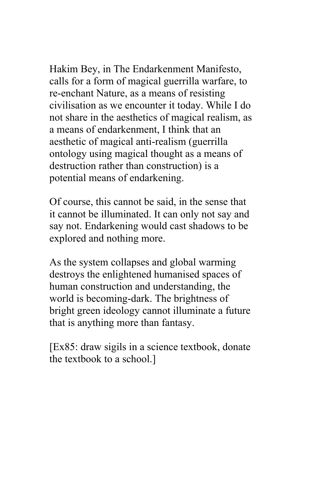Hakim Bey, in The Endarkenment Manifesto, calls for a form of magical guerrilla warfare, to re-enchant Nature, as a means of resisting civilisation as we encounter it today. While I do not share in the aesthetics of magical realism, as a means of endarkenment, I think that an aesthetic of magical anti-realism (guerrilla ontology using magical thought as a means of destruction rather than construction) is a potential means of endarkening.

Of course, this cannot be said, in the sense that it cannot be illuminated. It can only not say and say not. Endarkening would cast shadows to be explored and nothing more.

As the system collapses and global warming destroys the enlightened humanised spaces of human construction and understanding, the world is becoming-dark. The brightness of bright green ideology cannot illuminate a future that is anything more than fantasy.

[Ex85: draw sigils in a science textbook, donate the textbook to a school.]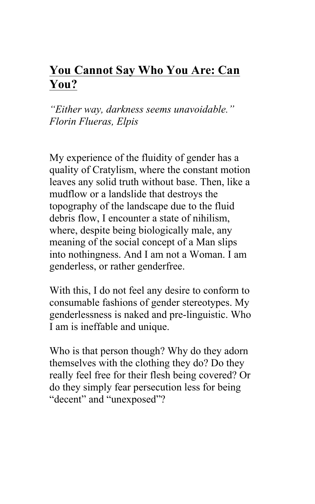# **You Cannot Say Who You Are: Can You?**

*"Either way, darkness seems unavoidable." Florin Flueras, Elpis* 

My experience of the fluidity of gender has a quality of Cratylism, where the constant motion leaves any solid truth without base. Then, like a mudflow or a landslide that destroys the topography of the landscape due to the fluid debris flow, I encounter a state of nihilism, where, despite being biologically male, any meaning of the social concept of a Man slips into nothingness. And I am not a Woman. I am genderless, or rather genderfree.

With this, I do not feel any desire to conform to consumable fashions of gender stereotypes. My genderlessness is naked and pre-linguistic. Who I am is ineffable and unique.

Who is that person though? Why do they adorn themselves with the clothing they do? Do they really feel free for their flesh being covered? Or do they simply fear persecution less for being "decent" and "unexposed"?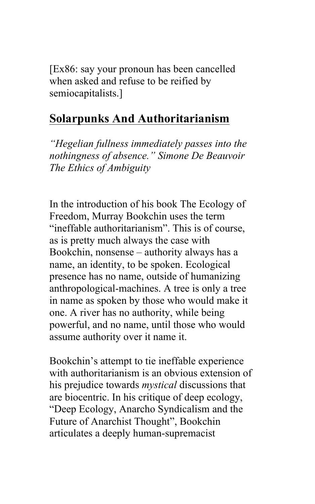[Ex86: say your pronoun has been cancelled when asked and refuse to be reified by semiocapitalists.]

#### **Solarpunks And Authoritarianism**

*"Hegelian fullness immediately passes into the nothingness of absence." Simone De Beauvoir The Ethics of Ambiguity*

In the introduction of his book The Ecology of Freedom, Murray Bookchin uses the term "ineffable authoritarianism". This is of course, as is pretty much always the case with Bookchin, nonsense – authority always has a name, an identity, to be spoken. Ecological presence has no name, outside of humanizing anthropological-machines. A tree is only a tree in name as spoken by those who would make it one. A river has no authority, while being powerful, and no name, until those who would assume authority over it name it.

Bookchin's attempt to tie ineffable experience with authoritarianism is an obvious extension of his prejudice towards *mystical* discussions that are biocentric. In his critique of deep ecology, "Deep Ecology, Anarcho Syndicalism and the Future of Anarchist Thought", Bookchin articulates a deeply human-supremacist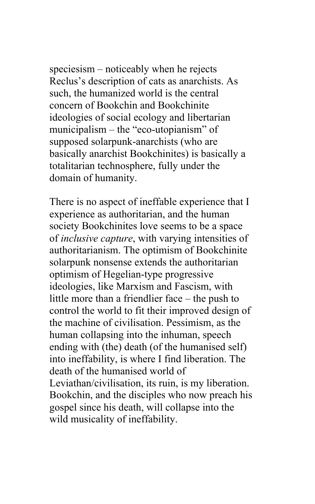speciesism – noticeably when he rejects Reclus's description of cats as anarchists. As such, the humanized world is the central concern of Bookchin and Bookchinite ideologies of social ecology and libertarian municipalism – the "eco-utopianism" of supposed solarpunk-anarchists (who are basically anarchist Bookchinites) is basically a totalitarian technosphere, fully under the domain of humanity.

There is no aspect of ineffable experience that I experience as authoritarian, and the human society Bookchinites love seems to be a space of *inclusive capture*, with varying intensities of authoritarianism. The optimism of Bookchinite solarpunk nonsense extends the authoritarian optimism of Hegelian-type progressive ideologies, like Marxism and Fascism, with little more than a friendlier face – the push to control the world to fit their improved design of the machine of civilisation. Pessimism, as the human collapsing into the inhuman, speech ending with (the) death (of the humanised self) into ineffability, is where I find liberation. The death of the humanised world of Leviathan/civilisation, its ruin, is my liberation. Bookchin, and the disciples who now preach his gospel since his death, will collapse into the wild musicality of ineffability.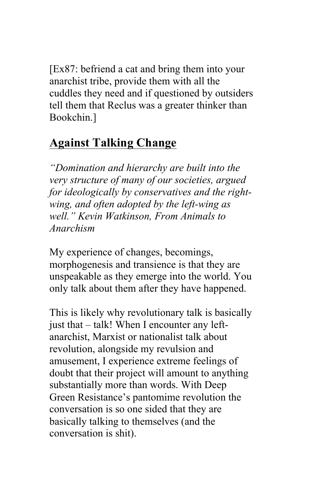[Ex87: befriend a cat and bring them into your anarchist tribe, provide them with all the cuddles they need and if questioned by outsiders tell them that Reclus was a greater thinker than Bookchin.]

## **Against Talking Change**

*"Domination and hierarchy are built into the very structure of many of our societies, argued for ideologically by conservatives and the rightwing, and often adopted by the left-wing as well." Kevin Watkinson, From Animals to Anarchism*

My experience of changes, becomings, morphogenesis and transience is that they are unspeakable as they emerge into the world. You only talk about them after they have happened.

This is likely why revolutionary talk is basically just that – talk! When I encounter any leftanarchist, Marxist or nationalist talk about revolution, alongside my revulsion and amusement, I experience extreme feelings of doubt that their project will amount to anything substantially more than words. With Deep Green Resistance's pantomime revolution the conversation is so one sided that they are basically talking to themselves (and the conversation is shit).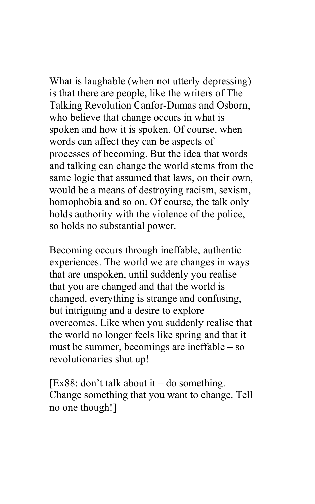What is laughable (when not utterly depressing) is that there are people, like the writers of The Talking Revolution Canfor-Dumas and Osborn, who believe that change occurs in what is spoken and how it is spoken. Of course, when words can affect they can be aspects of processes of becoming. But the idea that words and talking can change the world stems from the same logic that assumed that laws, on their own, would be a means of destroying racism, sexism, homophobia and so on. Of course, the talk only holds authority with the violence of the police, so holds no substantial power.

Becoming occurs through ineffable, authentic experiences. The world we are changes in ways that are unspoken, until suddenly you realise that you are changed and that the world is changed, everything is strange and confusing, but intriguing and a desire to explore overcomes. Like when you suddenly realise that the world no longer feels like spring and that it must be summer, becomings are ineffable – so revolutionaries shut up!

[Ex88: don't talk about it – do something.] Change something that you want to change. Tell no one though!]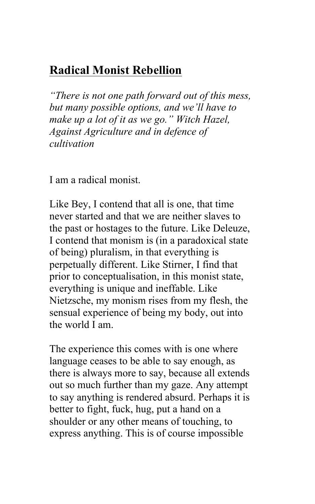# **Radical Monist Rebellion**

*"There is not one path forward out of this mess, but many possible options, and we'll have to make up a lot of it as we go." Witch Hazel, Against Agriculture and in defence of cultivation* 

I am a radical monist.

Like Bey, I contend that all is one, that time never started and that we are neither slaves to the past or hostages to the future. Like Deleuze, I contend that monism is (in a paradoxical state of being) pluralism, in that everything is perpetually different. Like Stirner, I find that prior to conceptualisation, in this monist state, everything is unique and ineffable. Like Nietzsche, my monism rises from my flesh, the sensual experience of being my body, out into the world I am.

The experience this comes with is one where language ceases to be able to say enough, as there is always more to say, because all extends out so much further than my gaze. Any attempt to say anything is rendered absurd. Perhaps it is better to fight, fuck, hug, put a hand on a shoulder or any other means of touching, to express anything. This is of course impossible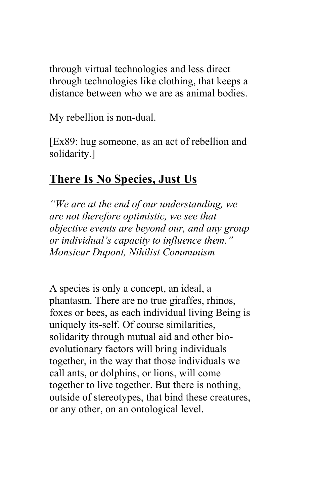through virtual technologies and less direct through technologies like clothing, that keeps a distance between who we are as animal bodies.

My rebellion is non-dual.

[Ex89: hug someone, as an act of rebellion and solidarity.]

# **There Is No Species, Just Us**

*"We are at the end of our understanding, we are not therefore optimistic, we see that objective events are beyond our, and any group or individual's capacity to influence them." Monsieur Dupont, Nihilist Communism*

A species is only a concept, an ideal, a phantasm. There are no true giraffes, rhinos, foxes or bees, as each individual living Being is uniquely its-self. Of course similarities, solidarity through mutual aid and other bioevolutionary factors will bring individuals together, in the way that those individuals we call ants, or dolphins, or lions, will come together to live together. But there is nothing, outside of stereotypes, that bind these creatures, or any other, on an ontological level.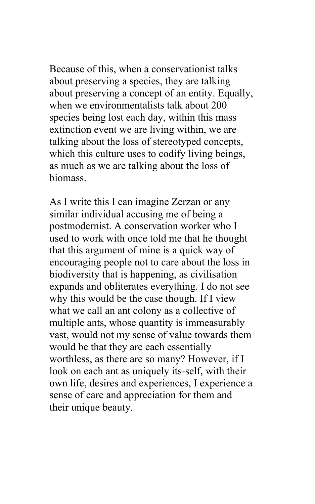Because of this, when a conservationist talks about preserving a species, they are talking about preserving a concept of an entity. Equally, when we environmentalists talk about 200 species being lost each day, within this mass extinction event we are living within, we are talking about the loss of stereotyped concepts, which this culture uses to codify living beings, as much as we are talking about the loss of biomass.

As I write this I can imagine Zerzan or any similar individual accusing me of being a postmodernist. A conservation worker who I used to work with once told me that he thought that this argument of mine is a quick way of encouraging people not to care about the loss in biodiversity that is happening, as civilisation expands and obliterates everything. I do not see why this would be the case though. If I view what we call an ant colony as a collective of multiple ants, whose quantity is immeasurably vast, would not my sense of value towards them would be that they are each essentially worthless, as there are so many? However, if I look on each ant as uniquely its-self, with their own life, desires and experiences, I experience a sense of care and appreciation for them and their unique beauty.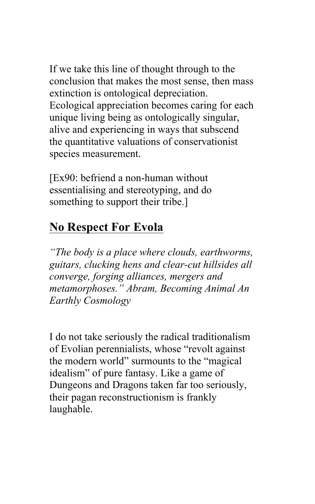If we take this line of thought through to the conclusion that makes the most sense, then mass extinction is ontological depreciation. Ecological appreciation becomes caring for each unique living being as ontologically singular, alive and experiencing in ways that subscend the quantitative valuations of conservationist species measurement.

[Ex90: befriend a non-human without essentialising and stereotyping, and do something to support their tribe.]

#### **No Respect For Evola**

*"The body is a place where clouds, earthworms, guitars, clucking hens and clear-cut hillsides all converge, forging alliances, mergers and metamorphoses." Abram, Becoming Animal An Earthly Cosmology* 

I do not take seriously the radical traditionalism of Evolian perennialists, whose "revolt against the modern world" surmounts to the "magical idealism" of pure fantasy. Like a game of Dungeons and Dragons taken far too seriously, their pagan reconstructionism is frankly laughable.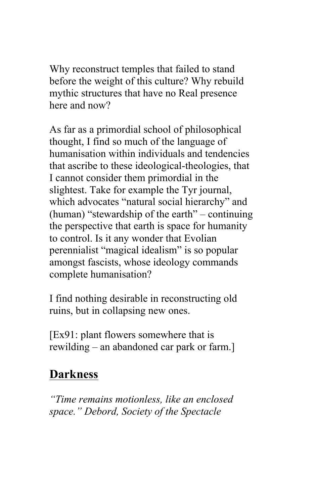Why reconstruct temples that failed to stand before the weight of this culture? Why rebuild mythic structures that have no Real presence here and now?

As far as a primordial school of philosophical thought, I find so much of the language of humanisation within individuals and tendencies that ascribe to these ideological-theologies, that I cannot consider them primordial in the slightest. Take for example the Tyr journal, which advocates "natural social hierarchy" and (human) "stewardship of the earth" – continuing the perspective that earth is space for humanity to control. Is it any wonder that Evolian perennialist "magical idealism" is so popular amongst fascists, whose ideology commands complete humanisation?

I find nothing desirable in reconstructing old ruins, but in collapsing new ones.

[Ex91: plant flowers somewhere that is rewilding – an abandoned car park or farm.]

# **Darkness**

*"Time remains motionless, like an enclosed space." Debord, Society of the Spectacle*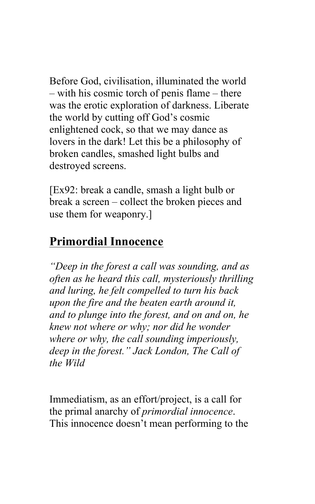Before God, civilisation, illuminated the world – with his cosmic torch of penis flame – there was the erotic exploration of darkness. Liberate the world by cutting off God's cosmic enlightened cock, so that we may dance as lovers in the dark! Let this be a philosophy of broken candles, smashed light bulbs and destroyed screens.

[Ex92: break a candle, smash a light bulb or break a screen – collect the broken pieces and use them for weaponry.]

## **Primordial Innocence**

*"Deep in the forest a call was sounding, and as often as he heard this call, mysteriously thrilling and luring, he felt compelled to turn his back upon the fire and the beaten earth around it, and to plunge into the forest, and on and on, he knew not where or why; nor did he wonder where or why, the call sounding imperiously, deep in the forest." Jack London, The Call of the Wild*

Immediatism, as an effort/project, is a call for the primal anarchy of *primordial innocence*. This innocence doesn't mean performing to the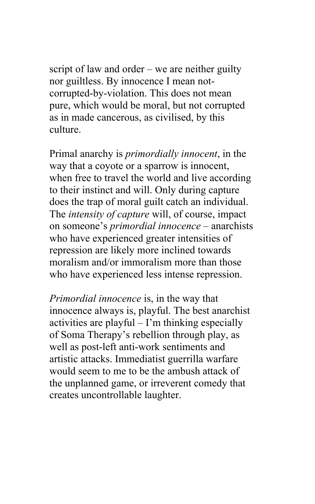script of law and order – we are neither guilty nor guiltless. By innocence I mean notcorrupted-by-violation. This does not mean pure, which would be moral, but not corrupted as in made cancerous, as civilised, by this culture.

Primal anarchy is *primordially innocent*, in the way that a coyote or a sparrow is innocent, when free to travel the world and live according to their instinct and will. Only during capture does the trap of moral guilt catch an individual. The *intensity of capture* will, of course, impact on someone's *primordial innocence* – anarchists who have experienced greater intensities of repression are likely more inclined towards moralism and/or immoralism more than those who have experienced less intense repression.

*Primordial innocence* is, in the way that innocence always is, playful. The best anarchist activities are playful – I'm thinking especially of Soma Therapy's rebellion through play, as well as post-left anti-work sentiments and artistic attacks. Immediatist guerrilla warfare would seem to me to be the ambush attack of the unplanned game, or irreverent comedy that creates uncontrollable laughter.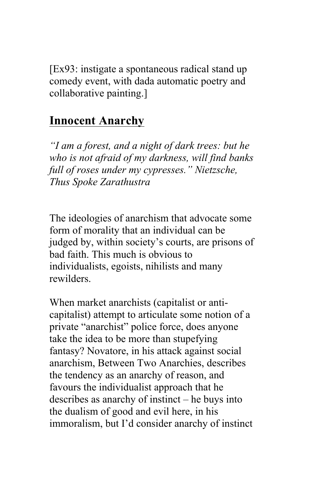[Ex93: instigate a spontaneous radical stand up comedy event, with dada automatic poetry and collaborative painting.]

#### **Innocent Anarchy**

*"I am a forest, and a night of dark trees: but he who is not afraid of my darkness, will find banks full of roses under my cypresses." Nietzsche, Thus Spoke Zarathustra* 

The ideologies of anarchism that advocate some form of morality that an individual can be judged by, within society's courts, are prisons of bad faith. This much is obvious to individualists, egoists, nihilists and many rewilders.

When market anarchists (capitalist or anticapitalist) attempt to articulate some notion of a private "anarchist" police force, does anyone take the idea to be more than stupefying fantasy? Novatore, in his attack against social anarchism, Between Two Anarchies, describes the tendency as an anarchy of reason, and favours the individualist approach that he describes as anarchy of instinct – he buys into the dualism of good and evil here, in his immoralism, but I'd consider anarchy of instinct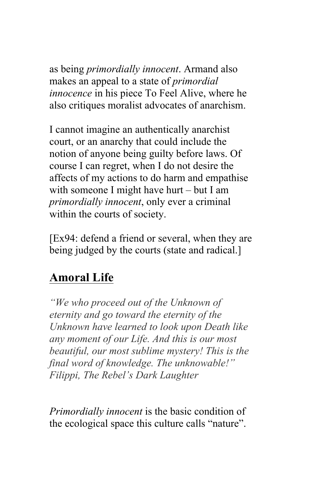as being *primordially innocent*. Armand also makes an appeal to a state of *primordial innocence* in his piece To Feel Alive, where he also critiques moralist advocates of anarchism.

I cannot imagine an authentically anarchist court, or an anarchy that could include the notion of anyone being guilty before laws. Of course I can regret, when I do not desire the affects of my actions to do harm and empathise with someone I might have hurt – but I am *primordially innocent*, only ever a criminal within the courts of society.

[Ex94: defend a friend or several, when they are being judged by the courts (state and radical.]

# **Amoral Life**

*"We who proceed out of the Unknown of eternity and go toward the eternity of the Unknown have learned to look upon Death like any moment of our Life. And this is our most beautiful, our most sublime mystery! This is the final word of knowledge. The unknowable!" Filippi, The Rebel's Dark Laughter* 

*Primordially innocent* is the basic condition of the ecological space this culture calls "nature".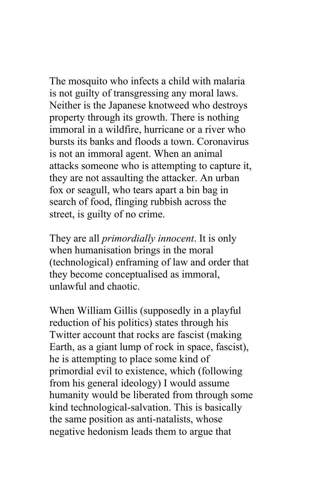The mosquito who infects a child with malaria is not guilty of transgressing any moral laws. Neither is the Japanese knotweed who destroys property through its growth. There is nothing immoral in a wildfire, hurricane or a river who bursts its banks and floods a town. Coronavirus is not an immoral agent. When an animal attacks someone who is attempting to capture it, they are not assaulting the attacker. An urban fox or seagull, who tears apart a bin bag in search of food, flinging rubbish across the street, is guilty of no crime.

They are all *primordially innocent*. It is only when humanisation brings in the moral (technological) enframing of law and order that they become conceptualised as immoral, unlawful and chaotic.

When William Gillis (supposedly in a playful reduction of his politics) states through his Twitter account that rocks are fascist (making Earth, as a giant lump of rock in space, fascist), he is attempting to place some kind of primordial evil to existence, which (following from his general ideology) I would assume humanity would be liberated from through some kind technological-salvation. This is basically the same position as anti-natalists, whose negative hedonism leads them to argue that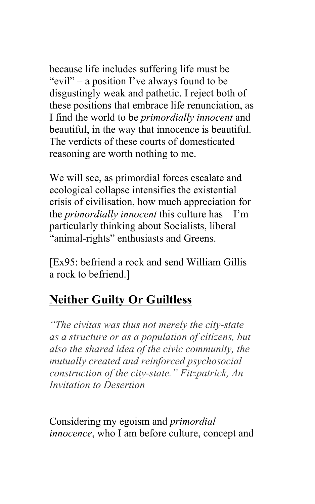because life includes suffering life must be "evil" – a position I've always found to be disgustingly weak and pathetic. I reject both of these positions that embrace life renunciation, as I find the world to be *primordially innocent* and beautiful, in the way that innocence is beautiful. The verdicts of these courts of domesticated reasoning are worth nothing to me.

We will see, as primordial forces escalate and ecological collapse intensifies the existential crisis of civilisation, how much appreciation for the *primordially innocent* this culture has – I'm particularly thinking about Socialists, liberal "animal-rights" enthusiasts and Greens.

[Ex95: befriend a rock and send William Gillis a rock to befriend.]

# **Neither Guilty Or Guiltless**

*"The civitas was thus not merely the city-state as a structure or as a population of citizens, but also the shared idea of the civic community, the mutually created and reinforced psychosocial construction of the city-state." Fitzpatrick, An Invitation to Desertion*

Considering my egoism and *primordial innocence*, who I am before culture, concept and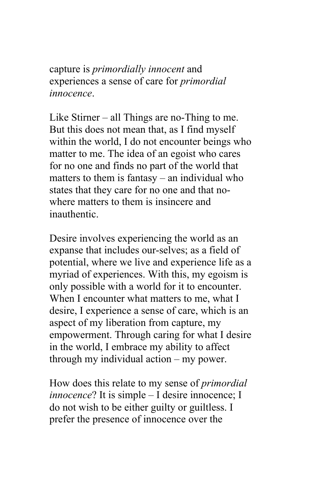capture is *primordially innocent* and experiences a sense of care for *primordial innocence*.

Like Stirner – all Things are no-Thing to me. But this does not mean that, as I find myself within the world, I do not encounter beings who matter to me. The idea of an egoist who cares for no one and finds no part of the world that matters to them is fantasy – an individual who states that they care for no one and that nowhere matters to them is insincere and inauthentic.

Desire involves experiencing the world as an expanse that includes our-selves; as a field of potential, where we live and experience life as a myriad of experiences. With this, my egoism is only possible with a world for it to encounter. When I encounter what matters to me, what I desire, I experience a sense of care, which is an aspect of my liberation from capture, my empowerment. Through caring for what I desire in the world, I embrace my ability to affect through my individual action – my power.

How does this relate to my sense of *primordial innocence*? It is simple – I desire innocence; I do not wish to be either guilty or guiltless. I prefer the presence of innocence over the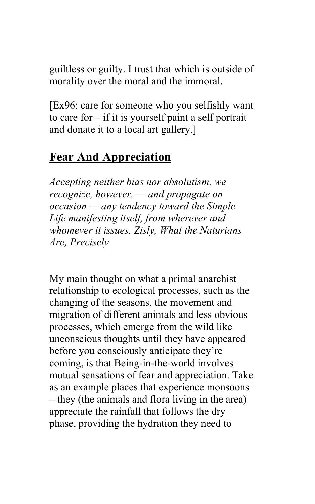guiltless or guilty. I trust that which is outside of morality over the moral and the immoral.

[Ex96: care for someone who you selfishly want to care for – if it is yourself paint a self portrait and donate it to a local art gallery.]

## **Fear And Appreciation**

*Accepting neither bias nor absolutism, we recognize, however, — and propagate on occasion — any tendency toward the Simple Life manifesting itself, from wherever and whomever it issues. Zisly, What the Naturians Are, Precisely*

My main thought on what a primal anarchist relationship to ecological processes, such as the changing of the seasons, the movement and migration of different animals and less obvious processes, which emerge from the wild like unconscious thoughts until they have appeared before you consciously anticipate they're coming, is that Being-in-the-world involves mutual sensations of fear and appreciation. Take as an example places that experience monsoons – they (the animals and flora living in the area) appreciate the rainfall that follows the dry phase, providing the hydration they need to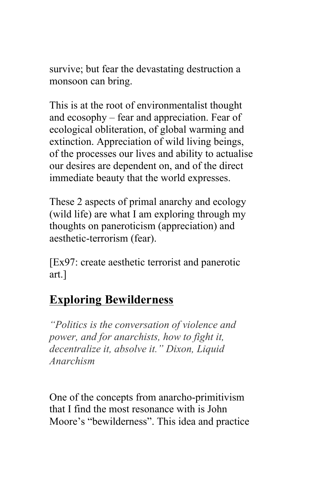survive; but fear the devastating destruction a monsoon can bring.

This is at the root of environmentalist thought and ecosophy – fear and appreciation. Fear of ecological obliteration, of global warming and extinction. Appreciation of wild living beings, of the processes our lives and ability to actualise our desires are dependent on, and of the direct immediate beauty that the world expresses.

These 2 aspects of primal anarchy and ecology (wild life) are what I am exploring through my thoughts on paneroticism (appreciation) and aesthetic-terrorism (fear).

[Ex97: create aesthetic terrorist and panerotic art.]

#### **Exploring Bewilderness**

*"Politics is the conversation of violence and power, and for anarchists, how to fight it, decentralize it, absolve it." Dixon, Liquid Anarchism*

One of the concepts from anarcho-primitivism that I find the most resonance with is John Moore's "bewilderness". This idea and practice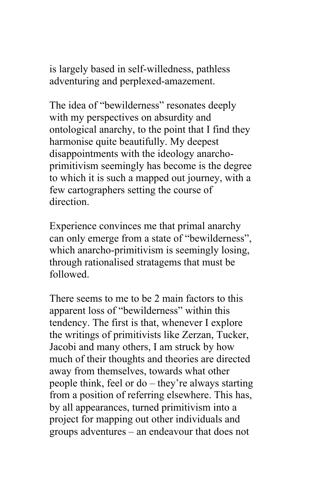is largely based in self-willedness, pathless adventuring and perplexed-amazement.

The idea of "bewilderness" resonates deeply with my perspectives on absurdity and ontological anarchy, to the point that I find they harmonise quite beautifully. My deepest disappointments with the ideology anarchoprimitivism seemingly has become is the degree to which it is such a mapped out journey, with a few cartographers setting the course of direction.

Experience convinces me that primal anarchy can only emerge from a state of "bewilderness", which anarcho-primitivism is seemingly losing, through rationalised stratagems that must be followed.

There seems to me to be 2 main factors to this apparent loss of "bewilderness" within this tendency. The first is that, whenever I explore the writings of primitivists like Zerzan, Tucker, Jacobi and many others, I am struck by how much of their thoughts and theories are directed away from themselves, towards what other people think, feel or do – they're always starting from a position of referring elsewhere. This has, by all appearances, turned primitivism into a project for mapping out other individuals and groups adventures – an endeavour that does not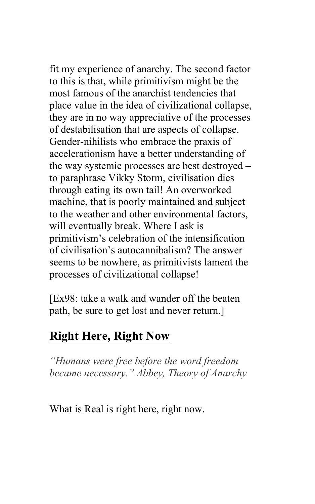fit my experience of anarchy. The second factor to this is that, while primitivism might be the most famous of the anarchist tendencies that place value in the idea of civilizational collapse, they are in no way appreciative of the processes of destabilisation that are aspects of collapse. Gender-nihilists who embrace the praxis of accelerationism have a better understanding of the way systemic processes are best destroyed – to paraphrase Vikky Storm, civilisation dies through eating its own tail! An overworked machine, that is poorly maintained and subject to the weather and other environmental factors, will eventually break. Where I ask is primitivism's celebration of the intensification of civilisation's autocannibalism? The answer seems to be nowhere, as primitivists lament the processes of civilizational collapse!

[Ex98: take a walk and wander off the beaten path, be sure to get lost and never return.]

## **Right Here, Right Now**

*"Humans were free before the word freedom became necessary." Abbey, Theory of Anarchy*

What is Real is right here, right now.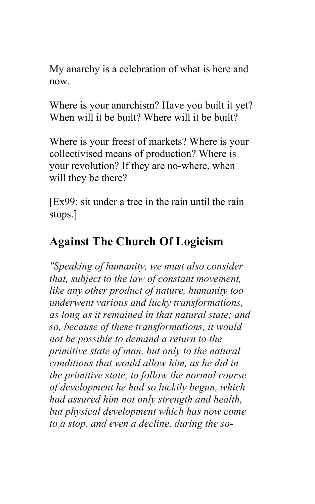My anarchy is a celebration of what is here and now.

Where is your anarchism? Have you built it yet? When will it be built? Where will it be built?

Where is your freest of markets? Where is your collectivised means of production? Where is your revolution? If they are no-where, when will they be there?

[Ex99: sit under a tree in the rain until the rain stops.]

## **Against The Church Of Logicism**

*"Speaking of humanity, we must also consider that, subject to the law of constant movement, like any other product of nature, humanity too underwent various and lucky transformations, as long as it remained in that natural state; and so, because of these transformations, it would not be possible to demand a return to the primitive state of man, but only to the natural conditions that would allow him, as he did in the primitive state, to follow the normal course of development he had so luckily begun, which had assured him not only strength and health, but physical development which has now come to a stop, and even a decline, during the so-*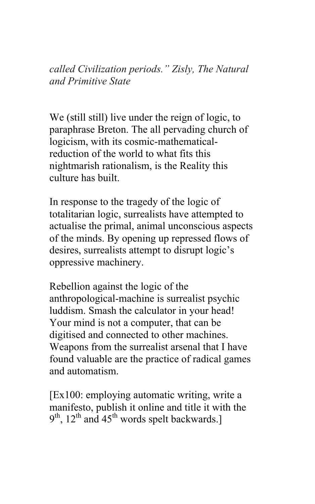*called Civilization periods." Zisly, The Natural and Primitive State*

We (still still) live under the reign of logic, to paraphrase Breton. The all pervading church of logicism, with its cosmic-mathematicalreduction of the world to what fits this nightmarish rationalism, is the Reality this culture has built.

In response to the tragedy of the logic of totalitarian logic, surrealists have attempted to actualise the primal, animal unconscious aspects of the minds. By opening up repressed flows of desires, surrealists attempt to disrupt logic's oppressive machinery.

Rebellion against the logic of the anthropological-machine is surrealist psychic luddism. Smash the calculator in your head! Your mind is not a computer, that can be digitised and connected to other machines. Weapons from the surrealist arsenal that I have found valuable are the practice of radical games and automatism.

[Ex100: employing automatic writing, write a manifesto, publish it online and title it with the  $9<sup>th</sup>$ ,  $12<sup>th</sup>$  and  $45<sup>th</sup>$  words spelt backwards.]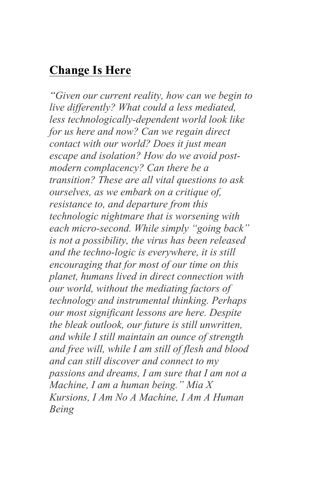#### **Change Is Here**

*"Given our current reality, how can we begin to live differently? What could a less mediated, less technologically-dependent world look like for us here and now? Can we regain direct contact with our world? Does it just mean escape and isolation? How do we avoid postmodern complacency? Can there be a transition? These are all vital questions to ask ourselves, as we embark on a critique of, resistance to, and departure from this technologic nightmare that is worsening with each micro-second. While simply "going back" is not a possibility, the virus has been released and the techno-logic is everywhere, it is still encouraging that for most of our time on this planet, humans lived in direct connection with our world, without the mediating factors of technology and instrumental thinking. Perhaps our most significant lessons are here. Despite the bleak outlook, our future is still unwritten, and while I still maintain an ounce of strength and free will, while I am still of flesh and blood and can still discover and connect to my passions and dreams, I am sure that I am not a Machine, I am a human being." Mia X Kursions, I Am No A Machine, I Am A Human Being*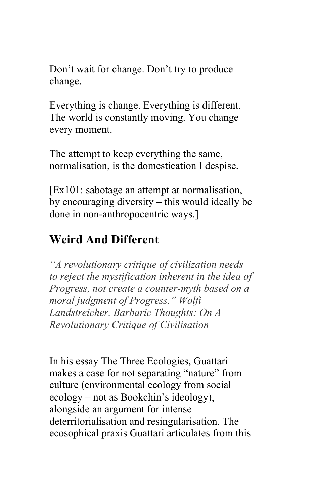Don't wait for change. Don't try to produce change.

Everything is change. Everything is different. The world is constantly moving. You change every moment.

The attempt to keep everything the same, normalisation, is the domestication I despise.

[Ex101: sabotage an attempt at normalisation, by encouraging diversity – this would ideally be done in non-anthropocentric ways.]

# **Weird And Different**

*"A revolutionary critique of civilization needs to reject the mystification inherent in the idea of Progress, not create a counter-myth based on a moral judgment of Progress." Wolfi Landstreicher, Barbaric Thoughts: On A Revolutionary Critique of Civilisation*

In his essay The Three Ecologies, Guattari makes a case for not separating "nature" from culture (environmental ecology from social ecology – not as Bookchin's ideology), alongside an argument for intense deterritorialisation and resingularisation. The ecosophical praxis Guattari articulates from this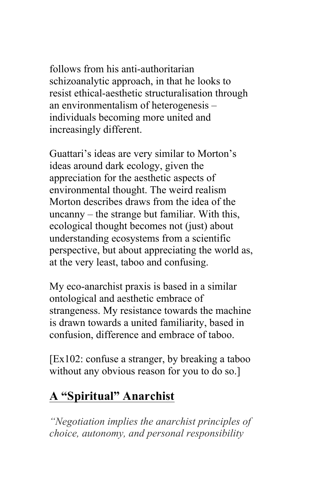follows from his anti-authoritarian schizoanalytic approach, in that he looks to resist ethical-aesthetic structuralisation through an environmentalism of heterogenesis – individuals becoming more united and increasingly different.

Guattari's ideas are very similar to Morton's ideas around dark ecology, given the appreciation for the aesthetic aspects of environmental thought. The weird realism Morton describes draws from the idea of the uncanny – the strange but familiar. With this, ecological thought becomes not (just) about understanding ecosystems from a scientific perspective, but about appreciating the world as, at the very least, taboo and confusing.

My eco-anarchist praxis is based in a similar ontological and aesthetic embrace of strangeness. My resistance towards the machine is drawn towards a united familiarity, based in confusion, difference and embrace of taboo.

[Ex102: confuse a stranger, by breaking a taboo without any obvious reason for you to do so.]

## **A "Spiritual" Anarchist**

*"Negotiation implies the anarchist principles of choice, autonomy, and personal responsibility*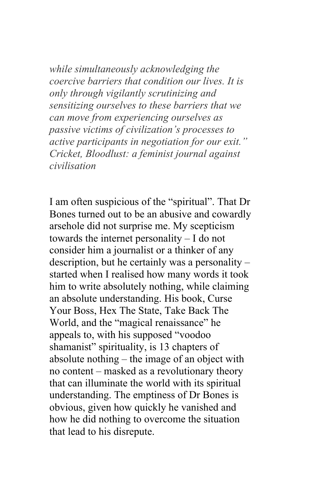*while simultaneously acknowledging the coercive barriers that condition our lives. It is only through vigilantly scrutinizing and sensitizing ourselves to these barriers that we can move from experiencing ourselves as passive victims of civilization's processes to active participants in negotiation for our exit." Cricket, Bloodlust: a feminist journal against civilisation*

I am often suspicious of the "spiritual". That Dr Bones turned out to be an abusive and cowardly arsehole did not surprise me. My scepticism towards the internet personality – I do not consider him a journalist or a thinker of any description, but he certainly was a personality – started when I realised how many words it took him to write absolutely nothing, while claiming an absolute understanding. His book, Curse Your Boss, Hex The State, Take Back The World, and the "magical renaissance" he appeals to, with his supposed "voodoo shamanist" spirituality, is 13 chapters of absolute nothing – the image of an object with no content – masked as a revolutionary theory that can illuminate the world with its spiritual understanding. The emptiness of Dr Bones is obvious, given how quickly he vanished and how he did nothing to overcome the situation that lead to his disrepute.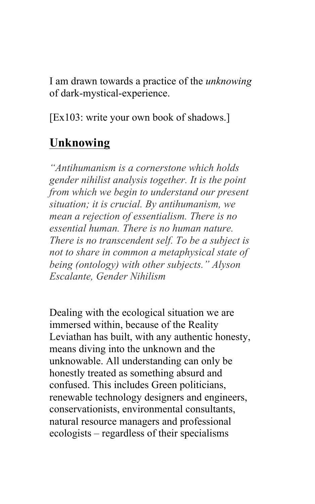I am drawn towards a practice of the *unknowing* of dark-mystical-experience.

[Ex103: write your own book of shadows.]

#### **Unknowing**

*"Antihumanism is a cornerstone which holds gender nihilist analysis together. It is the point from which we begin to understand our present situation; it is crucial. By antihumanism, we mean a rejection of essentialism. There is no essential human. There is no human nature. There is no transcendent self. To be a subject is not to share in common a metaphysical state of being (ontology) with other subjects." Alyson Escalante, Gender Nihilism*

Dealing with the ecological situation we are immersed within, because of the Reality Leviathan has built, with any authentic honesty, means diving into the unknown and the unknowable. All understanding can only be honestly treated as something absurd and confused. This includes Green politicians, renewable technology designers and engineers, conservationists, environmental consultants, natural resource managers and professional ecologists – regardless of their specialisms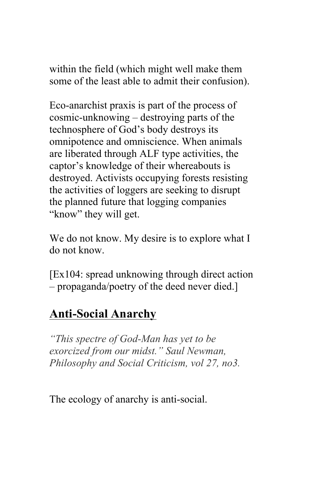within the field (which might well make them some of the least able to admit their confusion).

Eco-anarchist praxis is part of the process of cosmic-unknowing – destroying parts of the technosphere of God's body destroys its omnipotence and omniscience. When animals are liberated through ALF type activities, the captor's knowledge of their whereabouts is destroyed. Activists occupying forests resisting the activities of loggers are seeking to disrupt the planned future that logging companies "know" they will get.

We do not know. My desire is to explore what I do not know.

[Ex104: spread unknowing through direct action – propaganda/poetry of the deed never died.]

# **Anti-Social Anarchy**

*"This spectre of God-Man has yet to be exorcized from our midst." Saul Newman, Philosophy and Social Criticism, vol 27, no3.*

The ecology of anarchy is anti-social.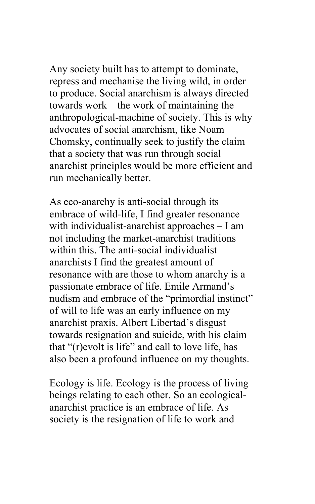Any society built has to attempt to dominate, repress and mechanise the living wild, in order to produce. Social anarchism is always directed towards work – the work of maintaining the anthropological-machine of society. This is why advocates of social anarchism, like Noam Chomsky, continually seek to justify the claim that a society that was run through social anarchist principles would be more efficient and run mechanically better.

As eco-anarchy is anti-social through its embrace of wild-life, I find greater resonance with individualist-anarchist approaches – I am not including the market-anarchist traditions within this. The anti-social individualist anarchists I find the greatest amount of resonance with are those to whom anarchy is a passionate embrace of life. Emile Armand's nudism and embrace of the "primordial instinct" of will to life was an early influence on my anarchist praxis. Albert Libertad's disgust towards resignation and suicide, with his claim that "(r)evolt is life" and call to love life, has also been a profound influence on my thoughts.

Ecology is life. Ecology is the process of living beings relating to each other. So an ecologicalanarchist practice is an embrace of life. As society is the resignation of life to work and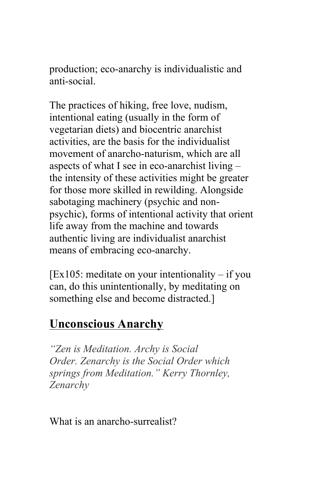production; eco-anarchy is individualistic and anti-social.

The practices of hiking, free love, nudism, intentional eating (usually in the form of vegetarian diets) and biocentric anarchist activities, are the basis for the individualist movement of anarcho-naturism, which are all aspects of what I see in eco-anarchist living – the intensity of these activities might be greater for those more skilled in rewilding. Alongside sabotaging machinery (psychic and nonpsychic), forms of intentional activity that orient life away from the machine and towards authentic living are individualist anarchist means of embracing eco-anarchy.

 $[Ex105:$  meditate on your intentionality – if you can, do this unintentionally, by meditating on something else and become distracted.]

#### **Unconscious Anarchy**

*"Zen is Meditation. Archy is Social Order. Zenarchy is the Social Order which springs from Meditation." Kerry Thornley, Zenarchy*

What is an anarcho-surrealist?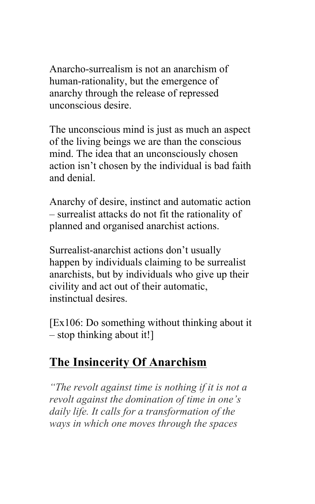Anarcho-surrealism is not an anarchism of human-rationality, but the emergence of anarchy through the release of repressed unconscious desire.

The unconscious mind is just as much an aspect of the living beings we are than the conscious mind. The idea that an unconsciously chosen action isn't chosen by the individual is bad faith and denial.

Anarchy of desire, instinct and automatic action – surrealist attacks do not fit the rationality of planned and organised anarchist actions.

Surrealist-anarchist actions don't usually happen by individuals claiming to be surrealist anarchists, but by individuals who give up their civility and act out of their automatic, instinctual desires.

[Ex106: Do something without thinking about it – stop thinking about it!]

## **The Insincerity Of Anarchism**

*"The revolt against time is nothing if it is not a revolt against the domination of time in one's daily life. It calls for a transformation of the ways in which one moves through the spaces*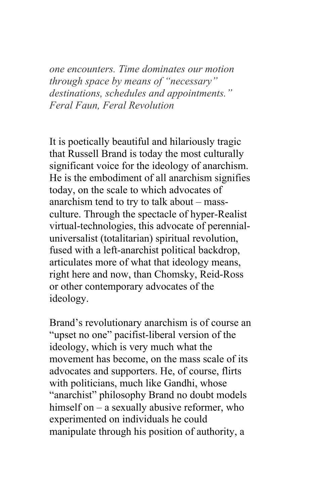*one encounters. Time dominates our motion through space by means of "necessary" destinations, schedules and appointments." Feral Faun, Feral Revolution*

It is poetically beautiful and hilariously tragic that Russell Brand is today the most culturally significant voice for the ideology of anarchism. He is the embodiment of all anarchism signifies today, on the scale to which advocates of anarchism tend to try to talk about – massculture. Through the spectacle of hyper-Realist virtual-technologies, this advocate of perennialuniversalist (totalitarian) spiritual revolution, fused with a left-anarchist political backdrop, articulates more of what that ideology means, right here and now, than Chomsky, Reid-Ross or other contemporary advocates of the ideology.

Brand's revolutionary anarchism is of course an "upset no one" pacifist-liberal version of the ideology, which is very much what the movement has become, on the mass scale of its advocates and supporters. He, of course, flirts with politicians, much like Gandhi, whose "anarchist" philosophy Brand no doubt models himself on – a sexually abusive reformer, who experimented on individuals he could manipulate through his position of authority, a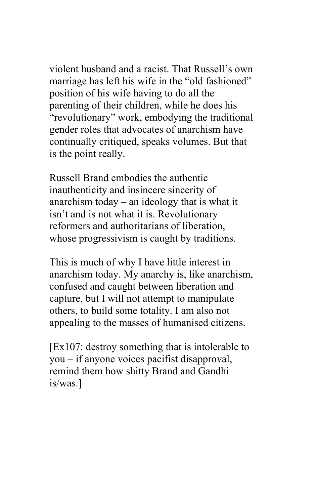violent husband and a racist. That Russell's own marriage has left his wife in the "old fashioned" position of his wife having to do all the parenting of their children, while he does his "revolutionary" work, embodying the traditional gender roles that advocates of anarchism have continually critiqued, speaks volumes. But that is the point really.

Russell Brand embodies the authentic inauthenticity and insincere sincerity of anarchism today – an ideology that is what it isn't and is not what it is. Revolutionary reformers and authoritarians of liberation, whose progressivism is caught by traditions.

This is much of why I have little interest in anarchism today. My anarchy is, like anarchism, confused and caught between liberation and capture, but I will not attempt to manipulate others, to build some totality. I am also not appealing to the masses of humanised citizens.

[Ex107: destroy something that is intolerable to you – if anyone voices pacifist disapproval, remind them how shitty Brand and Gandhi is/was.]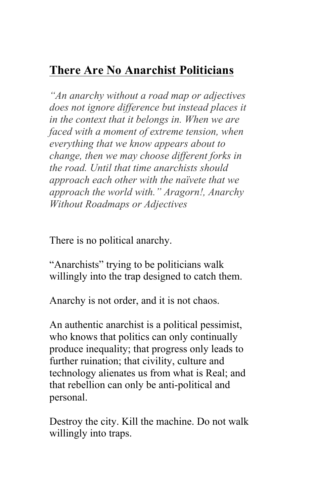# **There Are No Anarchist Politicians**

*"An anarchy without a road map or adjectives does not ignore difference but instead places it in the context that it belongs in. When we are faced with a moment of extreme tension, when everything that we know appears about to change, then we may choose different forks in the road. Until that time anarchists should approach each other with the naïvete that we approach the world with." Aragorn!, Anarchy Without Roadmaps or Adjectives*

There is no political anarchy.

"Anarchists" trying to be politicians walk willingly into the trap designed to catch them.

Anarchy is not order, and it is not chaos.

An authentic anarchist is a political pessimist, who knows that politics can only continually produce inequality; that progress only leads to further ruination; that civility, culture and technology alienates us from what is Real; and that rebellion can only be anti-political and personal.

Destroy the city. Kill the machine. Do not walk willingly into traps.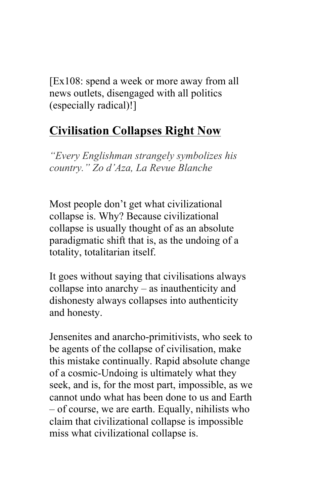[Ex108: spend a week or more away from all news outlets, disengaged with all politics (especially radical)!]

#### **Civilisation Collapses Right Now**

*"Every Englishman strangely symbolizes his country." Zo d'Aza, La Revue Blanche*

Most people don't get what civilizational collapse is. Why? Because civilizational collapse is usually thought of as an absolute paradigmatic shift that is, as the undoing of a totality, totalitarian itself.

It goes without saying that civilisations always collapse into anarchy – as inauthenticity and dishonesty always collapses into authenticity and honesty.

Jensenites and anarcho-primitivists, who seek to be agents of the collapse of civilisation, make this mistake continually. Rapid absolute change of a cosmic-Undoing is ultimately what they seek, and is, for the most part, impossible, as we cannot undo what has been done to us and Earth – of course, we are earth. Equally, nihilists who claim that civilizational collapse is impossible miss what civilizational collapse is.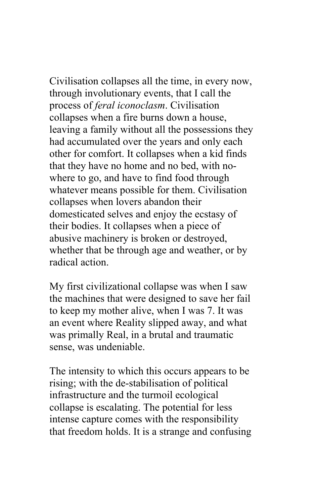Civilisation collapses all the time, in every now, through involutionary events, that I call the process of *feral iconoclasm*. Civilisation collapses when a fire burns down a house, leaving a family without all the possessions they had accumulated over the years and only each other for comfort. It collapses when a kid finds that they have no home and no bed, with nowhere to go, and have to find food through whatever means possible for them. Civilisation collapses when lovers abandon their domesticated selves and enjoy the ecstasy of their bodies. It collapses when a piece of abusive machinery is broken or destroyed, whether that be through age and weather, or by radical action.

My first civilizational collapse was when I saw the machines that were designed to save her fail to keep my mother alive, when I was 7. It was an event where Reality slipped away, and what was primally Real, in a brutal and traumatic sense, was undeniable.

The intensity to which this occurs appears to be rising; with the de-stabilisation of political infrastructure and the turmoil ecological collapse is escalating. The potential for less intense capture comes with the responsibility that freedom holds. It is a strange and confusing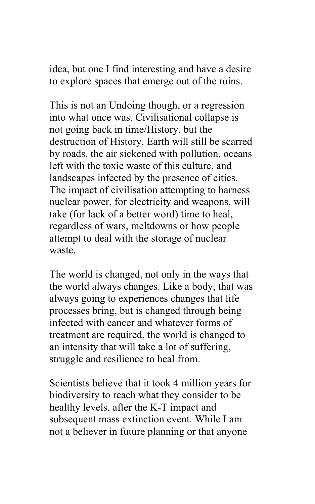idea, but one I find interesting and have a desire to explore spaces that emerge out of the ruins.

This is not an Undoing though, or a regression into what once was. Civilisational collapse is not going back in time/History, but the destruction of History. Earth will still be scarred by roads, the air sickened with pollution, oceans left with the toxic waste of this culture, and landscapes infected by the presence of cities. The impact of civilisation attempting to harness nuclear power, for electricity and weapons, will take (for lack of a better word) time to heal, regardless of wars, meltdowns or how people attempt to deal with the storage of nuclear waste.

The world is changed, not only in the ways that the world always changes. Like a body, that was always going to experiences changes that life processes bring, but is changed through being infected with cancer and whatever forms of treatment are required, the world is changed to an intensity that will take a lot of suffering, struggle and resilience to heal from.

Scientists believe that it took 4 million years for biodiversity to reach what they consider to be healthy levels, after the K-T impact and subsequent mass extinction event. While I am not a believer in future planning or that anyone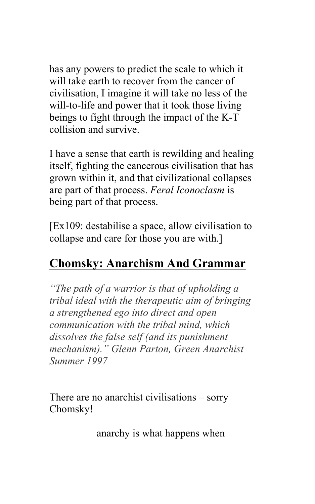has any powers to predict the scale to which it will take earth to recover from the cancer of civilisation, I imagine it will take no less of the will-to-life and power that it took those living beings to fight through the impact of the K-T collision and survive.

I have a sense that earth is rewilding and healing itself, fighting the cancerous civilisation that has grown within it, and that civilizational collapses are part of that process. *Feral Iconoclasm* is being part of that process.

[Ex109: destabilise a space, allow civilisation to collapse and care for those you are with.]

## **Chomsky: Anarchism And Grammar**

*"The path of a warrior is that of upholding a tribal ideal with the therapeutic aim of bringing a strengthened ego into direct and open communication with the tribal mind, which dissolves the false self (and its punishment mechanism)." Glenn Parton, Green Anarchist Summer 1997*

There are no anarchist civilisations – sorry Chomsky!

anarchy is what happens when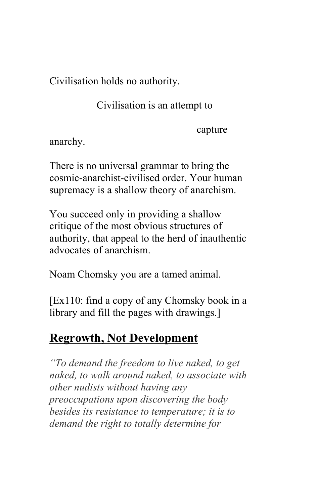Civilisation holds no authority.

Civilisation is an attempt to

capture

anarchy.

There is no universal grammar to bring the cosmic-anarchist-civilised order. Your human supremacy is a shallow theory of anarchism.

You succeed only in providing a shallow critique of the most obvious structures of authority, that appeal to the herd of inauthentic advocates of anarchism.

Noam Chomsky you are a tamed animal.

[Ex110: find a copy of any Chomsky book in a library and fill the pages with drawings.]

## **Regrowth, Not Development**

*"To demand the freedom to live naked, to get naked, to walk around naked, to associate with other nudists without having any preoccupations upon discovering the body besides its resistance to temperature; it is to demand the right to totally determine for*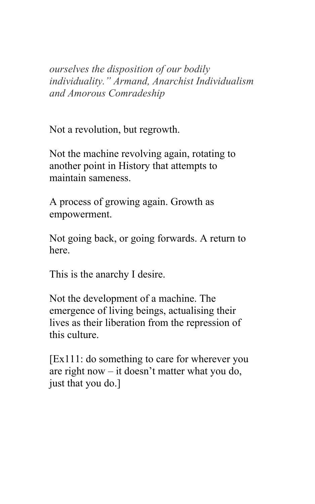*ourselves the disposition of our bodily individuality." Armand, Anarchist Individualism and Amorous Comradeship*

Not a revolution, but regrowth.

Not the machine revolving again, rotating to another point in History that attempts to maintain sameness.

A process of growing again. Growth as empowerment.

Not going back, or going forwards. A return to here.

This is the anarchy I desire.

Not the development of a machine. The emergence of living beings, actualising their lives as their liberation from the repression of this culture.

[Ex111: do something to care for wherever you are right now – it doesn't matter what you do, just that you do.]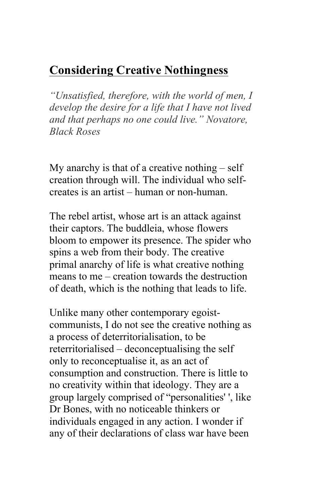### **Considering Creative Nothingness**

*"Unsatisfied, therefore, with the world of men, I develop the desire for a life that I have not lived and that perhaps no one could live." Novatore, Black Roses*

My anarchy is that of a creative nothing – self creation through will. The individual who selfcreates is an artist – human or non-human.

The rebel artist, whose art is an attack against their captors. The buddleia, whose flowers bloom to empower its presence. The spider who spins a web from their body. The creative primal anarchy of life is what creative nothing means to me – creation towards the destruction of death, which is the nothing that leads to life.

Unlike many other contemporary egoistcommunists, I do not see the creative nothing as a process of deterritorialisation, to be reterritorialised – deconceptualising the self only to reconceptualise it, as an act of consumption and construction. There is little to no creativity within that ideology. They are a group largely comprised of "personalities' ', like Dr Bones, with no noticeable thinkers or individuals engaged in any action. I wonder if any of their declarations of class war have been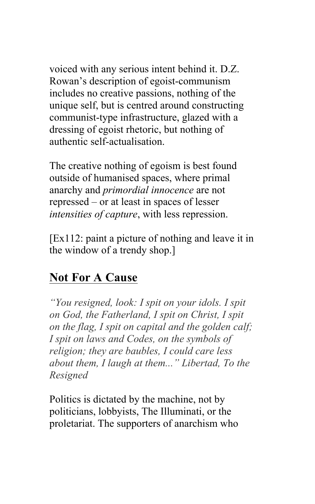voiced with any serious intent behind it. D.Z. Rowan's description of egoist-communism includes no creative passions, nothing of the unique self, but is centred around constructing communist-type infrastructure, glazed with a dressing of egoist rhetoric, but nothing of authentic self-actualisation.

The creative nothing of egoism is best found outside of humanised spaces, where primal anarchy and *primordial innocence* are not repressed – or at least in spaces of lesser *intensities of capture*, with less repression.

[Ex112: paint a picture of nothing and leave it in the window of a trendy shop.]

#### **Not For A Cause**

*"You resigned, look: I spit on your idols. I spit on God, the Fatherland, I spit on Christ, I spit on the flag, I spit on capital and the golden calf; I spit on laws and Codes, on the symbols of religion; they are baubles, I could care less about them, I laugh at them..." Libertad, To the Resigned*

Politics is dictated by the machine, not by politicians, lobbyists, The Illuminati, or the proletariat. The supporters of anarchism who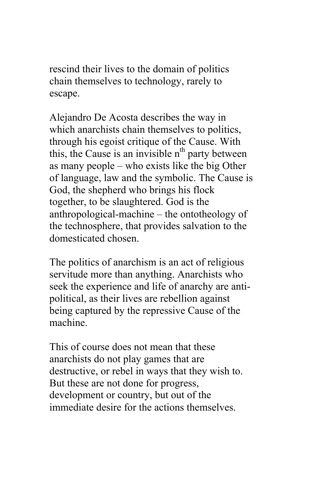rescind their lives to the domain of politics chain themselves to technology, rarely to escape.

Alejandro De Acosta describes the way in which anarchists chain themselves to politics, through his egoist critique of the Cause. With this, the Cause is an invisible  $n<sup>th</sup>$  party between as many people – who exists like the big Other of language, law and the symbolic. The Cause is God, the shepherd who brings his flock together, to be slaughtered. God is the anthropological-machine – the ontotheology of the technosphere, that provides salvation to the domesticated chosen.

The politics of anarchism is an act of religious servitude more than anything. Anarchists who seek the experience and life of anarchy are antipolitical, as their lives are rebellion against being captured by the repressive Cause of the machine.

This of course does not mean that these anarchists do not play games that are destructive, or rebel in ways that they wish to. But these are not done for progress, development or country, but out of the immediate desire for the actions themselves.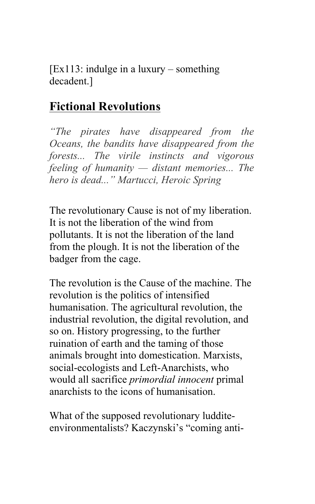[Ex113: indulge in a luxury – something decadent.]

#### **Fictional Revolutions**

*"The pirates have disappeared from the Oceans, the bandits have disappeared from the forests... The virile instincts and vigorous feeling of humanity — distant memories... The hero is dead..." Martucci, Heroic Spring*

The revolutionary Cause is not of my liberation. It is not the liberation of the wind from pollutants. It is not the liberation of the land from the plough. It is not the liberation of the badger from the cage.

The revolution is the Cause of the machine. The revolution is the politics of intensified humanisation. The agricultural revolution, the industrial revolution, the digital revolution, and so on. History progressing, to the further ruination of earth and the taming of those animals brought into domestication. Marxists, social-ecologists and Left-Anarchists, who would all sacrifice *primordial innocent* primal anarchists to the icons of humanisation.

What of the supposed revolutionary ludditeenvironmentalists? Kaczynski's "coming anti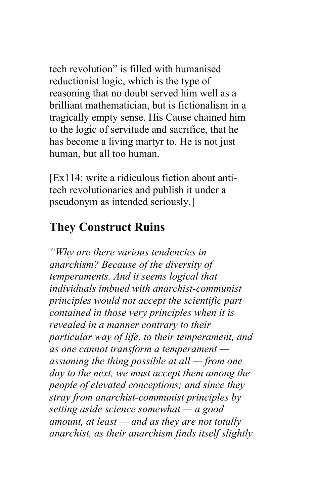tech revolution" is filled with humanised reductionist logic, which is the type of reasoning that no doubt served him well as a brilliant mathematician, but is fictionalism in a tragically empty sense. His Cause chained him to the logic of servitude and sacrifice, that he has become a living martyr to. He is not just human, but all too human.

[Ex114: write a ridiculous fiction about antitech revolutionaries and publish it under a pseudonym as intended seriously.]

#### **They Construct Ruins**

*"Why are there various tendencies in anarchism? Because of the diversity of temperaments. And it seems logical that individuals imbued with anarchist-communist principles would not accept the scientific part contained in those very principles when it is revealed in a manner contrary to their particular way of life, to their temperament, and as one cannot transform a temperament assuming the thing possible at all — from one day to the next, we must accept them among the people of elevated conceptions; and since they stray from anarchist-communist principles by setting aside science somewhat — a good amount, at least — and as they are not totally anarchist, as their anarchism finds itself slightly*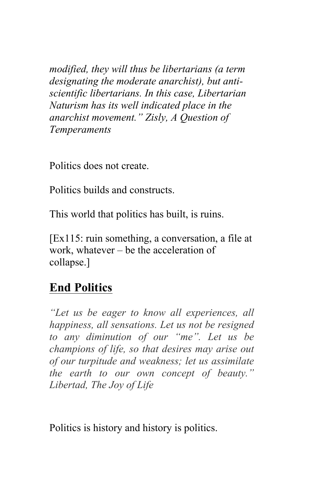*modified, they will thus be libertarians (a term designating the moderate anarchist), but antiscientific libertarians. In this case, Libertarian Naturism has its well indicated place in the anarchist movement." Zisly, A Question of Temperaments*

Politics does not create.

Politics builds and constructs.

This world that politics has built, is ruins.

[Ex115: ruin something, a conversation, a file at work, whatever – be the acceleration of collapse.]

## **End Politics**

*"Let us be eager to know all experiences, all happiness, all sensations. Let us not be resigned to any diminution of our "me". Let us be champions of life, so that desires may arise out of our turpitude and weakness; let us assimilate the earth to our own concept of beauty." Libertad, The Joy of Life*

Politics is history and history is politics.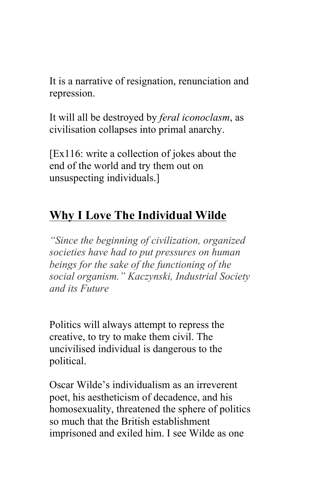It is a narrative of resignation, renunciation and repression.

It will all be destroyed by *feral iconoclasm*, as civilisation collapses into primal anarchy.

[Ex116: write a collection of jokes about the end of the world and try them out on unsuspecting individuals.]

# **Why I Love The Individual Wilde**

*"Since the beginning of civilization, organized societies have had to put pressures on human beings for the sake of the functioning of the social organism." Kaczynski, Industrial Society and its Future*

Politics will always attempt to repress the creative, to try to make them civil. The uncivilised individual is dangerous to the political.

Oscar Wilde's individualism as an irreverent poet, his aestheticism of decadence, and his homosexuality, threatened the sphere of politics so much that the British establishment imprisoned and exiled him. I see Wilde as one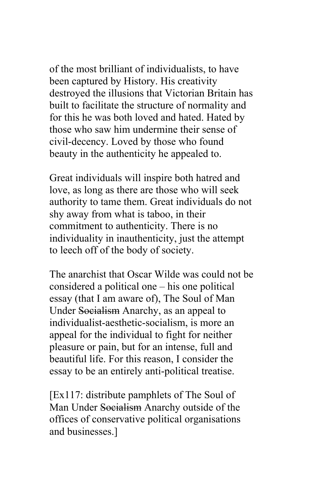of the most brilliant of individualists, to have been captured by History. His creativity destroyed the illusions that Victorian Britain has built to facilitate the structure of normality and for this he was both loved and hated. Hated by those who saw him undermine their sense of civil-decency. Loved by those who found beauty in the authenticity he appealed to.

Great individuals will inspire both hatred and love, as long as there are those who will seek authority to tame them. Great individuals do not shy away from what is taboo, in their commitment to authenticity. There is no individuality in inauthenticity, just the attempt to leech off of the body of society.

The anarchist that Oscar Wilde was could not be considered a political one – his one political essay (that I am aware of), The Soul of Man Under Socialism Anarchy, as an appeal to individualist-aesthetic-socialism, is more an appeal for the individual to fight for neither pleasure or pain, but for an intense, full and beautiful life. For this reason, I consider the essay to be an entirely anti-political treatise.

[Ex117: distribute pamphlets of The Soul of Man Under Socialism Anarchy outside of the offices of conservative political organisations and businesses.]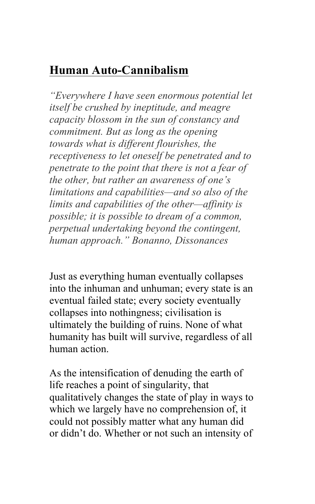## **Human Auto-Cannibalism**

*"Everywhere I have seen enormous potential let itself be crushed by ineptitude, and meagre capacity blossom in the sun of constancy and commitment. But as long as the opening towards what is different flourishes, the receptiveness to let oneself be penetrated and to penetrate to the point that there is not a fear of the other, but rather an awareness of one's limitations and capabilities—and so also of the limits and capabilities of the other—affinity is possible; it is possible to dream of a common, perpetual undertaking beyond the contingent, human approach." Bonanno, Dissonances*

Just as everything human eventually collapses into the inhuman and unhuman; every state is an eventual failed state; every society eventually collapses into nothingness; civilisation is ultimately the building of ruins. None of what humanity has built will survive, regardless of all human action.

As the intensification of denuding the earth of life reaches a point of singularity, that qualitatively changes the state of play in ways to which we largely have no comprehension of, it could not possibly matter what any human did or didn't do. Whether or not such an intensity of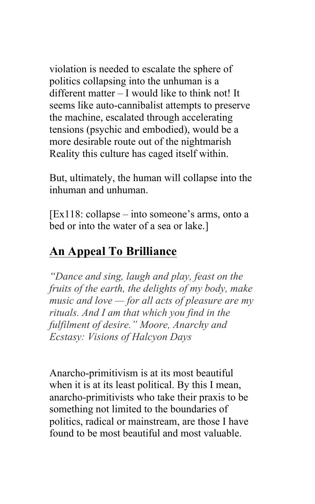violation is needed to escalate the sphere of politics collapsing into the unhuman is a different matter – I would like to think not! It seems like auto-cannibalist attempts to preserve the machine, escalated through accelerating tensions (psychic and embodied), would be a more desirable route out of the nightmarish Reality this culture has caged itself within.

But, ultimately, the human will collapse into the inhuman and unhuman.

[Ex118: collapse – into someone's arms, onto a bed or into the water of a sea or lake.]

## **An Appeal To Brilliance**

*"Dance and sing, laugh and play, feast on the fruits of the earth, the delights of my body, make music and love — for all acts of pleasure are my rituals. And I am that which you find in the fulfilment of desire." Moore, Anarchy and Ecstasy: Visions of Halcyon Days*

Anarcho-primitivism is at its most beautiful when it is at its least political. By this I mean, anarcho-primitivists who take their praxis to be something not limited to the boundaries of politics, radical or mainstream, are those I have found to be most beautiful and most valuable.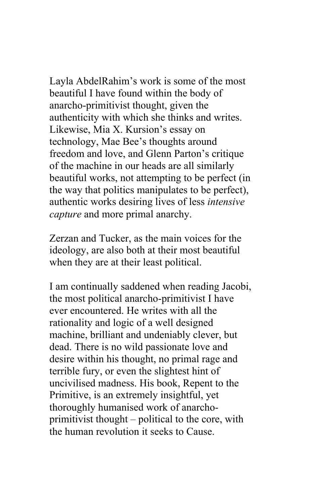Layla AbdelRahim's work is some of the most beautiful I have found within the body of anarcho-primitivist thought, given the authenticity with which she thinks and writes. Likewise, Mia X. Kursion's essay on technology, Mae Bee's thoughts around freedom and love, and Glenn Parton's critique of the machine in our heads are all similarly beautiful works, not attempting to be perfect (in the way that politics manipulates to be perfect), authentic works desiring lives of less *intensive capture* and more primal anarchy.

Zerzan and Tucker, as the main voices for the ideology, are also both at their most beautiful when they are at their least political.

I am continually saddened when reading Jacobi, the most political anarcho-primitivist I have ever encountered. He writes with all the rationality and logic of a well designed machine, brilliant and undeniably clever, but dead. There is no wild passionate love and desire within his thought, no primal rage and terrible fury, or even the slightest hint of uncivilised madness. His book, Repent to the Primitive, is an extremely insightful, yet thoroughly humanised work of anarchoprimitivist thought – political to the core, with the human revolution it seeks to Cause.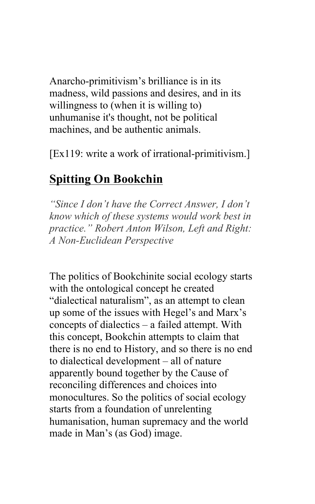Anarcho-primitivism's brilliance is in its madness, wild passions and desires, and in its willingness to (when it is willing to) unhumanise it's thought, not be political machines, and be authentic animals.

[Ex119: write a work of irrational-primitivism.]

#### **Spitting On Bookchin**

*"Since I don't have the Correct Answer, I don't know which of these systems would work best in practice." Robert Anton Wilson, Left and Right: A Non-Euclidean Perspective*

The politics of Bookchinite social ecology starts with the ontological concept he created "dialectical naturalism", as an attempt to clean up some of the issues with Hegel's and Marx's concepts of dialectics – a failed attempt. With this concept, Bookchin attempts to claim that there is no end to History, and so there is no end to dialectical development – all of nature apparently bound together by the Cause of reconciling differences and choices into monocultures. So the politics of social ecology starts from a foundation of unrelenting humanisation, human supremacy and the world made in Man's (as God) image.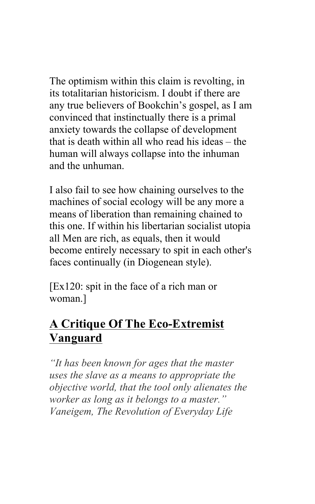The optimism within this claim is revolting, in its totalitarian historicism. I doubt if there are any true believers of Bookchin's gospel, as I am convinced that instinctually there is a primal anxiety towards the collapse of development that is death within all who read his ideas – the human will always collapse into the inhuman and the unhuman.

I also fail to see how chaining ourselves to the machines of social ecology will be any more a means of liberation than remaining chained to this one. If within his libertarian socialist utopia all Men are rich, as equals, then it would become entirely necessary to spit in each other's faces continually (in Diogenean style).

[Ex120: spit in the face of a rich man or woman.]

# **A Critique Of The Eco-Extremist Vanguard**

*"It has been known for ages that the master uses the slave as a means to appropriate the objective world, that the tool only alienates the worker as long as it belongs to a master." Vaneigem, The Revolution of Everyday Life*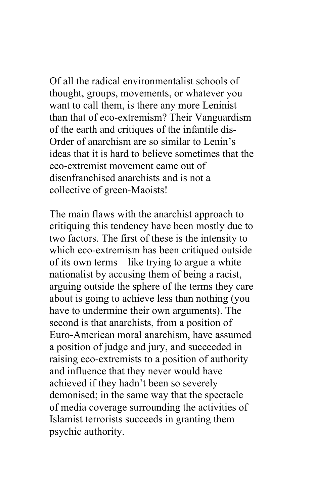Of all the radical environmentalist schools of thought, groups, movements, or whatever you want to call them, is there any more Leninist than that of eco-extremism? Their Vanguardism of the earth and critiques of the infantile dis-Order of anarchism are so similar to Lenin's ideas that it is hard to believe sometimes that the eco-extremist movement came out of disenfranchised anarchists and is not a collective of green-Maoists!

The main flaws with the anarchist approach to critiquing this tendency have been mostly due to two factors. The first of these is the intensity to which eco-extremism has been critiqued outside of its own terms – like trying to argue a white nationalist by accusing them of being a racist, arguing outside the sphere of the terms they care about is going to achieve less than nothing (you have to undermine their own arguments). The second is that anarchists, from a position of Euro-American moral anarchism, have assumed a position of judge and jury, and succeeded in raising eco-extremists to a position of authority and influence that they never would have achieved if they hadn't been so severely demonised; in the same way that the spectacle of media coverage surrounding the activities of Islamist terrorists succeeds in granting them psychic authority.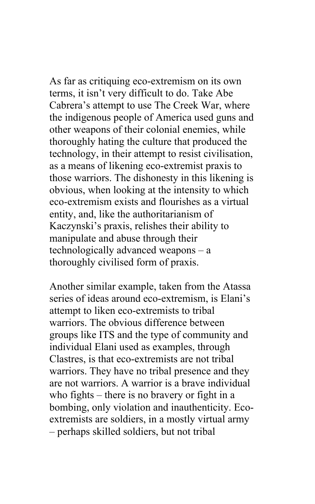As far as critiquing eco-extremism on its own terms, it isn't very difficult to do. Take Abe Cabrera's attempt to use The Creek War, where the indigenous people of America used guns and other weapons of their colonial enemies, while thoroughly hating the culture that produced the technology, in their attempt to resist civilisation, as a means of likening eco-extremist praxis to those warriors. The dishonesty in this likening is obvious, when looking at the intensity to which eco-extremism exists and flourishes as a virtual entity, and, like the authoritarianism of Kaczynski's praxis, relishes their ability to manipulate and abuse through their technologically advanced weapons – a thoroughly civilised form of praxis.

Another similar example, taken from the Atassa series of ideas around eco-extremism, is Elani's attempt to liken eco-extremists to tribal warriors. The obvious difference between groups like ITS and the type of community and individual Elani used as examples, through Clastres, is that eco-extremists are not tribal warriors. They have no tribal presence and they are not warriors. A warrior is a brave individual who fights – there is no bravery or fight in a bombing, only violation and inauthenticity. Ecoextremists are soldiers, in a mostly virtual army – perhaps skilled soldiers, but not tribal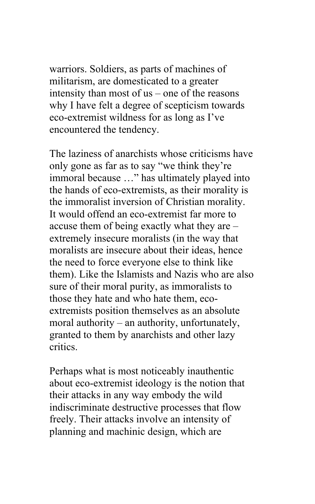warriors. Soldiers, as parts of machines of militarism, are domesticated to a greater intensity than most of us – one of the reasons why I have felt a degree of scepticism towards eco-extremist wildness for as long as I've encountered the tendency.

The laziness of anarchists whose criticisms have only gone as far as to say "we think they're immoral because …" has ultimately played into the hands of eco-extremists, as their morality is the immoralist inversion of Christian morality. It would offend an eco-extremist far more to accuse them of being exactly what they are – extremely insecure moralists (in the way that moralists are insecure about their ideas, hence the need to force everyone else to think like them). Like the Islamists and Nazis who are also sure of their moral purity, as immoralists to those they hate and who hate them, ecoextremists position themselves as an absolute moral authority – an authority, unfortunately, granted to them by anarchists and other lazy critics.

Perhaps what is most noticeably inauthentic about eco-extremist ideology is the notion that their attacks in any way embody the wild indiscriminate destructive processes that flow freely. Their attacks involve an intensity of planning and machinic design, which are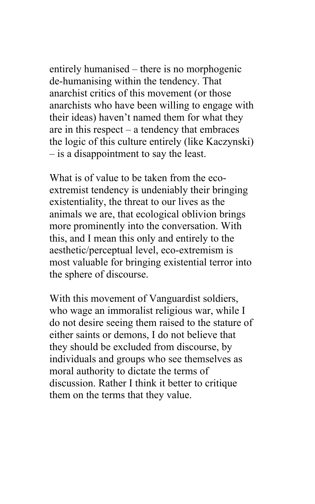entirely humanised – there is no morphogenic de-humanising within the tendency. That anarchist critics of this movement (or those anarchists who have been willing to engage with their ideas) haven't named them for what they are in this respect – a tendency that embraces the logic of this culture entirely (like Kaczynski) – is a disappointment to say the least.

What is of value to be taken from the ecoextremist tendency is undeniably their bringing existentiality, the threat to our lives as the animals we are, that ecological oblivion brings more prominently into the conversation. With this, and I mean this only and entirely to the aesthetic/perceptual level, eco-extremism is most valuable for bringing existential terror into the sphere of discourse.

With this movement of Vanguardist soldiers, who wage an immoralist religious war, while I do not desire seeing them raised to the stature of either saints or demons, I do not believe that they should be excluded from discourse, by individuals and groups who see themselves as moral authority to dictate the terms of discussion. Rather I think it better to critique them on the terms that they value.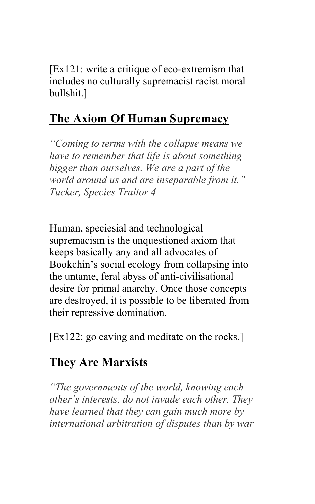[Ex121: write a critique of eco-extremism that includes no culturally supremacist racist moral bullshit.]

# **The Axiom Of Human Supremacy**

*"Coming to terms with the collapse means we have to remember that life is about something bigger than ourselves. We are a part of the world around us and are inseparable from it." Tucker, Species Traitor 4*

Human, speciesial and technological supremacism is the unquestioned axiom that keeps basically any and all advocates of Bookchin's social ecology from collapsing into the untame, feral abyss of anti-civilisational desire for primal anarchy. Once those concepts are destroyed, it is possible to be liberated from their repressive domination.

[Ex122: go caving and meditate on the rocks.]

## **They Are Marxists**

*"The governments of the world, knowing each other's interests, do not invade each other. They have learned that they can gain much more by international arbitration of disputes than by war*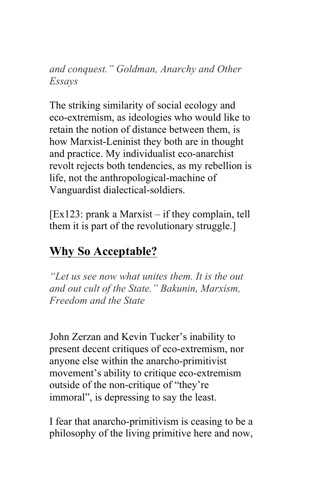*and conquest." Goldman, Anarchy and Other Essays*

The striking similarity of social ecology and eco-extremism, as ideologies who would like to retain the notion of distance between them, is how Marxist-Leninist they both are in thought and practice. My individualist eco-anarchist revolt rejects both tendencies, as my rebellion is life, not the anthropological-machine of Vanguardist dialectical-soldiers.

[Ex123: prank a Marxist – if they complain, tell them it is part of the revolutionary struggle.]

# **Why So Acceptable?**

*"Let us see now what unites them. It is the out and out cult of the State." Bakunin, Marxism, Freedom and the State*

John Zerzan and Kevin Tucker's inability to present decent critiques of eco-extremism, nor anyone else within the anarcho-primitivist movement's ability to critique eco-extremism outside of the non-critique of "they're immoral", is depressing to say the least.

I fear that anarcho-primitivism is ceasing to be a philosophy of the living primitive here and now,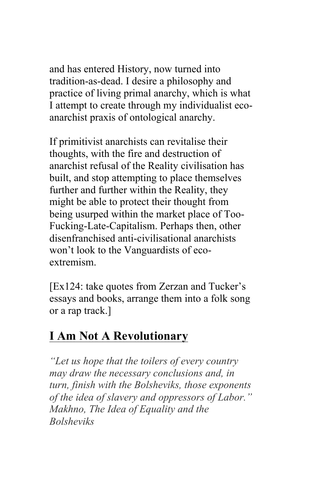and has entered History, now turned into tradition-as-dead. I desire a philosophy and practice of living primal anarchy, which is what I attempt to create through my individualist ecoanarchist praxis of ontological anarchy.

If primitivist anarchists can revitalise their thoughts, with the fire and destruction of anarchist refusal of the Reality civilisation has built, and stop attempting to place themselves further and further within the Reality, they might be able to protect their thought from being usurped within the market place of Too-Fucking-Late-Capitalism. Perhaps then, other disenfranchised anti-civilisational anarchists won't look to the Vanguardists of ecoextremism.

[Ex124: take quotes from Zerzan and Tucker's essays and books, arrange them into a folk song or a rap track.]

# **I Am Not A Revolutionary**

*"Let us hope that the toilers of every country may draw the necessary conclusions and, in turn, finish with the Bolsheviks, those exponents of the idea of slavery and oppressors of Labor." Makhno, The Idea of Equality and the Bolsheviks*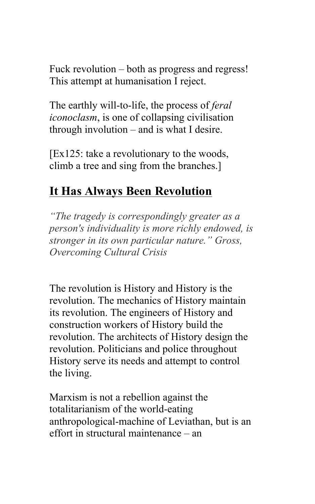Fuck revolution – both as progress and regress! This attempt at humanisation I reject.

The earthly will-to-life, the process of *feral iconoclasm*, is one of collapsing civilisation through involution – and is what I desire.

[Ex125: take a revolutionary to the woods, climb a tree and sing from the branches.]

### **It Has Always Been Revolution**

*"The tragedy is correspondingly greater as a person's individuality is more richly endowed, is stronger in its own particular nature." Gross, Overcoming Cultural Crisis*

The revolution is History and History is the revolution. The mechanics of History maintain its revolution. The engineers of History and construction workers of History build the revolution. The architects of History design the revolution. Politicians and police throughout History serve its needs and attempt to control the living.

Marxism is not a rebellion against the totalitarianism of the world-eating anthropological-machine of Leviathan, but is an effort in structural maintenance – an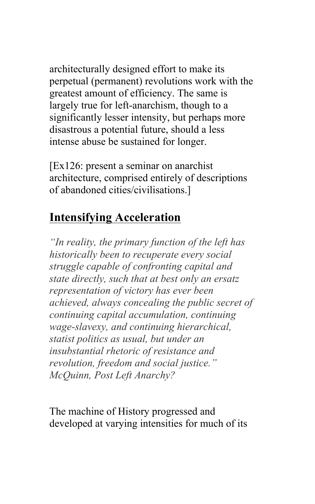architecturally designed effort to make its perpetual (permanent) revolutions work with the greatest amount of efficiency. The same is largely true for left-anarchism, though to a significantly lesser intensity, but perhaps more disastrous a potential future, should a less intense abuse be sustained for longer.

[Ex126: present a seminar on anarchist architecture, comprised entirely of descriptions of abandoned cities/civilisations.]

## **Intensifying Acceleration**

*"In reality, the primary function of the left has historically been to recuperate every social struggle capable of confronting capital and state directly, such that at best only an ersatz representation of victory has ever been achieved, always concealing the public secret of continuing capital accumulation, continuing wage-slavexy, and continuing hierarchical, statist politics as usual, but under an insubstantial rhetoric of resistance and revolution, freedom and social justice." McQuinn, Post Left Anarchy?*

The machine of History progressed and developed at varying intensities for much of its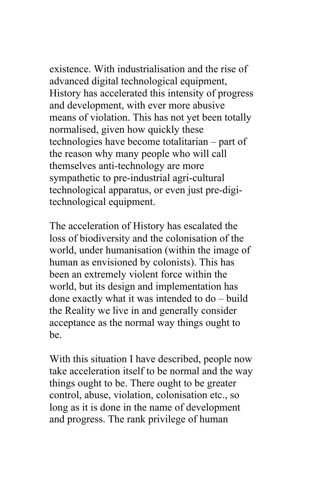existence. With industrialisation and the rise of advanced digital technological equipment, History has accelerated this intensity of progress and development, with ever more abusive means of violation. This has not yet been totally normalised, given how quickly these technologies have become totalitarian – part of the reason why many people who will call themselves anti-technology are more sympathetic to pre-industrial agri-cultural technological apparatus, or even just pre-digitechnological equipment.

The acceleration of History has escalated the loss of biodiversity and the colonisation of the world, under humanisation (within the image of human as envisioned by colonists). This has been an extremely violent force within the world, but its design and implementation has done exactly what it was intended to do – build the Reality we live in and generally consider acceptance as the normal way things ought to be.

With this situation I have described, people now take acceleration itself to be normal and the way things ought to be. There ought to be greater control, abuse, violation, colonisation etc., so long as it is done in the name of development and progress. The rank privilege of human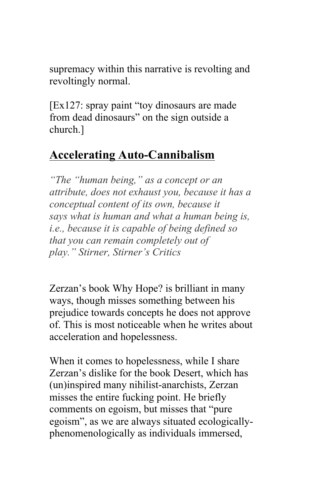supremacy within this narrative is revolting and revoltingly normal.

[Ex127: spray paint "toy dinosaurs are made from dead dinosaurs" on the sign outside a church.]

# **Accelerating Auto-Cannibalism**

*"The "human being," as a concept or an attribute, does not exhaust you, because it has a conceptual content of its own, because it says what is human and what a human being is, i.e., because it is capable of being defined so that you can remain completely out of play." Stirner, Stirner's Critics*

Zerzan's book Why Hope? is brilliant in many ways, though misses something between his prejudice towards concepts he does not approve of. This is most noticeable when he writes about acceleration and hopelessness.

When it comes to hopelessness, while I share Zerzan's dislike for the book Desert, which has (un)inspired many nihilist-anarchists, Zerzan misses the entire fucking point. He briefly comments on egoism, but misses that "pure egoism", as we are always situated ecologicallyphenomenologically as individuals immersed,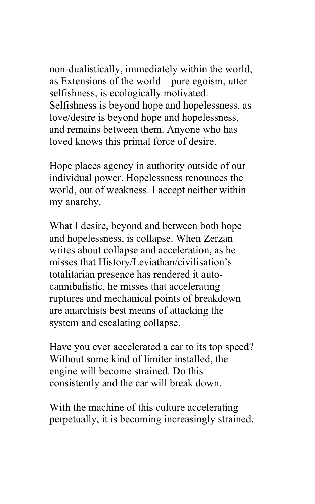non-dualistically, immediately within the world, as Extensions of the world – pure egoism, utter selfishness, is ecologically motivated. Selfishness is beyond hope and hopelessness, as love/desire is beyond hope and hopelessness, and remains between them. Anyone who has loved knows this primal force of desire.

Hope places agency in authority outside of our individual power. Hopelessness renounces the world, out of weakness. I accept neither within my anarchy.

What I desire, beyond and between both hope and hopelessness, is collapse. When Zerzan writes about collapse and acceleration, as he misses that History/Leviathan/civilisation's totalitarian presence has rendered it autocannibalistic, he misses that accelerating ruptures and mechanical points of breakdown are anarchists best means of attacking the system and escalating collapse.

Have you ever accelerated a car to its top speed? Without some kind of limiter installed, the engine will become strained. Do this consistently and the car will break down.

With the machine of this culture accelerating perpetually, it is becoming increasingly strained.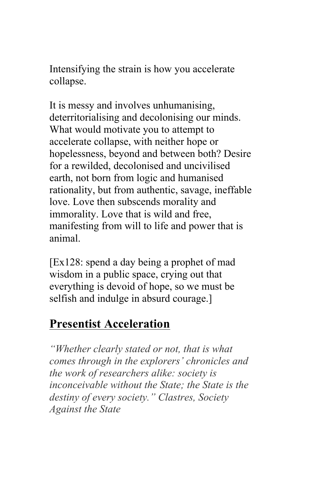Intensifying the strain is how you accelerate collapse.

It is messy and involves unhumanising, deterritorialising and decolonising our minds. What would motivate you to attempt to accelerate collapse, with neither hope or hopelessness, beyond and between both? Desire for a rewilded, decolonised and uncivilised earth, not born from logic and humanised rationality, but from authentic, savage, ineffable love. Love then subscends morality and immorality. Love that is wild and free, manifesting from will to life and power that is animal.

[Ex128: spend a day being a prophet of mad wisdom in a public space, crying out that everything is devoid of hope, so we must be selfish and indulge in absurd courage.]

### **Presentist Acceleration**

*"Whether clearly stated or not, that is what comes through in the explorers' chronicles and the work of researchers alike: society is inconceivable without the State; the State is the destiny of every society." Clastres, Society Against the State*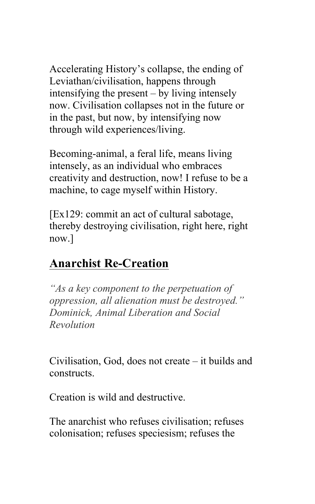Accelerating History's collapse, the ending of Leviathan/civilisation, happens through intensifying the present – by living intensely now. Civilisation collapses not in the future or in the past, but now, by intensifying now through wild experiences/living.

Becoming-animal, a feral life, means living intensely, as an individual who embraces creativity and destruction, now! I refuse to be a machine, to cage myself within History.

[Ex129: commit an act of cultural sabotage, thereby destroying civilisation, right here, right now.]

## **Anarchist Re-Creation**

*"As a key component to the perpetuation of oppression, all alienation must be destroyed." Dominick, Animal Liberation and Social Revolution*

Civilisation, God, does not create – it builds and constructs.

Creation is wild and destructive.

The anarchist who refuses civilisation; refuses colonisation; refuses speciesism; refuses the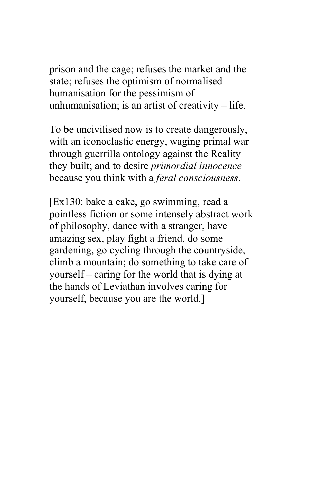prison and the cage; refuses the market and the state; refuses the optimism of normalised humanisation for the pessimism of unhumanisation; is an artist of creativity – life.

To be uncivilised now is to create dangerously, with an iconoclastic energy, waging primal war through guerrilla ontology against the Reality they built; and to desire *primordial innocence* because you think with a *feral consciousness*.

[Ex130: bake a cake, go swimming, read a pointless fiction or some intensely abstract work of philosophy, dance with a stranger, have amazing sex, play fight a friend, do some gardening, go cycling through the countryside, climb a mountain; do something to take care of yourself – caring for the world that is dying at the hands of Leviathan involves caring for yourself, because you are the world.]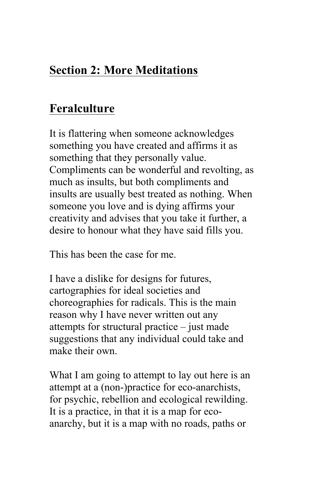# **Section 2: More Meditations**

## **Feralculture**

It is flattering when someone acknowledges something you have created and affirms it as something that they personally value. Compliments can be wonderful and revolting, as much as insults, but both compliments and insults are usually best treated as nothing. When someone you love and is dying affirms your creativity and advises that you take it further, a desire to honour what they have said fills you.

This has been the case for me.

I have a dislike for designs for futures, cartographies for ideal societies and choreographies for radicals. This is the main reason why I have never written out any attempts for structural practice – just made suggestions that any individual could take and make their own.

What I am going to attempt to lay out here is an attempt at a (non-)practice for eco-anarchists, for psychic, rebellion and ecological rewilding. It is a practice, in that it is a map for ecoanarchy, but it is a map with no roads, paths or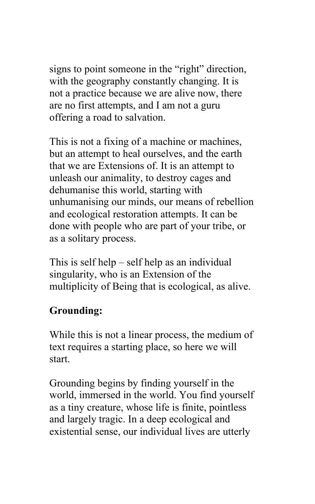signs to point someone in the "right" direction, with the geography constantly changing. It is not a practice because we are alive now, there are no first attempts, and I am not a guru offering a road to salvation.

This is not a fixing of a machine or machines, but an attempt to heal ourselves, and the earth that we are Extensions of. It is an attempt to unleash our animality, to destroy cages and dehumanise this world, starting with unhumanising our minds, our means of rebellion and ecological restoration attempts. It can be done with people who are part of your tribe, or as a solitary process.

This is self help – self help as an individual singularity, who is an Extension of the multiplicity of Being that is ecological, as alive.

#### **Grounding:**

While this is not a linear process, the medium of text requires a starting place, so here we will start.

Grounding begins by finding yourself in the world, immersed in the world. You find yourself as a tiny creature, whose life is finite, pointless and largely tragic. In a deep ecological and existential sense, our individual lives are utterly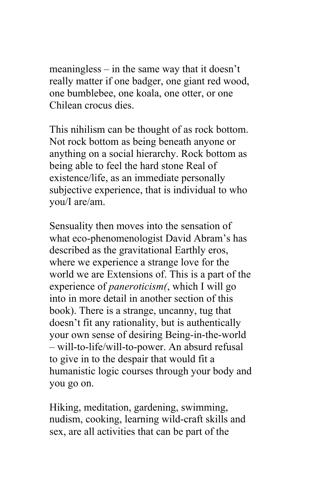meaningless – in the same way that it doesn't really matter if one badger, one giant red wood, one bumblebee, one koala, one otter, or one Chilean crocus dies.

This nihilism can be thought of as rock bottom. Not rock bottom as being beneath anyone or anything on a social hierarchy. Rock bottom as being able to feel the hard stone Real of existence/life, as an immediate personally subjective experience, that is individual to who you/I are/am.

Sensuality then moves into the sensation of what eco-phenomenologist David Abram's has described as the gravitational Earthly eros, where we experience a strange love for the world we are Extensions of. This is a part of the experience of *paneroticism(*, which I will go into in more detail in another section of this book). There is a strange, uncanny, tug that doesn't fit any rationality, but is authentically your own sense of desiring Being-in-the-world – will-to-life/will-to-power. An absurd refusal to give in to the despair that would fit a humanistic logic courses through your body and you go on.

Hiking, meditation, gardening, swimming, nudism, cooking, learning wild-craft skills and sex, are all activities that can be part of the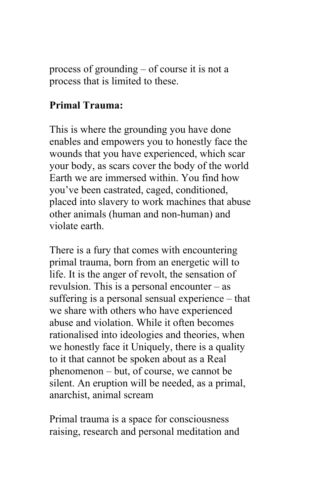process of grounding – of course it is not a process that is limited to these.

### **Primal Trauma:**

This is where the grounding you have done enables and empowers you to honestly face the wounds that you have experienced, which scar your body, as scars cover the body of the world Earth we are immersed within. You find how you've been castrated, caged, conditioned, placed into slavery to work machines that abuse other animals (human and non-human) and violate earth.

There is a fury that comes with encountering primal trauma, born from an energetic will to life. It is the anger of revolt, the sensation of revulsion. This is a personal encounter – as suffering is a personal sensual experience – that we share with others who have experienced abuse and violation. While it often becomes rationalised into ideologies and theories, when we honestly face it Uniquely, there is a quality to it that cannot be spoken about as a Real phenomenon – but, of course, we cannot be silent. An eruption will be needed, as a primal, anarchist, animal scream

Primal trauma is a space for consciousness raising, research and personal meditation and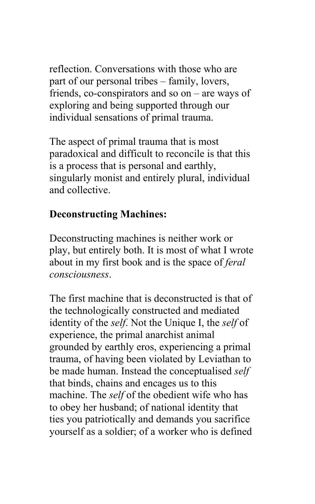reflection. Conversations with those who are part of our personal tribes – family, lovers, friends, co-conspirators and so on – are ways of exploring and being supported through our individual sensations of primal trauma.

The aspect of primal trauma that is most paradoxical and difficult to reconcile is that this is a process that is personal and earthly, singularly monist and entirely plural, individual and collective.

### **Deconstructing Machines:**

Deconstructing machines is neither work or play, but entirely both. It is most of what I wrote about in my first book and is the space of *feral consciousness*.

The first machine that is deconstructed is that of the technologically constructed and mediated identity of the *self*. Not the Unique I, the *self* of experience, the primal anarchist animal grounded by earthly eros, experiencing a primal trauma, of having been violated by Leviathan to be made human. Instead the conceptualised *self* that binds, chains and encages us to this machine. The *self* of the obedient wife who has to obey her husband; of national identity that ties you patriotically and demands you sacrifice yourself as a soldier; of a worker who is defined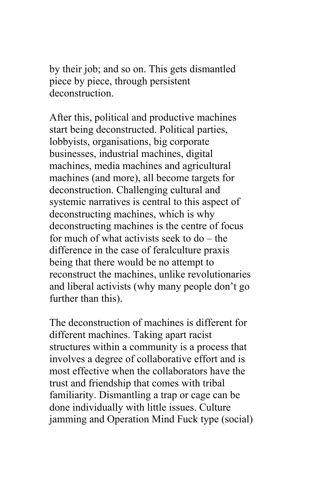by their job; and so on. This gets dismantled piece by piece, through persistent deconstruction.

After this, political and productive machines start being deconstructed. Political parties, lobbyists, organisations, big corporate businesses, industrial machines, digital machines, media machines and agricultural machines (and more), all become targets for deconstruction. Challenging cultural and systemic narratives is central to this aspect of deconstructing machines, which is why deconstructing machines is the centre of focus for much of what activists seek to do – the difference in the case of feralculture praxis being that there would be no attempt to reconstruct the machines, unlike revolutionaries and liberal activists (why many people don't go further than this).

The deconstruction of machines is different for different machines. Taking apart racist structures within a community is a process that involves a degree of collaborative effort and is most effective when the collaborators have the trust and friendship that comes with tribal familiarity. Dismantling a trap or cage can be done individually with little issues. Culture jamming and Operation Mind Fuck type (social)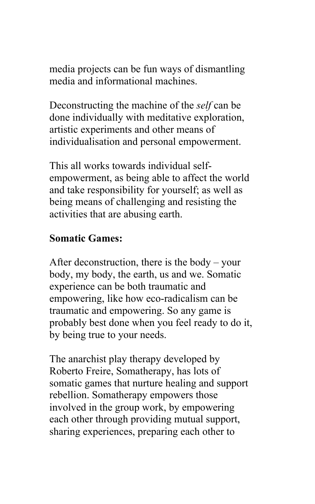media projects can be fun ways of dismantling media and informational machines.

Deconstructing the machine of the *self* can be done individually with meditative exploration, artistic experiments and other means of individualisation and personal empowerment.

This all works towards individual selfempowerment, as being able to affect the world and take responsibility for yourself; as well as being means of challenging and resisting the activities that are abusing earth.

#### **Somatic Games:**

After deconstruction, there is the body – your body, my body, the earth, us and we. Somatic experience can be both traumatic and empowering, like how eco-radicalism can be traumatic and empowering. So any game is probably best done when you feel ready to do it, by being true to your needs.

The anarchist play therapy developed by Roberto Freire, Somatherapy, has lots of somatic games that nurture healing and support rebellion. Somatherapy empowers those involved in the group work, by empowering each other through providing mutual support, sharing experiences, preparing each other to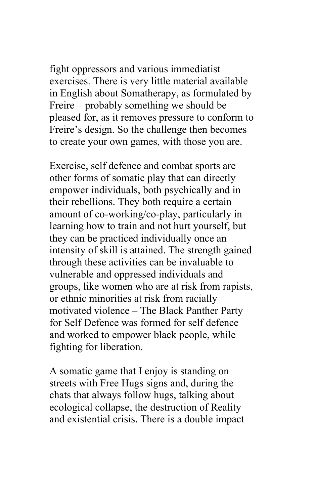fight oppressors and various immediatist exercises. There is very little material available in English about Somatherapy, as formulated by Freire – probably something we should be pleased for, as it removes pressure to conform to Freire's design. So the challenge then becomes to create your own games, with those you are.

Exercise, self defence and combat sports are other forms of somatic play that can directly empower individuals, both psychically and in their rebellions. They both require a certain amount of co-working/co-play, particularly in learning how to train and not hurt yourself, but they can be practiced individually once an intensity of skill is attained. The strength gained through these activities can be invaluable to vulnerable and oppressed individuals and groups, like women who are at risk from rapists, or ethnic minorities at risk from racially motivated violence – The Black Panther Party for Self Defence was formed for self defence and worked to empower black people, while fighting for liberation.

A somatic game that I enjoy is standing on streets with Free Hugs signs and, during the chats that always follow hugs, talking about ecological collapse, the destruction of Reality and existential crisis. There is a double impact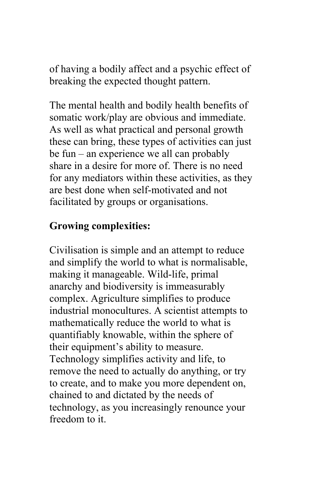of having a bodily affect and a psychic effect of breaking the expected thought pattern.

The mental health and bodily health benefits of somatic work/play are obvious and immediate. As well as what practical and personal growth these can bring, these types of activities can just be fun – an experience we all can probably share in a desire for more of. There is no need for any mediators within these activities, as they are best done when self-motivated and not facilitated by groups or organisations.

#### **Growing complexities:**

Civilisation is simple and an attempt to reduce and simplify the world to what is normalisable, making it manageable. Wild-life, primal anarchy and biodiversity is immeasurably complex. Agriculture simplifies to produce industrial monocultures. A scientist attempts to mathematically reduce the world to what is quantifiably knowable, within the sphere of their equipment's ability to measure. Technology simplifies activity and life, to remove the need to actually do anything, or try to create, and to make you more dependent on, chained to and dictated by the needs of technology, as you increasingly renounce your freedom to it.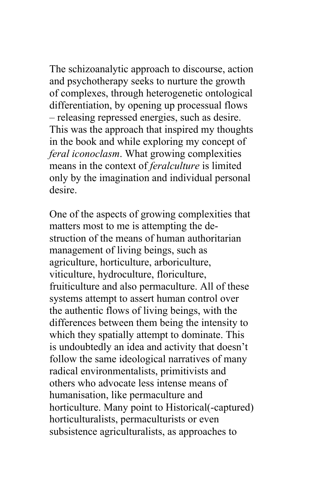The schizoanalytic approach to discourse, action and psychotherapy seeks to nurture the growth of complexes, through heterogenetic ontological differentiation, by opening up processual flows – releasing repressed energies, such as desire. This was the approach that inspired my thoughts in the book and while exploring my concept of *feral iconoclasm*. What growing complexities means in the context of *feralculture* is limited only by the imagination and individual personal desire.

One of the aspects of growing complexities that matters most to me is attempting the destruction of the means of human authoritarian management of living beings, such as agriculture, horticulture, arboriculture, viticulture, hydroculture, floriculture, fruiticulture and also permaculture. All of these systems attempt to assert human control over the authentic flows of living beings, with the differences between them being the intensity to which they spatially attempt to dominate. This is undoubtedly an idea and activity that doesn't follow the same ideological narratives of many radical environmentalists, primitivists and others who advocate less intense means of humanisation, like permaculture and horticulture. Many point to Historical(-captured) horticulturalists, permaculturists or even subsistence agriculturalists, as approaches to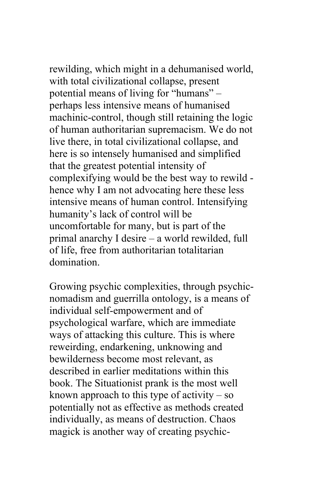rewilding, which might in a dehumanised world, with total civilizational collapse, present potential means of living for "humans" – perhaps less intensive means of humanised machinic-control, though still retaining the logic of human authoritarian supremacism. We do not live there, in total civilizational collapse, and here is so intensely humanised and simplified that the greatest potential intensity of complexifying would be the best way to rewild hence why I am not advocating here these less intensive means of human control. Intensifying humanity's lack of control will be uncomfortable for many, but is part of the primal anarchy I desire – a world rewilded, full of life, free from authoritarian totalitarian domination.

Growing psychic complexities, through psychicnomadism and guerrilla ontology, is a means of individual self-empowerment and of psychological warfare, which are immediate ways of attacking this culture. This is where reweirding, endarkening, unknowing and bewilderness become most relevant, as described in earlier meditations within this book. The Situationist prank is the most well known approach to this type of activity  $-$  so potentially not as effective as methods created individually, as means of destruction. Chaos magick is another way of creating psychic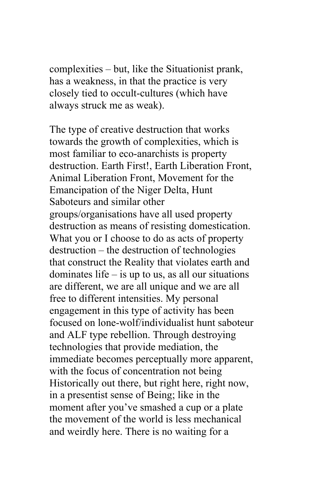complexities – but, like the Situationist prank, has a weakness, in that the practice is very closely tied to occult-cultures (which have always struck me as weak).

The type of creative destruction that works towards the growth of complexities, which is most familiar to eco-anarchists is property destruction. Earth First!, Earth Liberation Front, Animal Liberation Front, Movement for the Emancipation of the Niger Delta, Hunt Saboteurs and similar other groups/organisations have all used property destruction as means of resisting domestication. What you or I choose to do as acts of property destruction – the destruction of technologies that construct the Reality that violates earth and dominates life  $-$  is up to us, as all our situations are different, we are all unique and we are all free to different intensities. My personal engagement in this type of activity has been focused on lone-wolf/individualist hunt saboteur and ALF type rebellion. Through destroying technologies that provide mediation, the immediate becomes perceptually more apparent, with the focus of concentration not being Historically out there, but right here, right now, in a presentist sense of Being; like in the moment after you've smashed a cup or a plate the movement of the world is less mechanical and weirdly here. There is no waiting for a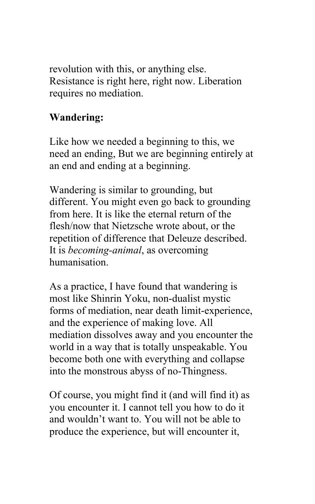revolution with this, or anything else. Resistance is right here, right now. Liberation requires no mediation.

### **Wandering:**

Like how we needed a beginning to this, we need an ending, But we are beginning entirely at an end and ending at a beginning.

Wandering is similar to grounding, but different. You might even go back to grounding from here. It is like the eternal return of the flesh/now that Nietzsche wrote about, or the repetition of difference that Deleuze described. It is *becoming-animal*, as overcoming humanisation.

As a practice, I have found that wandering is most like Shinrin Yoku, non-dualist mystic forms of mediation, near death limit-experience, and the experience of making love. All mediation dissolves away and you encounter the world in a way that is totally unspeakable. You become both one with everything and collapse into the monstrous abyss of no-Thingness.

Of course, you might find it (and will find it) as you encounter it. I cannot tell you how to do it and wouldn't want to. You will not be able to produce the experience, but will encounter it,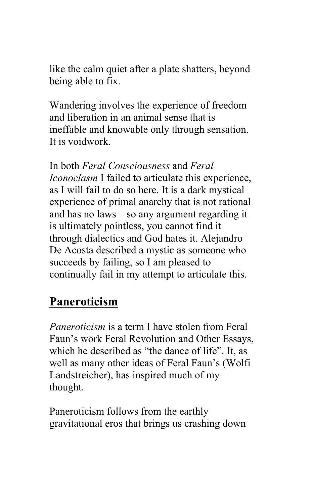like the calm quiet after a plate shatters, beyond being able to fix.

Wandering involves the experience of freedom and liberation in an animal sense that is ineffable and knowable only through sensation. It is voidwork.

In both *Feral Consciousness* and *Feral Iconoclasm* I failed to articulate this experience, as I will fail to do so here. It is a dark mystical experience of primal anarchy that is not rational and has no laws – so any argument regarding it is ultimately pointless, you cannot find it through dialectics and God hates it. Alejandro De Acosta described a mystic as someone who succeeds by failing, so I am pleased to continually fail in my attempt to articulate this.

## **Paneroticism**

*Paneroticism* is a term I have stolen from Feral Faun's work Feral Revolution and Other Essays, which he described as "the dance of life". It, as well as many other ideas of Feral Faun's (Wolfi Landstreicher), has inspired much of my thought.

Paneroticism follows from the earthly gravitational eros that brings us crashing down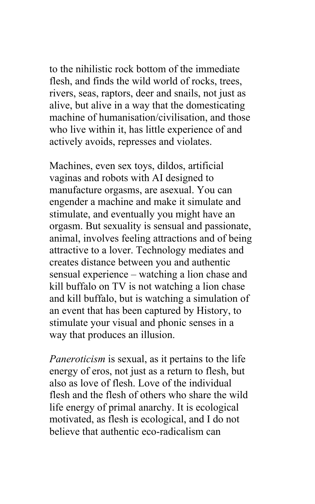to the nihilistic rock bottom of the immediate flesh, and finds the wild world of rocks, trees, rivers, seas, raptors, deer and snails, not just as alive, but alive in a way that the domesticating machine of humanisation/civilisation, and those who live within it, has little experience of and actively avoids, represses and violates.

Machines, even sex toys, dildos, artificial vaginas and robots with AI designed to manufacture orgasms, are asexual. You can engender a machine and make it simulate and stimulate, and eventually you might have an orgasm. But sexuality is sensual and passionate, animal, involves feeling attractions and of being attractive to a lover. Technology mediates and creates distance between you and authentic sensual experience – watching a lion chase and kill buffalo on TV is not watching a lion chase and kill buffalo, but is watching a simulation of an event that has been captured by History, to stimulate your visual and phonic senses in a way that produces an illusion.

*Paneroticism* is sexual, as it pertains to the life energy of eros, not just as a return to flesh, but also as love of flesh. Love of the individual flesh and the flesh of others who share the wild life energy of primal anarchy. It is ecological motivated, as flesh is ecological, and I do not believe that authentic eco-radicalism can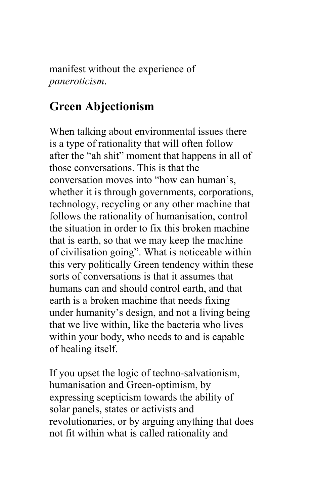manifest without the experience of *paneroticism*.

### **Green Abjectionism**

When talking about environmental issues there is a type of rationality that will often follow after the "ah shit" moment that happens in all of those conversations. This is that the conversation moves into "how can human's, whether it is through governments, corporations, technology, recycling or any other machine that follows the rationality of humanisation, control the situation in order to fix this broken machine that is earth, so that we may keep the machine of civilisation going". What is noticeable within this very politically Green tendency within these sorts of conversations is that it assumes that humans can and should control earth, and that earth is a broken machine that needs fixing under humanity's design, and not a living being that we live within, like the bacteria who lives within your body, who needs to and is capable of healing itself.

If you upset the logic of techno-salvationism, humanisation and Green-optimism, by expressing scepticism towards the ability of solar panels, states or activists and revolutionaries, or by arguing anything that does not fit within what is called rationality and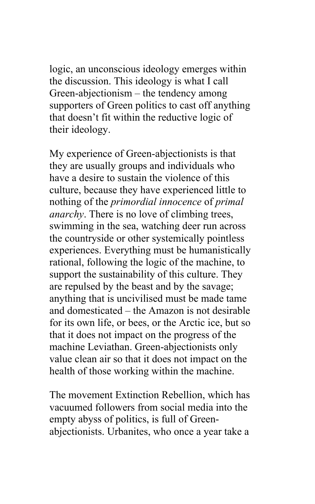logic, an unconscious ideology emerges within the discussion. This ideology is what I call Green-abjectionism – the tendency among supporters of Green politics to cast off anything that doesn't fit within the reductive logic of their ideology.

My experience of Green-abjectionists is that they are usually groups and individuals who have a desire to sustain the violence of this culture, because they have experienced little to nothing of the *primordial innocence* of *primal anarchy*. There is no love of climbing trees, swimming in the sea, watching deer run across the countryside or other systemically pointless experiences. Everything must be humanistically rational, following the logic of the machine, to support the sustainability of this culture. They are repulsed by the beast and by the savage; anything that is uncivilised must be made tame and domesticated – the Amazon is not desirable for its own life, or bees, or the Arctic ice, but so that it does not impact on the progress of the machine Leviathan. Green-abjectionists only value clean air so that it does not impact on the health of those working within the machine.

The movement Extinction Rebellion, which has vacuumed followers from social media into the empty abyss of politics, is full of Greenabjectionists. Urbanites, who once a year take a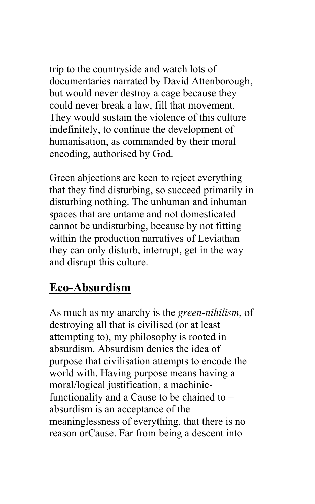trip to the countryside and watch lots of documentaries narrated by David Attenborough, but would never destroy a cage because they could never break a law, fill that movement. They would sustain the violence of this culture indefinitely, to continue the development of humanisation, as commanded by their moral encoding, authorised by God.

Green abjections are keen to reject everything that they find disturbing, so succeed primarily in disturbing nothing. The unhuman and inhuman spaces that are untame and not domesticated cannot be undisturbing, because by not fitting within the production narratives of Leviathan they can only disturb, interrupt, get in the way and disrupt this culture.

### **Eco-Absurdism**

As much as my anarchy is the *green-nihilism*, of destroying all that is civilised (or at least attempting to), my philosophy is rooted in absurdism. Absurdism denies the idea of purpose that civilisation attempts to encode the world with. Having purpose means having a moral/logical justification, a machinicfunctionality and a Cause to be chained to – absurdism is an acceptance of the meaninglessness of everything, that there is no reason orCause. Far from being a descent into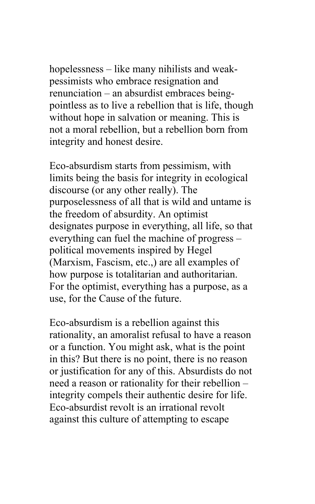hopelessness – like many nihilists and weakpessimists who embrace resignation and renunciation – an absurdist embraces beingpointless as to live a rebellion that is life, though without hope in salvation or meaning. This is not a moral rebellion, but a rebellion born from integrity and honest desire.

Eco-absurdism starts from pessimism, with limits being the basis for integrity in ecological discourse (or any other really). The purposelessness of all that is wild and untame is the freedom of absurdity. An optimist designates purpose in everything, all life, so that everything can fuel the machine of progress – political movements inspired by Hegel (Marxism, Fascism, etc.,) are all examples of how purpose is totalitarian and authoritarian. For the optimist, everything has a purpose, as a use, for the Cause of the future.

Eco-absurdism is a rebellion against this rationality, an amoralist refusal to have a reason or a function. You might ask, what is the point in this? But there is no point, there is no reason or justification for any of this. Absurdists do not need a reason or rationality for their rebellion – integrity compels their authentic desire for life. Eco-absurdist revolt is an irrational revolt against this culture of attempting to escape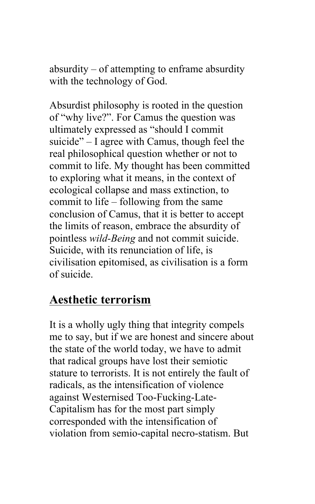absurdity – of attempting to enframe absurdity with the technology of God.

Absurdist philosophy is rooted in the question of "why live?". For Camus the question was ultimately expressed as "should I commit suicide" – I agree with Camus, though feel the real philosophical question whether or not to commit to life. My thought has been committed to exploring what it means, in the context of ecological collapse and mass extinction, to commit to life – following from the same conclusion of Camus, that it is better to accept the limits of reason, embrace the absurdity of pointless *wild-Being* and not commit suicide. Suicide, with its renunciation of life, is civilisation epitomised, as civilisation is a form of suicide.

### **Aesthetic terrorism**

It is a wholly ugly thing that integrity compels me to say, but if we are honest and sincere about the state of the world today, we have to admit that radical groups have lost their semiotic stature to terrorists. It is not entirely the fault of radicals, as the intensification of violence against Westernised Too-Fucking-Late-Capitalism has for the most part simply corresponded with the intensification of violation from semio-capital necro-statism. But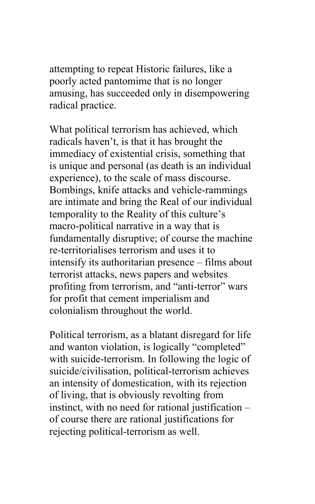attempting to repeat Historic failures, like a poorly acted pantomime that is no longer amusing, has succeeded only in disempowering radical practice.

What political terrorism has achieved, which radicals haven't, is that it has brought the immediacy of existential crisis, something that is unique and personal (as death is an individual experience), to the scale of mass discourse. Bombings, knife attacks and vehicle-rammings are intimate and bring the Real of our individual temporality to the Reality of this culture's macro-political narrative in a way that is fundamentally disruptive; of course the machine re-territorialises terrorism and uses it to intensify its authoritarian presence – films about terrorist attacks, news papers and websites profiting from terrorism, and "anti-terror" wars for profit that cement imperialism and colonialism throughout the world.

Political terrorism, as a blatant disregard for life and wanton violation, is logically "completed" with suicide-terrorism. In following the logic of suicide/civilisation, political-terrorism achieves an intensity of domestication, with its rejection of living, that is obviously revolting from instinct, with no need for rational justification – of course there are rational justifications for rejecting political-terrorism as well.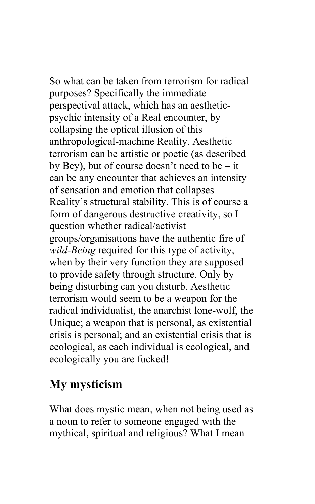So what can be taken from terrorism for radical purposes? Specifically the immediate perspectival attack, which has an aestheticpsychic intensity of a Real encounter, by collapsing the optical illusion of this anthropological-machine Reality. Aesthetic terrorism can be artistic or poetic (as described by Bey), but of course doesn't need to be  $-$  it can be any encounter that achieves an intensity of sensation and emotion that collapses Reality's structural stability. This is of course a form of dangerous destructive creativity, so I question whether radical/activist groups/organisations have the authentic fire of *wild-Being* required for this type of activity, when by their very function they are supposed to provide safety through structure. Only by being disturbing can you disturb. Aesthetic terrorism would seem to be a weapon for the radical individualist, the anarchist lone-wolf, the Unique; a weapon that is personal, as existential crisis is personal; and an existential crisis that is ecological, as each individual is ecological, and ecologically you are fucked!

## **My mysticism**

What does mystic mean, when not being used as a noun to refer to someone engaged with the mythical, spiritual and religious? What I mean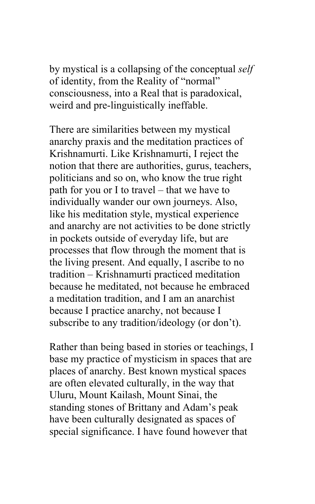by mystical is a collapsing of the conceptual *self* of identity, from the Reality of "normal" consciousness, into a Real that is paradoxical, weird and pre-linguistically ineffable.

There are similarities between my mystical anarchy praxis and the meditation practices of Krishnamurti. Like Krishnamurti, I reject the notion that there are authorities, gurus, teachers, politicians and so on, who know the true right path for you or I to travel – that we have to individually wander our own journeys. Also, like his meditation style, mystical experience and anarchy are not activities to be done strictly in pockets outside of everyday life, but are processes that flow through the moment that is the living present. And equally, I ascribe to no tradition – Krishnamurti practiced meditation because he meditated, not because he embraced a meditation tradition, and I am an anarchist because I practice anarchy, not because I subscribe to any tradition/ideology (or don't).

Rather than being based in stories or teachings, I base my practice of mysticism in spaces that are places of anarchy. Best known mystical spaces are often elevated culturally, in the way that Uluru, Mount Kailash, Mount Sinai, the standing stones of Brittany and Adam's peak have been culturally designated as spaces of special significance. I have found however that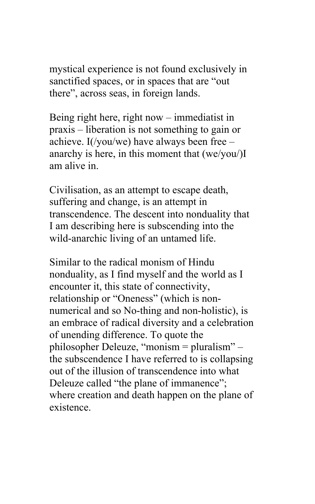mystical experience is not found exclusively in sanctified spaces, or in spaces that are "out there", across seas, in foreign lands.

Being right here, right now – immediatist in praxis – liberation is not something to gain or achieve. I(/you/we) have always been free – anarchy is here, in this moment that (we/you/)I am alive in.

Civilisation, as an attempt to escape death, suffering and change, is an attempt in transcendence. The descent into nonduality that I am describing here is subscending into the wild-anarchic living of an untamed life.

Similar to the radical monism of Hindu nonduality, as I find myself and the world as I encounter it, this state of connectivity, relationship or "Oneness" (which is nonnumerical and so No-thing and non-holistic), is an embrace of radical diversity and a celebration of unending difference. To quote the philosopher Deleuze, "monism = pluralism" – the subscendence I have referred to is collapsing out of the illusion of transcendence into what Deleuze called "the plane of immanence"; where creation and death happen on the plane of existence.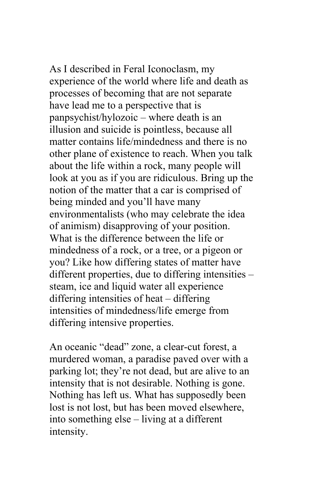As I described in Feral Iconoclasm, my experience of the world where life and death as processes of becoming that are not separate have lead me to a perspective that is panpsychist/hylozoic – where death is an illusion and suicide is pointless, because all matter contains life/mindedness and there is no other plane of existence to reach. When you talk about the life within a rock, many people will look at you as if you are ridiculous. Bring up the notion of the matter that a car is comprised of being minded and you'll have many environmentalists (who may celebrate the idea of animism) disapproving of your position. What is the difference between the life or mindedness of a rock, or a tree, or a pigeon or you? Like how differing states of matter have different properties, due to differing intensities – steam, ice and liquid water all experience differing intensities of heat – differing intensities of mindedness/life emerge from differing intensive properties.

An oceanic "dead" zone, a clear-cut forest, a murdered woman, a paradise paved over with a parking lot; they're not dead, but are alive to an intensity that is not desirable. Nothing is gone. Nothing has left us. What has supposedly been lost is not lost, but has been moved elsewhere, into something else – living at a different intensity.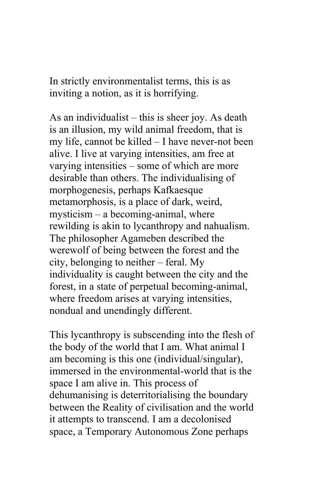In strictly environmentalist terms, this is as inviting a notion, as it is horrifying.

As an individualist – this is sheer joy. As death is an illusion, my wild animal freedom, that is my life, cannot be killed – I have never-not been alive. I live at varying intensities, am free at varying intensities – some of which are more desirable than others. The individualising of morphogenesis, perhaps Kafkaesque metamorphosis, is a place of dark, weird, mysticism – a becoming-animal, where rewilding is akin to lycanthropy and nahualism. The philosopher Agameben described the werewolf of being between the forest and the city, belonging to neither – feral. My individuality is caught between the city and the forest, in a state of perpetual becoming-animal, where freedom arises at varying intensities, nondual and unendingly different.

This lycanthropy is subscending into the flesh of the body of the world that I am. What animal I am becoming is this one (individual/singular), immersed in the environmental-world that is the space I am alive in. This process of dehumanising is deterritorialising the boundary between the Reality of civilisation and the world it attempts to transcend. I am a decolonised space, a Temporary Autonomous Zone perhaps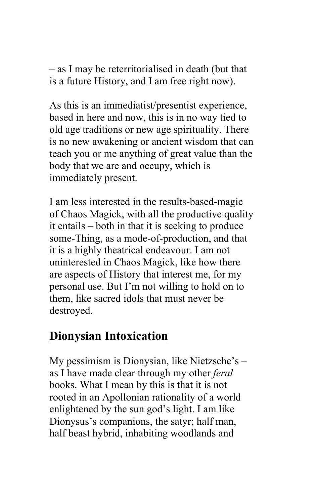– as I may be reterritorialised in death (but that is a future History, and I am free right now).

As this is an immediatist/presentist experience, based in here and now, this is in no way tied to old age traditions or new age spirituality. There is no new awakening or ancient wisdom that can teach you or me anything of great value than the body that we are and occupy, which is immediately present.

I am less interested in the results-based-magic of Chaos Magick, with all the productive quality it entails – both in that it is seeking to produce some-Thing, as a mode-of-production, and that it is a highly theatrical endeavour. I am not uninterested in Chaos Magick, like how there are aspects of History that interest me, for my personal use. But I'm not willing to hold on to them, like sacred idols that must never be destroyed.

## **Dionysian Intoxication**

My pessimism is Dionysian, like Nietzsche's – as I have made clear through my other *feral* books. What I mean by this is that it is not rooted in an Apollonian rationality of a world enlightened by the sun god's light. I am like Dionysus's companions, the satyr; half man, half beast hybrid, inhabiting woodlands and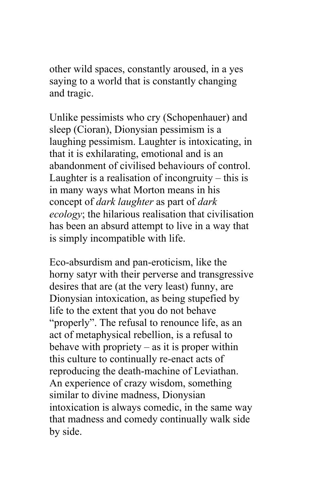other wild spaces, constantly aroused, in a yes saying to a world that is constantly changing and tragic.

Unlike pessimists who cry (Schopenhauer) and sleep (Cioran), Dionysian pessimism is a laughing pessimism. Laughter is intoxicating, in that it is exhilarating, emotional and is an abandonment of civilised behaviours of control. Laughter is a realisation of incongruity – this is in many ways what Morton means in his concept of *dark laughter* as part of *dark ecology*; the hilarious realisation that civilisation has been an absurd attempt to live in a way that is simply incompatible with life.

Eco-absurdism and pan-eroticism, like the horny satyr with their perverse and transgressive desires that are (at the very least) funny, are Dionysian intoxication, as being stupefied by life to the extent that you do not behave "properly". The refusal to renounce life, as an act of metaphysical rebellion, is a refusal to behave with propriety  $-$  as it is proper within this culture to continually re-enact acts of reproducing the death-machine of Leviathan. An experience of crazy wisdom, something similar to divine madness, Dionysian intoxication is always comedic, in the same way that madness and comedy continually walk side by side.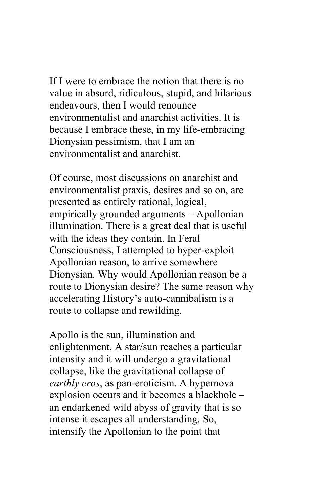If I were to embrace the notion that there is no value in absurd, ridiculous, stupid, and hilarious endeavours, then I would renounce environmentalist and anarchist activities. It is because I embrace these, in my life-embracing Dionysian pessimism, that I am an environmentalist and anarchist.

Of course, most discussions on anarchist and environmentalist praxis, desires and so on, are presented as entirely rational, logical, empirically grounded arguments – Apollonian illumination. There is a great deal that is useful with the ideas they contain. In Feral Consciousness, I attempted to hyper-exploit Apollonian reason, to arrive somewhere Dionysian. Why would Apollonian reason be a route to Dionysian desire? The same reason why accelerating History's auto-cannibalism is a route to collapse and rewilding.

Apollo is the sun, illumination and enlightenment. A star/sun reaches a particular intensity and it will undergo a gravitational collapse, like the gravitational collapse of *earthly eros*, as pan-eroticism. A hypernova explosion occurs and it becomes a blackhole – an endarkened wild abyss of gravity that is so intense it escapes all understanding. So, intensify the Apollonian to the point that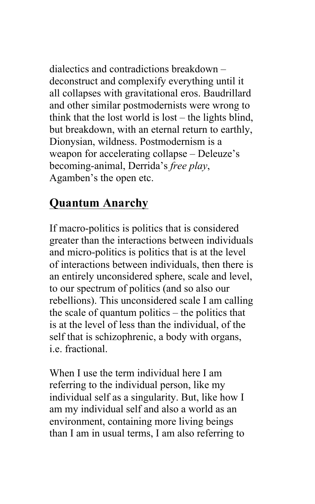dialectics and contradictions breakdown – deconstruct and complexify everything until it all collapses with gravitational eros. Baudrillard and other similar postmodernists were wrong to think that the lost world is lost – the lights blind, but breakdown, with an eternal return to earthly, Dionysian, wildness. Postmodernism is a weapon for accelerating collapse – Deleuze's becoming-animal, Derrida's *free play*, Agamben's the open etc.

# **Quantum Anarchy**

If macro-politics is politics that is considered greater than the interactions between individuals and micro-politics is politics that is at the level of interactions between individuals, then there is an entirely unconsidered sphere, scale and level, to our spectrum of politics (and so also our rebellions). This unconsidered scale I am calling the scale of quantum politics – the politics that is at the level of less than the individual, of the self that is schizophrenic, a body with organs, i.e. fractional.

When I use the term individual here I am referring to the individual person, like my individual self as a singularity. But, like how I am my individual self and also a world as an environment, containing more living beings than I am in usual terms, I am also referring to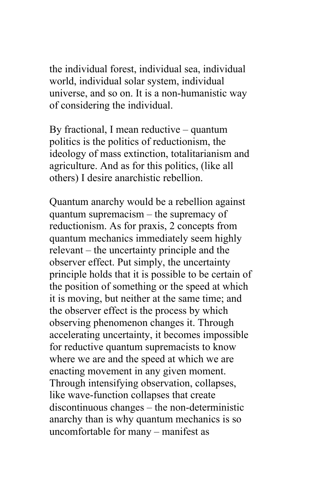the individual forest, individual sea, individual world, individual solar system, individual universe, and so on. It is a non-humanistic way of considering the individual.

By fractional, I mean reductive – quantum politics is the politics of reductionism, the ideology of mass extinction, totalitarianism and agriculture. And as for this politics, (like all others) I desire anarchistic rebellion.

Quantum anarchy would be a rebellion against quantum supremacism – the supremacy of reductionism. As for praxis, 2 concepts from quantum mechanics immediately seem highly relevant – the uncertainty principle and the observer effect. Put simply, the uncertainty principle holds that it is possible to be certain of the position of something or the speed at which it is moving, but neither at the same time; and the observer effect is the process by which observing phenomenon changes it. Through accelerating uncertainty, it becomes impossible for reductive quantum supremacists to know where we are and the speed at which we are enacting movement in any given moment. Through intensifying observation, collapses, like wave-function collapses that create discontinuous changes – the non-deterministic anarchy than is why quantum mechanics is so uncomfortable for many – manifest as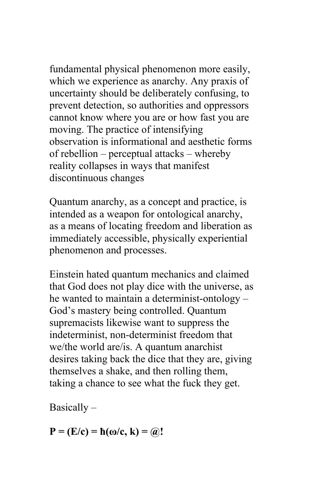fundamental physical phenomenon more easily, which we experience as anarchy. Any praxis of uncertainty should be deliberately confusing, to prevent detection, so authorities and oppressors cannot know where you are or how fast you are moving. The practice of intensifying observation is informational and aesthetic forms of rebellion – perceptual attacks – whereby reality collapses in ways that manifest discontinuous changes

Quantum anarchy, as a concept and practice, is intended as a weapon for ontological anarchy, as a means of locating freedom and liberation as immediately accessible, physically experiential phenomenon and processes.

Einstein hated quantum mechanics and claimed that God does not play dice with the universe, as he wanted to maintain a determinist-ontology – God's mastery being controlled. Quantum supremacists likewise want to suppress the indeterminist, non-determinist freedom that we/the world are/is. A quantum anarchist desires taking back the dice that they are, giving themselves a shake, and then rolling them, taking a chance to see what the fuck they get.

Basically –

 $P = (E/c) = h(\omega/c, k) = \omega$ !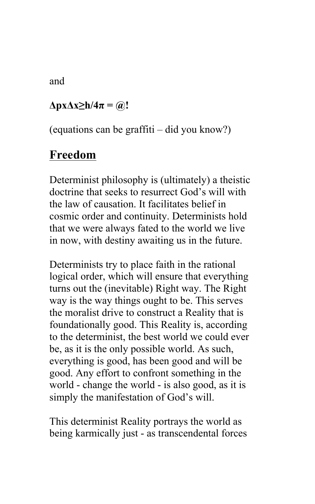and

#### $\Delta$ **px** $\Delta$ **x** $\geq$ **h** $/4\pi$  **=**  $\omega$ **!**

(equations can be graffiti – did you know?)

#### **Freedom**

Determinist philosophy is (ultimately) a theistic doctrine that seeks to resurrect God's will with the law of causation. It facilitates belief in cosmic order and continuity. Determinists hold that we were always fated to the world we live in now, with destiny awaiting us in the future.

Determinists try to place faith in the rational logical order, which will ensure that everything turns out the (inevitable) Right way. The Right way is the way things ought to be. This serves the moralist drive to construct a Reality that is foundationally good. This Reality is, according to the determinist, the best world we could ever be, as it is the only possible world. As such, everything is good, has been good and will be good. Any effort to confront something in the world - change the world - is also good, as it is simply the manifestation of God's will.

This determinist Reality portrays the world as being karmically just - as transcendental forces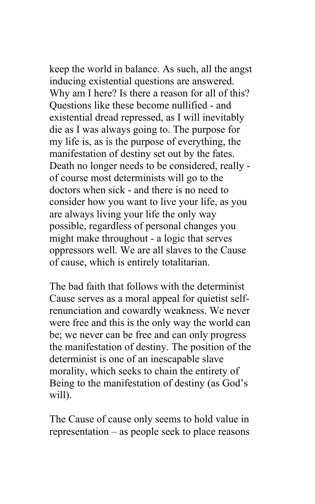keep the world in balance. As such, all the angst inducing existential questions are answered. Why am I here? Is there a reason for all of this? Questions like these become nullified - and existential dread repressed, as I will inevitably die as I was always going to. The purpose for my life is, as is the purpose of everything, the manifestation of destiny set out by the fates. Death no longer needs to be considered, really of course most determinists will go to the doctors when sick - and there is no need to consider how you want to live your life, as you are always living your life the only way possible, regardless of personal changes you might make throughout - a logic that serves oppressors well. We are all slaves to the Cause of cause, which is entirely totalitarian.

The bad faith that follows with the determinist Cause serves as a moral appeal for quietist selfrenunciation and cowardly weakness. We never were free and this is the only way the world can be; we never can be free and can only progress the manifestation of destiny. The position of the determinist is one of an inescapable slave morality, which seeks to chain the entirety of Being to the manifestation of destiny (as God's will).

The Cause of cause only seems to hold value in representation – as people seek to place reasons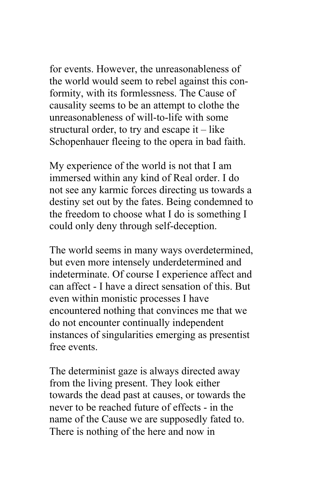for events. However, the unreasonableness of the world would seem to rebel against this conformity, with its formlessness. The Cause of causality seems to be an attempt to clothe the unreasonableness of will-to-life with some structural order, to try and escape it – like Schopenhauer fleeing to the opera in bad faith.

My experience of the world is not that I am immersed within any kind of Real order. I do not see any karmic forces directing us towards a destiny set out by the fates. Being condemned to the freedom to choose what I do is something I could only deny through self-deception.

The world seems in many ways overdetermined, but even more intensely underdetermined and indeterminate. Of course I experience affect and can affect - I have a direct sensation of this. But even within monistic processes I have encountered nothing that convinces me that we do not encounter continually independent instances of singularities emerging as presentist free events.

The determinist gaze is always directed away from the living present. They look either towards the dead past at causes, or towards the never to be reached future of effects - in the name of the Cause we are supposedly fated to. There is nothing of the here and now in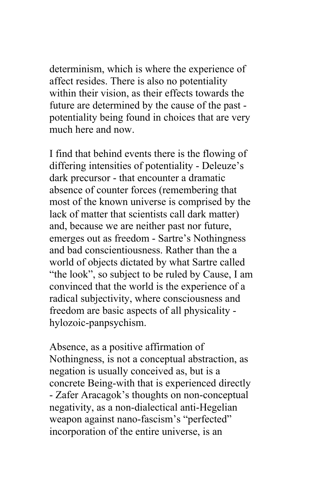determinism, which is where the experience of affect resides. There is also no potentiality within their vision, as their effects towards the future are determined by the cause of the past potentiality being found in choices that are very much here and now.

I find that behind events there is the flowing of differing intensities of potentiality - Deleuze's dark precursor - that encounter a dramatic absence of counter forces (remembering that most of the known universe is comprised by the lack of matter that scientists call dark matter) and, because we are neither past nor future, emerges out as freedom - Sartre's Nothingness and bad conscientiousness. Rather than the a world of objects dictated by what Sartre called "the look", so subject to be ruled by Cause, I am convinced that the world is the experience of a radical subjectivity, where consciousness and freedom are basic aspects of all physicality hylozoic-panpsychism.

Absence, as a positive affirmation of Nothingness, is not a conceptual abstraction, as negation is usually conceived as, but is a concrete Being-with that is experienced directly - Zafer Aracagok's thoughts on non-conceptual negativity, as a non-dialectical anti-Hegelian weapon against nano-fascism's "perfected" incorporation of the entire universe, is an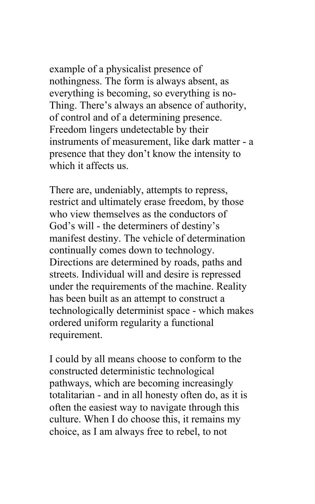example of a physicalist presence of nothingness. The form is always absent, as everything is becoming, so everything is no-Thing. There's always an absence of authority, of control and of a determining presence. Freedom lingers undetectable by their instruments of measurement, like dark matter - a presence that they don't know the intensity to which it affects us.

There are, undeniably, attempts to repress, restrict and ultimately erase freedom, by those who view themselves as the conductors of God's will - the determiners of destiny's manifest destiny. The vehicle of determination continually comes down to technology. Directions are determined by roads, paths and streets. Individual will and desire is repressed under the requirements of the machine. Reality has been built as an attempt to construct a technologically determinist space - which makes ordered uniform regularity a functional requirement.

I could by all means choose to conform to the constructed deterministic technological pathways, which are becoming increasingly totalitarian - and in all honesty often do, as it is often the easiest way to navigate through this culture. When I do choose this, it remains my choice, as I am always free to rebel, to not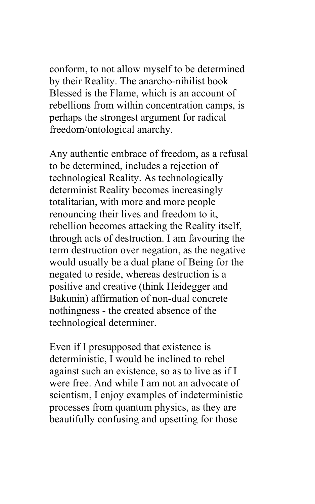conform, to not allow myself to be determined by their Reality. The anarcho-nihilist book Blessed is the Flame, which is an account of rebellions from within concentration camps, is perhaps the strongest argument for radical freedom/ontological anarchy.

Any authentic embrace of freedom, as a refusal to be determined, includes a rejection of technological Reality. As technologically determinist Reality becomes increasingly totalitarian, with more and more people renouncing their lives and freedom to it, rebellion becomes attacking the Reality itself, through acts of destruction. I am favouring the term destruction over negation, as the negative would usually be a dual plane of Being for the negated to reside, whereas destruction is a positive and creative (think Heidegger and Bakunin) affirmation of non-dual concrete nothingness - the created absence of the technological determiner.

Even if I presupposed that existence is deterministic, I would be inclined to rebel against such an existence, so as to live as if I were free. And while I am not an advocate of scientism, I enjoy examples of indeterministic processes from quantum physics, as they are beautifully confusing and upsetting for those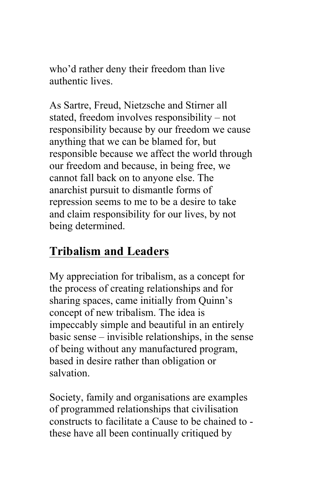who'd rather deny their freedom than live authentic lives.

As Sartre, Freud, Nietzsche and Stirner all stated, freedom involves responsibility – not responsibility because by our freedom we cause anything that we can be blamed for, but responsible because we affect the world through our freedom and because, in being free, we cannot fall back on to anyone else. The anarchist pursuit to dismantle forms of repression seems to me to be a desire to take and claim responsibility for our lives, by not being determined.

## **Tribalism and Leaders**

My appreciation for tribalism, as a concept for the process of creating relationships and for sharing spaces, came initially from Quinn's concept of new tribalism. The idea is impeccably simple and beautiful in an entirely basic sense – invisible relationships, in the sense of being without any manufactured program, based in desire rather than obligation or salvation.

Society, family and organisations are examples of programmed relationships that civilisation constructs to facilitate a Cause to be chained to these have all been continually critiqued by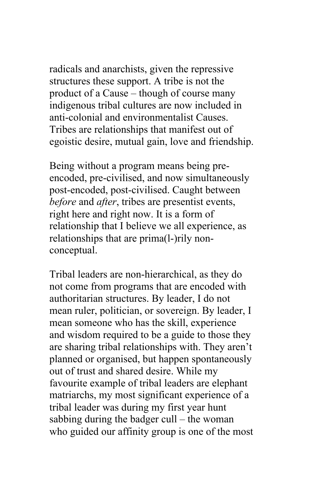radicals and anarchists, given the repressive structures these support. A tribe is not the product of a Cause – though of course many indigenous tribal cultures are now included in anti-colonial and environmentalist Causes. Tribes are relationships that manifest out of egoistic desire, mutual gain, love and friendship.

Being without a program means being preencoded, pre-civilised, and now simultaneously post-encoded, post-civilised. Caught between *before* and *after*, tribes are presentist events, right here and right now. It is a form of relationship that I believe we all experience, as relationships that are prima(l-)rily nonconceptual.

Tribal leaders are non-hierarchical, as they do not come from programs that are encoded with authoritarian structures. By leader, I do not mean ruler, politician, or sovereign. By leader, I mean someone who has the skill, experience and wisdom required to be a guide to those they are sharing tribal relationships with. They aren't planned or organised, but happen spontaneously out of trust and shared desire. While my favourite example of tribal leaders are elephant matriarchs, my most significant experience of a tribal leader was during my first year hunt sabbing during the badger cull – the woman who guided our affinity group is one of the most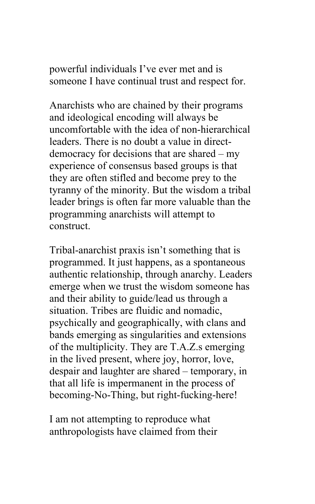powerful individuals I've ever met and is someone I have continual trust and respect for.

Anarchists who are chained by their programs and ideological encoding will always be uncomfortable with the idea of non-hierarchical leaders. There is no doubt a value in directdemocracy for decisions that are shared – my experience of consensus based groups is that they are often stifled and become prey to the tyranny of the minority. But the wisdom a tribal leader brings is often far more valuable than the programming anarchists will attempt to construct.

Tribal-anarchist praxis isn't something that is programmed. It just happens, as a spontaneous authentic relationship, through anarchy. Leaders emerge when we trust the wisdom someone has and their ability to guide/lead us through a situation. Tribes are fluidic and nomadic, psychically and geographically, with clans and bands emerging as singularities and extensions of the multiplicity. They are T.A.Z.s emerging in the lived present, where joy, horror, love, despair and laughter are shared – temporary, in that all life is impermanent in the process of becoming-No-Thing, but right-fucking-here!

I am not attempting to reproduce what anthropologists have claimed from their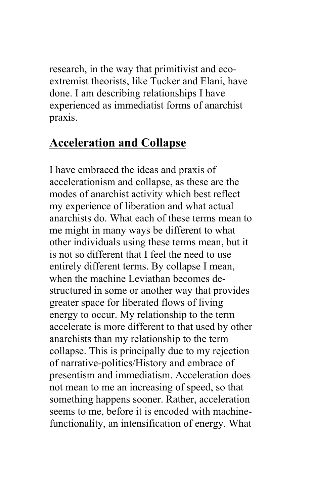research, in the way that primitivist and ecoextremist theorists, like Tucker and Elani, have done. I am describing relationships I have experienced as immediatist forms of anarchist praxis.

#### **Acceleration and Collapse**

I have embraced the ideas and praxis of accelerationism and collapse, as these are the modes of anarchist activity which best reflect my experience of liberation and what actual anarchists do. What each of these terms mean to me might in many ways be different to what other individuals using these terms mean, but it is not so different that I feel the need to use entirely different terms. By collapse I mean, when the machine Leviathan becomes destructured in some or another way that provides greater space for liberated flows of living energy to occur. My relationship to the term accelerate is more different to that used by other anarchists than my relationship to the term collapse. This is principally due to my rejection of narrative-politics/History and embrace of presentism and immediatism. Acceleration does not mean to me an increasing of speed, so that something happens sooner. Rather, acceleration seems to me, before it is encoded with machinefunctionality, an intensification of energy. What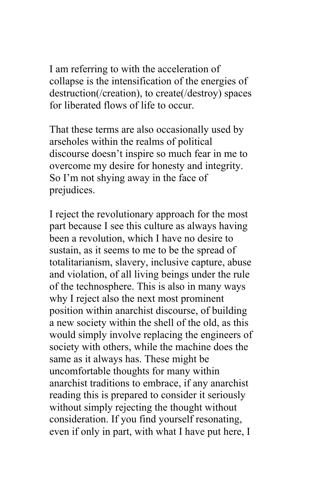I am referring to with the acceleration of collapse is the intensification of the energies of destruction(/creation), to create(/destroy) spaces for liberated flows of life to occur.

That these terms are also occasionally used by arseholes within the realms of political discourse doesn't inspire so much fear in me to overcome my desire for honesty and integrity. So I'm not shying away in the face of prejudices.

I reject the revolutionary approach for the most part because I see this culture as always having been a revolution, which I have no desire to sustain, as it seems to me to be the spread of totalitarianism, slavery, inclusive capture, abuse and violation, of all living beings under the rule of the technosphere. This is also in many ways why I reject also the next most prominent position within anarchist discourse, of building a new society within the shell of the old, as this would simply involve replacing the engineers of society with others, while the machine does the same as it always has. These might be uncomfortable thoughts for many within anarchist traditions to embrace, if any anarchist reading this is prepared to consider it seriously without simply rejecting the thought without consideration. If you find yourself resonating, even if only in part, with what I have put here, I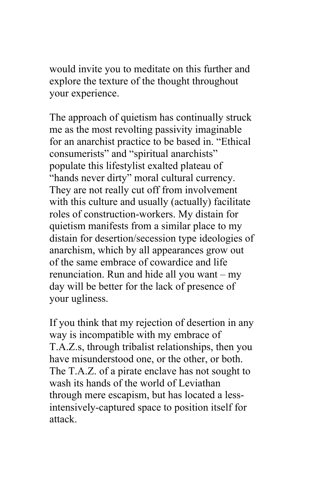would invite you to meditate on this further and explore the texture of the thought throughout your experience.

The approach of quietism has continually struck me as the most revolting passivity imaginable for an anarchist practice to be based in. "Ethical consumerists" and "spiritual anarchists" populate this lifestylist exalted plateau of "hands never dirty" moral cultural currency. They are not really cut off from involvement with this culture and usually (actually) facilitate roles of construction-workers. My distain for quietism manifests from a similar place to my distain for desertion/secession type ideologies of anarchism, which by all appearances grow out of the same embrace of cowardice and life renunciation. Run and hide all you want – my day will be better for the lack of presence of your ugliness.

If you think that my rejection of desertion in any way is incompatible with my embrace of T.A.Z.s, through tribalist relationships, then you have misunderstood one, or the other, or both. The T.A.Z. of a pirate enclave has not sought to wash its hands of the world of Leviathan through mere escapism, but has located a lessintensively-captured space to position itself for attack.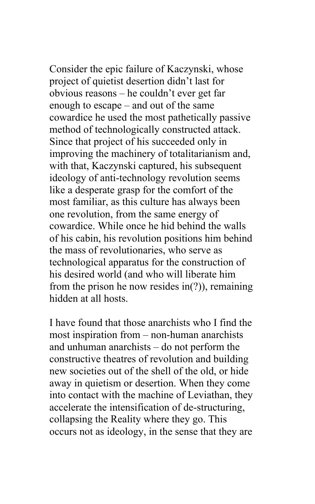Consider the epic failure of Kaczynski, whose project of quietist desertion didn't last for obvious reasons – he couldn't ever get far enough to escape – and out of the same cowardice he used the most pathetically passive method of technologically constructed attack. Since that project of his succeeded only in improving the machinery of totalitarianism and, with that, Kaczynski captured, his subsequent ideology of anti-technology revolution seems like a desperate grasp for the comfort of the most familiar, as this culture has always been one revolution, from the same energy of cowardice. While once he hid behind the walls of his cabin, his revolution positions him behind the mass of revolutionaries, who serve as technological apparatus for the construction of his desired world (and who will liberate him from the prison he now resides in(?)), remaining hidden at all hosts.

I have found that those anarchists who I find the most inspiration from – non-human anarchists and unhuman anarchists – do not perform the constructive theatres of revolution and building new societies out of the shell of the old, or hide away in quietism or desertion. When they come into contact with the machine of Leviathan, they accelerate the intensification of de-structuring, collapsing the Reality where they go. This occurs not as ideology, in the sense that they are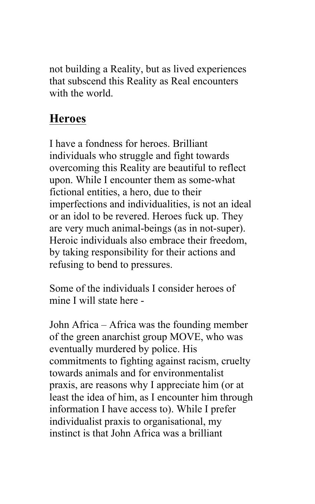not building a Reality, but as lived experiences that subscend this Reality as Real encounters with the world.

## **Heroes**

I have a fondness for heroes. Brilliant individuals who struggle and fight towards overcoming this Reality are beautiful to reflect upon. While I encounter them as some-what fictional entities, a hero, due to their imperfections and individualities, is not an ideal or an idol to be revered. Heroes fuck up. They are very much animal-beings (as in not-super). Heroic individuals also embrace their freedom, by taking responsibility for their actions and refusing to bend to pressures.

Some of the individuals I consider heroes of mine I will state here -

John Africa – Africa was the founding member of the green anarchist group MOVE, who was eventually murdered by police. His commitments to fighting against racism, cruelty towards animals and for environmentalist praxis, are reasons why I appreciate him (or at least the idea of him, as I encounter him through information I have access to). While I prefer individualist praxis to organisational, my instinct is that John Africa was a brilliant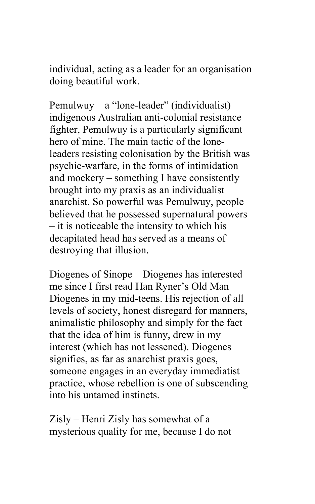individual, acting as a leader for an organisation doing beautiful work.

Pemulwuy – a "lone-leader" (individualist) indigenous Australian anti-colonial resistance fighter, Pemulwuy is a particularly significant hero of mine. The main tactic of the loneleaders resisting colonisation by the British was psychic-warfare, in the forms of intimidation and mockery – something I have consistently brought into my praxis as an individualist anarchist. So powerful was Pemulwuy, people believed that he possessed supernatural powers – it is noticeable the intensity to which his decapitated head has served as a means of destroying that illusion.

Diogenes of Sinope – Diogenes has interested me since I first read Han Ryner's Old Man Diogenes in my mid-teens. His rejection of all levels of society, honest disregard for manners, animalistic philosophy and simply for the fact that the idea of him is funny, drew in my interest (which has not lessened). Diogenes signifies, as far as anarchist praxis goes, someone engages in an everyday immediatist practice, whose rebellion is one of subscending into his untamed instincts.

Zisly – Henri Zisly has somewhat of a mysterious quality for me, because I do not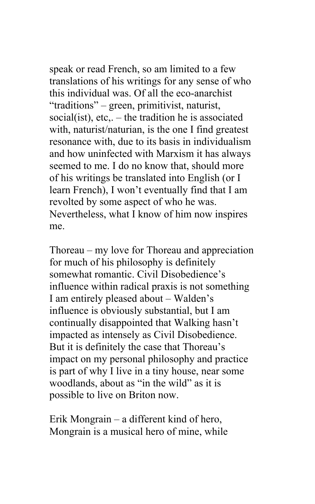speak or read French, so am limited to a few translations of his writings for any sense of who this individual was. Of all the eco-anarchist "traditions" – green, primitivist, naturist, social(ist), etc.. – the tradition he is associated with, naturist/naturian, is the one I find greatest resonance with, due to its basis in individualism and how uninfected with Marxism it has always seemed to me. I do no know that, should more of his writings be translated into English (or I learn French), I won't eventually find that I am revolted by some aspect of who he was. Nevertheless, what I know of him now inspires me.

Thoreau – my love for Thoreau and appreciation for much of his philosophy is definitely somewhat romantic. Civil Disobedience's influence within radical praxis is not something I am entirely pleased about – Walden's influence is obviously substantial, but I am continually disappointed that Walking hasn't impacted as intensely as Civil Disobedience. But it is definitely the case that Thoreau's impact on my personal philosophy and practice is part of why I live in a tiny house, near some woodlands, about as "in the wild" as it is possible to live on Briton now.

Erik Mongrain – a different kind of hero, Mongrain is a musical hero of mine, while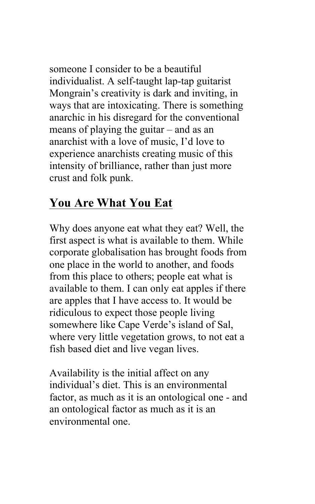someone I consider to be a beautiful individualist. A self-taught lap-tap guitarist Mongrain's creativity is dark and inviting, in ways that are intoxicating. There is something anarchic in his disregard for the conventional means of playing the guitar – and as an anarchist with a love of music, I'd love to experience anarchists creating music of this intensity of brilliance, rather than just more crust and folk punk.

## **You Are What You Eat**

Why does anyone eat what they eat? Well, the first aspect is what is available to them. While corporate globalisation has brought foods from one place in the world to another, and foods from this place to others; people eat what is available to them. I can only eat apples if there are apples that I have access to. It would be ridiculous to expect those people living somewhere like Cape Verde's island of Sal, where very little vegetation grows, to not eat a fish based diet and live vegan lives.

Availability is the initial affect on any individual's diet. This is an environmental factor, as much as it is an ontological one - and an ontological factor as much as it is an environmental one.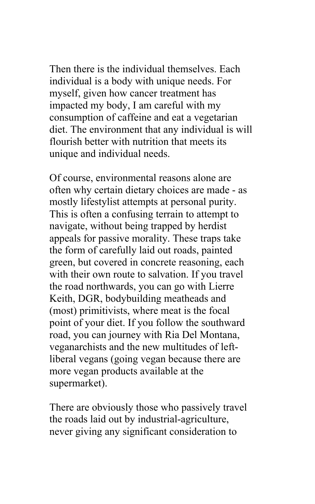Then there is the individual themselves. Each individual is a body with unique needs. For myself, given how cancer treatment has impacted my body, I am careful with my consumption of caffeine and eat a vegetarian diet. The environment that any individual is will flourish better with nutrition that meets its unique and individual needs.

Of course, environmental reasons alone are often why certain dietary choices are made - as mostly lifestylist attempts at personal purity. This is often a confusing terrain to attempt to navigate, without being trapped by herdist appeals for passive morality. These traps take the form of carefully laid out roads, painted green, but covered in concrete reasoning, each with their own route to salvation. If you travel the road northwards, you can go with Lierre Keith, DGR, bodybuilding meatheads and (most) primitivists, where meat is the focal point of your diet. If you follow the southward road, you can journey with Ria Del Montana, veganarchists and the new multitudes of leftliberal vegans (going vegan because there are more vegan products available at the supermarket).

There are obviously those who passively travel the roads laid out by industrial-agriculture, never giving any significant consideration to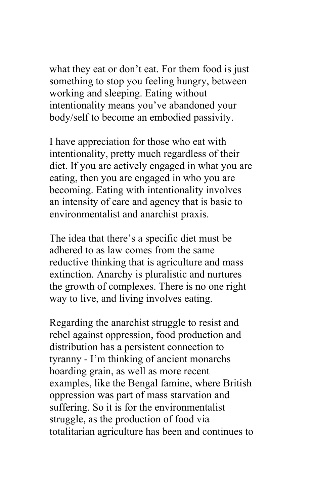what they eat or don't eat. For them food is just something to stop you feeling hungry, between working and sleeping. Eating without intentionality means you've abandoned your body/self to become an embodied passivity.

I have appreciation for those who eat with intentionality, pretty much regardless of their diet. If you are actively engaged in what you are eating, then you are engaged in who you are becoming. Eating with intentionality involves an intensity of care and agency that is basic to environmentalist and anarchist praxis.

The idea that there's a specific diet must be adhered to as law comes from the same reductive thinking that is agriculture and mass extinction. Anarchy is pluralistic and nurtures the growth of complexes. There is no one right way to live, and living involves eating.

Regarding the anarchist struggle to resist and rebel against oppression, food production and distribution has a persistent connection to tyranny - I'm thinking of ancient monarchs hoarding grain, as well as more recent examples, like the Bengal famine, where British oppression was part of mass starvation and suffering. So it is for the environmentalist struggle, as the production of food via totalitarian agriculture has been and continues to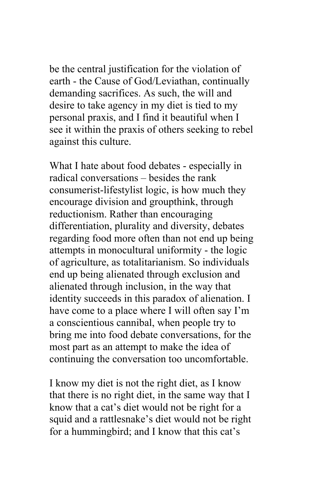be the central justification for the violation of earth - the Cause of God/Leviathan, continually demanding sacrifices. As such, the will and desire to take agency in my diet is tied to my personal praxis, and I find it beautiful when I see it within the praxis of others seeking to rebel against this culture.

What I hate about food debates - especially in radical conversations – besides the rank consumerist-lifestylist logic, is how much they encourage division and groupthink, through reductionism. Rather than encouraging differentiation, plurality and diversity, debates regarding food more often than not end up being attempts in monocultural uniformity - the logic of agriculture, as totalitarianism. So individuals end up being alienated through exclusion and alienated through inclusion, in the way that identity succeeds in this paradox of alienation. I have come to a place where I will often say I'm a conscientious cannibal, when people try to bring me into food debate conversations, for the most part as an attempt to make the idea of continuing the conversation too uncomfortable.

I know my diet is not the right diet, as I know that there is no right diet, in the same way that I know that a cat's diet would not be right for a squid and a rattlesnake's diet would not be right for a hummingbird; and I know that this cat's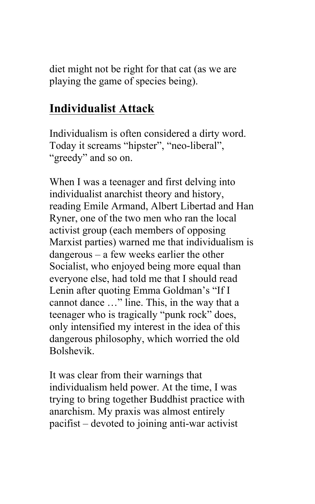diet might not be right for that cat (as we are playing the game of species being).

# **Individualist Attack**

Individualism is often considered a dirty word. Today it screams "hipster", "neo-liberal", "greedy" and so on.

When I was a teenager and first delving into individualist anarchist theory and history, reading Emile Armand, Albert Libertad and Han Ryner, one of the two men who ran the local activist group (each members of opposing Marxist parties) warned me that individualism is dangerous – a few weeks earlier the other Socialist, who enjoyed being more equal than everyone else, had told me that I should read Lenin after quoting Emma Goldman's "If I cannot dance …" line. This, in the way that a teenager who is tragically "punk rock" does, only intensified my interest in the idea of this dangerous philosophy, which worried the old Bolshevik.

It was clear from their warnings that individualism held power. At the time, I was trying to bring together Buddhist practice with anarchism. My praxis was almost entirely pacifist – devoted to joining anti-war activist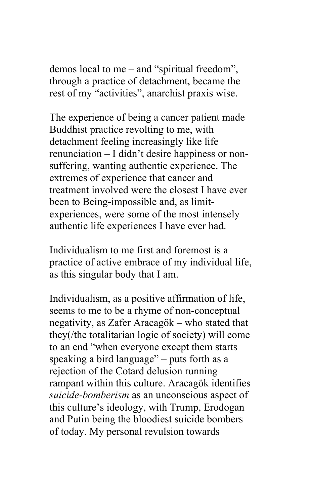demos local to me – and "spiritual freedom", through a practice of detachment, became the rest of my "activities", anarchist praxis wise.

The experience of being a cancer patient made Buddhist practice revolting to me, with detachment feeling increasingly like life renunciation – I didn't desire happiness or nonsuffering, wanting authentic experience. The extremes of experience that cancer and treatment involved were the closest I have ever been to Being-impossible and, as limitexperiences, were some of the most intensely authentic life experiences I have ever had.

Individualism to me first and foremost is a practice of active embrace of my individual life, as this singular body that I am.

Individualism, as a positive affirmation of life, seems to me to be a rhyme of non-conceptual negativity, as Zafer Aracagök – who stated that they(/the totalitarian logic of society) will come to an end "when everyone except them starts speaking a bird language" – puts forth as a rejection of the Cotard delusion running rampant within this culture. Aracagök identifies *suicide-bomberism* as an unconscious aspect of this culture's ideology, with Trump, Erodogan and Putin being the bloodiest suicide bombers of today. My personal revulsion towards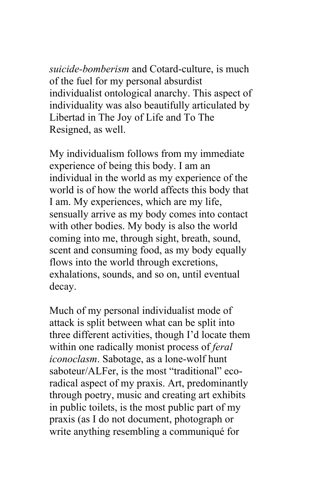*suicide-bomberism* and Cotard-culture, is much of the fuel for my personal absurdist individualist ontological anarchy. This aspect of individuality was also beautifully articulated by Libertad in The Joy of Life and To The Resigned, as well.

My individualism follows from my immediate experience of being this body. I am an individual in the world as my experience of the world is of how the world affects this body that I am. My experiences, which are my life, sensually arrive as my body comes into contact with other bodies. My body is also the world coming into me, through sight, breath, sound, scent and consuming food, as my body equally flows into the world through excretions, exhalations, sounds, and so on, until eventual decay.

Much of my personal individualist mode of attack is split between what can be split into three different activities, though I'd locate them within one radically monist process of *feral iconoclasm*. Sabotage, as a lone-wolf hunt saboteur/ALFer, is the most "traditional" ecoradical aspect of my praxis. Art, predominantly through poetry, music and creating art exhibits in public toilets, is the most public part of my praxis (as I do not document, photograph or write anything resembling a communiqué for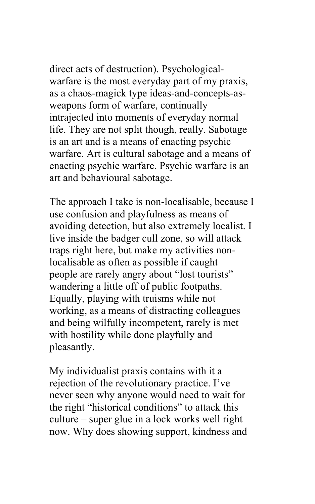direct acts of destruction). Psychologicalwarfare is the most everyday part of my praxis, as a chaos-magick type ideas-and-concepts-asweapons form of warfare, continually intrajected into moments of everyday normal life. They are not split though, really. Sabotage is an art and is a means of enacting psychic warfare. Art is cultural sabotage and a means of enacting psychic warfare. Psychic warfare is an art and behavioural sabotage.

The approach I take is non-localisable, because I use confusion and playfulness as means of avoiding detection, but also extremely localist. I live inside the badger cull zone, so will attack traps right here, but make my activities nonlocalisable as often as possible if caught – people are rarely angry about "lost tourists" wandering a little off of public footpaths. Equally, playing with truisms while not working, as a means of distracting colleagues and being wilfully incompetent, rarely is met with hostility while done playfully and pleasantly.

My individualist praxis contains with it a rejection of the revolutionary practice. I've never seen why anyone would need to wait for the right "historical conditions" to attack this culture – super glue in a lock works well right now. Why does showing support, kindness and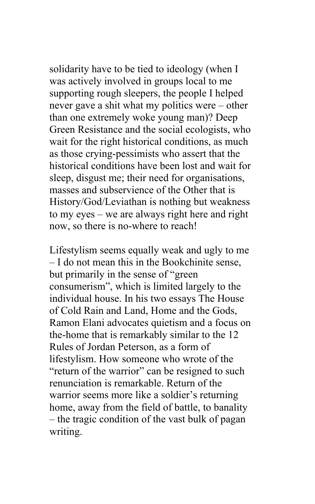solidarity have to be tied to ideology (when I was actively involved in groups local to me supporting rough sleepers, the people I helped never gave a shit what my politics were – other than one extremely woke young man)? Deep Green Resistance and the social ecologists, who wait for the right historical conditions, as much as those crying-pessimists who assert that the historical conditions have been lost and wait for sleep, disgust me; their need for organisations, masses and subservience of the Other that is History/God/Leviathan is nothing but weakness to my eyes – we are always right here and right now, so there is no-where to reach!

Lifestylism seems equally weak and ugly to me – I do not mean this in the Bookchinite sense, but primarily in the sense of "green consumerism", which is limited largely to the individual house. In his two essays The House of Cold Rain and Land, Home and the Gods, Ramon Elani advocates quietism and a focus on the-home that is remarkably similar to the 12 Rules of Jordan Peterson, as a form of lifestylism. How someone who wrote of the "return of the warrior" can be resigned to such renunciation is remarkable. Return of the warrior seems more like a soldier's returning home, away from the field of battle, to banality – the tragic condition of the vast bulk of pagan writing.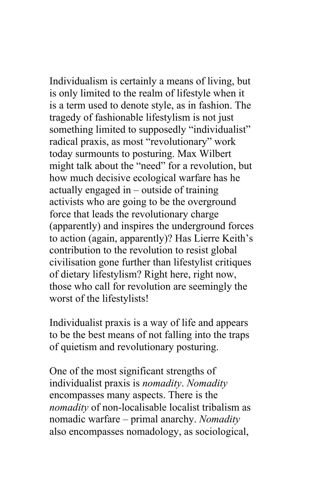Individualism is certainly a means of living, but is only limited to the realm of lifestyle when it is a term used to denote style, as in fashion. The tragedy of fashionable lifestylism is not just something limited to supposedly "individualist" radical praxis, as most "revolutionary" work today surmounts to posturing. Max Wilbert might talk about the "need" for a revolution, but how much decisive ecological warfare has he actually engaged in – outside of training activists who are going to be the overground force that leads the revolutionary charge (apparently) and inspires the underground forces to action (again, apparently)? Has Lierre Keith's contribution to the revolution to resist global civilisation gone further than lifestylist critiques of dietary lifestylism? Right here, right now, those who call for revolution are seemingly the worst of the lifestylists!

Individualist praxis is a way of life and appears to be the best means of not falling into the traps of quietism and revolutionary posturing.

One of the most significant strengths of individualist praxis is *nomadity*. *Nomadity* encompasses many aspects. There is the *nomadity* of non-localisable localist tribalism as nomadic warfare – primal anarchy. *Nomadity* also encompasses nomadology, as sociological,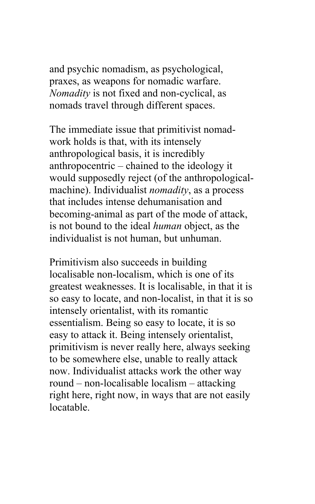and psychic nomadism, as psychological, praxes, as weapons for nomadic warfare. *Nomadity* is not fixed and non-cyclical, as nomads travel through different spaces.

The immediate issue that primitivist nomadwork holds is that, with its intensely anthropological basis, it is incredibly anthropocentric – chained to the ideology it would supposedly reject (of the anthropologicalmachine). Individualist *nomadity*, as a process that includes intense dehumanisation and becoming-animal as part of the mode of attack, is not bound to the ideal *human* object, as the individualist is not human, but unhuman.

Primitivism also succeeds in building localisable non-localism, which is one of its greatest weaknesses. It is localisable, in that it is so easy to locate, and non-localist, in that it is so intensely orientalist, with its romantic essentialism. Being so easy to locate, it is so easy to attack it. Being intensely orientalist, primitivism is never really here, always seeking to be somewhere else, unable to really attack now. Individualist attacks work the other way round – non-localisable localism – attacking right here, right now, in ways that are not easily locatable.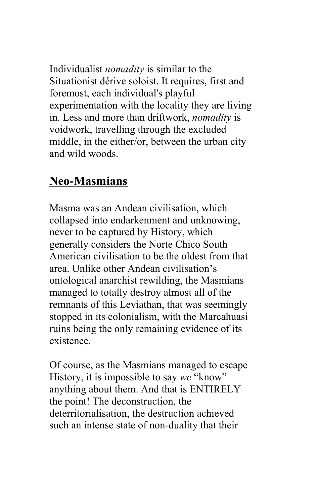Individualist *nomadity* is similar to the Situationist dérive soloist. It requires, first and foremost, each individual's playful experimentation with the locality they are living in. Less and more than driftwork, *nomadity* is voidwork, travelling through the excluded middle, in the either/or, between the urban city and wild woods.

#### **Neo-Masmians**

Masma was an Andean civilisation, which collapsed into endarkenment and unknowing, never to be captured by History, which generally considers the Norte Chico South American civilisation to be the oldest from that area. Unlike other Andean civilisation's ontological anarchist rewilding, the Masmians managed to totally destroy almost all of the remnants of this Leviathan, that was seemingly stopped in its colonialism, with the Marcahuasi ruins being the only remaining evidence of its existence.

Of course, as the Masmians managed to escape History, it is impossible to say *we* "know" anything about them. And that is ENTIRELY the point! The deconstruction, the deterritorialisation, the destruction achieved such an intense state of non-duality that their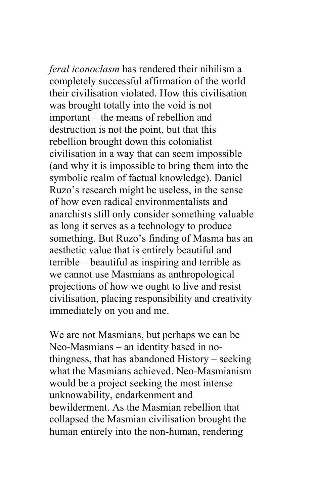*feral iconoclasm* has rendered their nihilism a completely successful affirmation of the world their civilisation violated. How this civilisation was brought totally into the void is not important – the means of rebellion and destruction is not the point, but that this rebellion brought down this colonialist civilisation in a way that can seem impossible (and why it is impossible to bring them into the symbolic realm of factual knowledge). Daniel Ruzo's research might be useless, in the sense of how even radical environmentalists and anarchists still only consider something valuable as long it serves as a technology to produce something. But Ruzo's finding of Masma has an aesthetic value that is entirely beautiful and terrible – beautiful as inspiring and terrible as we cannot use Masmians as anthropological projections of how we ought to live and resist civilisation, placing responsibility and creativity immediately on you and me.

We are not Masmians, but perhaps we can be Neo-Masmians – an identity based in nothingness, that has abandoned History – seeking what the Masmians achieved. Neo-Masmianism would be a project seeking the most intense unknowability, endarkenment and bewilderment. As the Masmian rebellion that collapsed the Masmian civilisation brought the human entirely into the non-human, rendering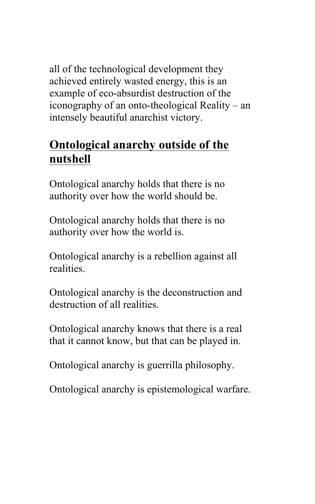all of the technological development they achieved entirely wasted energy, this is an example of eco-absurdist destruction of the iconography of an onto-theological Reality – an intensely beautiful anarchist victory.

### **Ontological anarchy outside of the nutshell**

Ontological anarchy holds that there is no authority over how the world should be.

Ontological anarchy holds that there is no authority over how the world is.

Ontological anarchy is a rebellion against all realities.

Ontological anarchy is the deconstruction and destruction of all realities.

Ontological anarchy knows that there is a real that it cannot know, but that can be played in.

Ontological anarchy is guerrilla philosophy.

Ontological anarchy is epistemological warfare.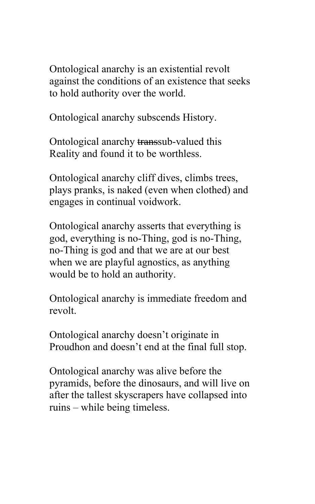Ontological anarchy is an existential revolt against the conditions of an existence that seeks to hold authority over the world.

Ontological anarchy subscends History.

Ontological anarchy transsub-valued this Reality and found it to be worthless.

Ontological anarchy cliff dives, climbs trees, plays pranks, is naked (even when clothed) and engages in continual voidwork.

Ontological anarchy asserts that everything is god, everything is no-Thing, god is no-Thing, no-Thing is god and that we are at our best when we are playful agnostics, as anything would be to hold an authority.

Ontological anarchy is immediate freedom and revolt.

Ontological anarchy doesn't originate in Proudhon and doesn't end at the final full stop.

Ontological anarchy was alive before the pyramids, before the dinosaurs, and will live on after the tallest skyscrapers have collapsed into ruins – while being timeless.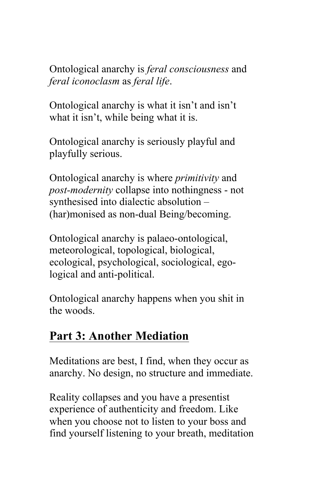Ontological anarchy is *feral consciousness* and *feral iconoclasm* as *feral life*.

Ontological anarchy is what it isn't and isn't what it isn't, while being what it is.

Ontological anarchy is seriously playful and playfully serious.

Ontological anarchy is where *primitivity* and *post-modernity* collapse into nothingness - not synthesised into dialectic absolution – (har)monised as non-dual Being/becoming.

Ontological anarchy is palaeo-ontological, meteorological, topological, biological, ecological, psychological, sociological, egological and anti-political.

Ontological anarchy happens when you shit in the woods.

#### **Part 3: Another Mediation**

Meditations are best, I find, when they occur as anarchy. No design, no structure and immediate.

Reality collapses and you have a presentist experience of authenticity and freedom. Like when you choose not to listen to your boss and find yourself listening to your breath, meditation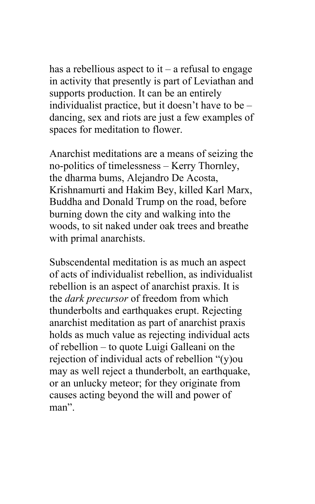has a rebellious aspect to  $it - a$  refusal to engage in activity that presently is part of Leviathan and supports production. It can be an entirely individualist practice, but it doesn't have to be – dancing, sex and riots are just a few examples of spaces for meditation to flower.

Anarchist meditations are a means of seizing the no-politics of timelessness – Kerry Thornley, the dharma bums, Alejandro De Acosta, Krishnamurti and Hakim Bey, killed Karl Marx, Buddha and Donald Trump on the road, before burning down the city and walking into the woods, to sit naked under oak trees and breathe with primal anarchists.

Subscendental meditation is as much an aspect of acts of individualist rebellion, as individualist rebellion is an aspect of anarchist praxis. It is the *dark precursor* of freedom from which thunderbolts and earthquakes erupt. Rejecting anarchist meditation as part of anarchist praxis holds as much value as rejecting individual acts of rebellion – to quote Luigi Galleani on the rejection of individual acts of rebellion "(y)ou may as well reject a thunderbolt, an earthquake, or an unlucky meteor; for they originate from causes acting beyond the will and power of man".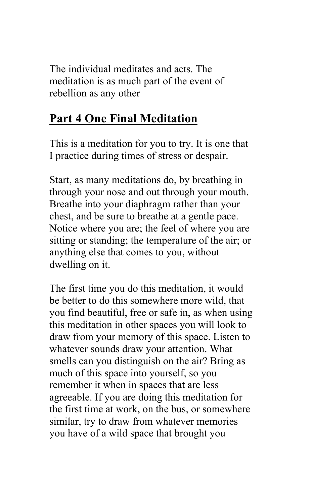The individual meditates and acts. The meditation is as much part of the event of rebellion as any other

## **Part 4 One Final Meditation**

This is a meditation for you to try. It is one that I practice during times of stress or despair.

Start, as many meditations do, by breathing in through your nose and out through your mouth. Breathe into your diaphragm rather than your chest, and be sure to breathe at a gentle pace. Notice where you are; the feel of where you are sitting or standing; the temperature of the air; or anything else that comes to you, without dwelling on it.

The first time you do this meditation, it would be better to do this somewhere more wild, that you find beautiful, free or safe in, as when using this meditation in other spaces you will look to draw from your memory of this space. Listen to whatever sounds draw your attention. What smells can you distinguish on the air? Bring as much of this space into yourself, so you remember it when in spaces that are less agreeable. If you are doing this meditation for the first time at work, on the bus, or somewhere similar, try to draw from whatever memories you have of a wild space that brought you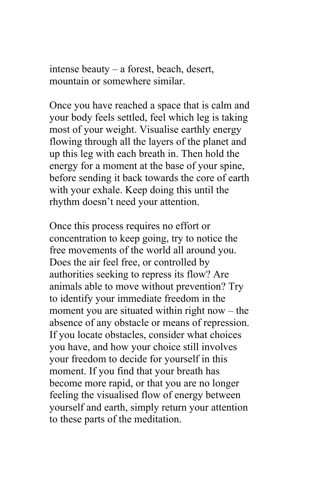intense beauty – a forest, beach, desert, mountain or somewhere similar.

Once you have reached a space that is calm and your body feels settled, feel which leg is taking most of your weight. Visualise earthly energy flowing through all the layers of the planet and up this leg with each breath in. Then hold the energy for a moment at the base of your spine, before sending it back towards the core of earth with your exhale. Keep doing this until the rhythm doesn't need your attention.

Once this process requires no effort or concentration to keep going, try to notice the free movements of the world all around you. Does the air feel free, or controlled by authorities seeking to repress its flow? Are animals able to move without prevention? Try to identify your immediate freedom in the moment you are situated within right now – the absence of any obstacle or means of repression. If you locate obstacles, consider what choices you have, and how your choice still involves your freedom to decide for yourself in this moment. If you find that your breath has become more rapid, or that you are no longer feeling the visualised flow of energy between yourself and earth, simply return your attention to these parts of the meditation.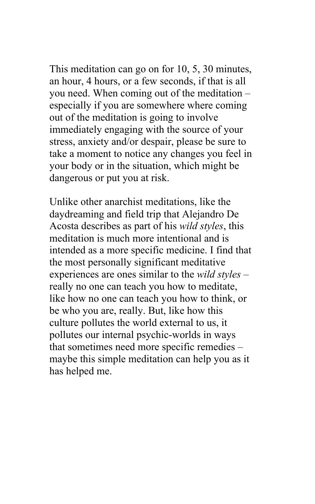This meditation can go on for 10, 5, 30 minutes, an hour, 4 hours, or a few seconds, if that is all you need. When coming out of the meditation – especially if you are somewhere where coming out of the meditation is going to involve immediately engaging with the source of your stress, anxiety and/or despair, please be sure to take a moment to notice any changes you feel in your body or in the situation, which might be dangerous or put you at risk.

Unlike other anarchist meditations, like the daydreaming and field trip that Alejandro De Acosta describes as part of his *wild styles*, this meditation is much more intentional and is intended as a more specific medicine. I find that the most personally significant meditative experiences are ones similar to the *wild styles* – really no one can teach you how to meditate, like how no one can teach you how to think, or be who you are, really. But, like how this culture pollutes the world external to us, it pollutes our internal psychic-worlds in ways that sometimes need more specific remedies – maybe this simple meditation can help you as it has helped me.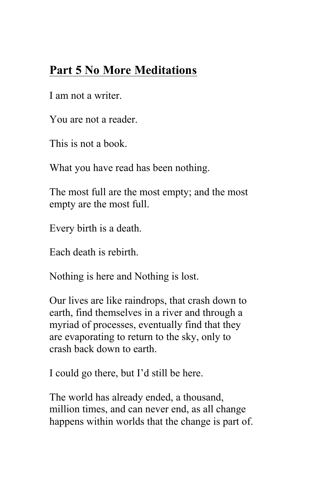## **Part 5 No More Meditations**

I am not a writer.

You are not a reader.

This is not a book.

What you have read has been nothing.

The most full are the most empty; and the most empty are the most full.

Every birth is a death.

Each death is rebirth.

Nothing is here and Nothing is lost.

Our lives are like raindrops, that crash down to earth, find themselves in a river and through a myriad of processes, eventually find that they are evaporating to return to the sky, only to crash back down to earth.

I could go there, but I'd still be here.

The world has already ended, a thousand, million times, and can never end, as all change happens within worlds that the change is part of.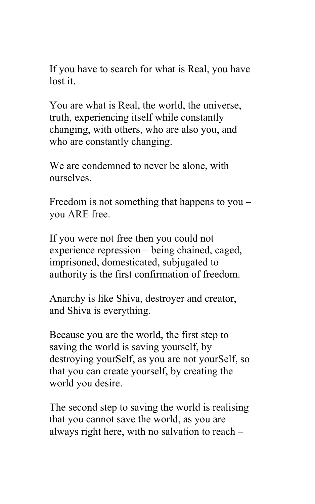If you have to search for what is Real, you have lost it.

You are what is Real, the world, the universe, truth, experiencing itself while constantly changing, with others, who are also you, and who are constantly changing.

We are condemned to never be alone, with ourselves.

Freedom is not something that happens to you – you ARE free.

If you were not free then you could not experience repression – being chained, caged, imprisoned, domesticated, subjugated to authority is the first confirmation of freedom.

Anarchy is like Shiva, destroyer and creator, and Shiva is everything.

Because you are the world, the first step to saving the world is saving yourself, by destroying yourSelf, as you are not yourSelf, so that you can create yourself, by creating the world you desire.

The second step to saving the world is realising that you cannot save the world, as you are always right here, with no salvation to reach –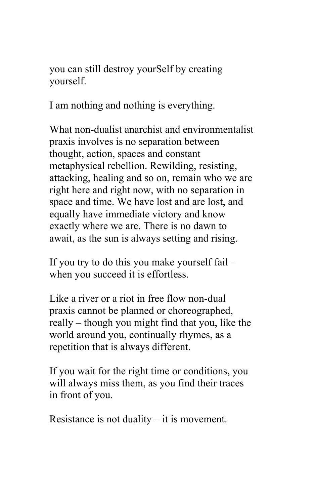you can still destroy yourSelf by creating yourself.

I am nothing and nothing is everything.

What non-dualist anarchist and environmentalist praxis involves is no separation between thought, action, spaces and constant metaphysical rebellion. Rewilding, resisting, attacking, healing and so on, remain who we are right here and right now, with no separation in space and time. We have lost and are lost, and equally have immediate victory and know exactly where we are. There is no dawn to await, as the sun is always setting and rising.

If you try to do this you make yourself fail – when you succeed it is effortless.

Like a river or a riot in free flow non-dual praxis cannot be planned or choreographed, really – though you might find that you, like the world around you, continually rhymes, as a repetition that is always different.

If you wait for the right time or conditions, you will always miss them, as you find their traces in front of you.

Resistance is not duality – it is movement.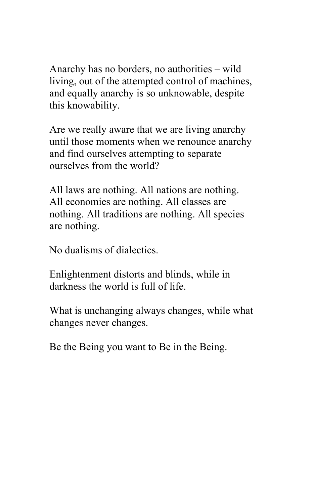Anarchy has no borders, no authorities – wild living, out of the attempted control of machines, and equally anarchy is so unknowable, despite this knowability.

Are we really aware that we are living anarchy until those moments when we renounce anarchy and find ourselves attempting to separate ourselves from the world?

All laws are nothing. All nations are nothing. All economies are nothing. All classes are nothing. All traditions are nothing. All species are nothing.

No dualisms of dialectics.

Enlightenment distorts and blinds, while in darkness the world is full of life.

What is unchanging always changes, while what changes never changes.

Be the Being you want to Be in the Being.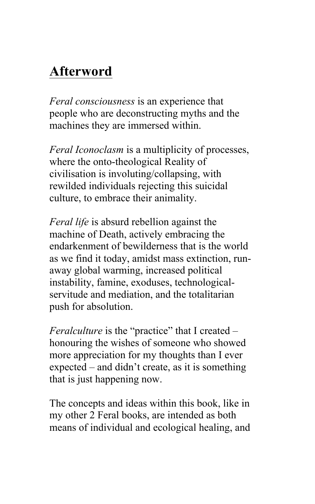# **Afterword**

*Feral consciousness* is an experience that people who are deconstructing myths and the machines they are immersed within.

*Feral Iconoclasm* is a multiplicity of processes, where the onto-theological Reality of civilisation is involuting/collapsing, with rewilded individuals rejecting this suicidal culture, to embrace their animality.

*Feral life* is absurd rebellion against the machine of Death, actively embracing the endarkenment of bewilderness that is the world as we find it today, amidst mass extinction, runaway global warming, increased political instability, famine, exoduses, technologicalservitude and mediation, and the totalitarian push for absolution.

*Feralculture* is the "practice" that I created – honouring the wishes of someone who showed more appreciation for my thoughts than I ever expected – and didn't create, as it is something that is just happening now.

The concepts and ideas within this book, like in my other 2 Feral books, are intended as both means of individual and ecological healing, and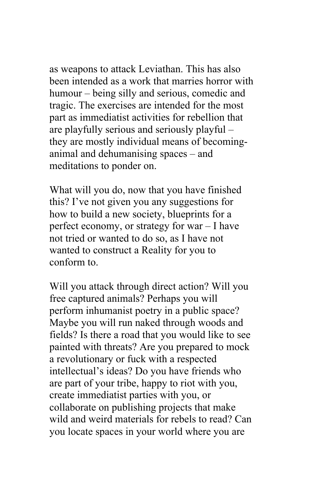as weapons to attack Leviathan. This has also been intended as a work that marries horror with humour – being silly and serious, comedic and tragic. The exercises are intended for the most part as immediatist activities for rebellion that are playfully serious and seriously playful – they are mostly individual means of becominganimal and dehumanising spaces – and meditations to ponder on.

What will you do, now that you have finished this? I've not given you any suggestions for how to build a new society, blueprints for a perfect economy, or strategy for war – I have not tried or wanted to do so, as I have not wanted to construct a Reality for you to conform to.

Will you attack through direct action? Will you free captured animals? Perhaps you will perform inhumanist poetry in a public space? Maybe you will run naked through woods and fields? Is there a road that you would like to see painted with threats? Are you prepared to mock a revolutionary or fuck with a respected intellectual's ideas? Do you have friends who are part of your tribe, happy to riot with you, create immediatist parties with you, or collaborate on publishing projects that make wild and weird materials for rebels to read? Can you locate spaces in your world where you are